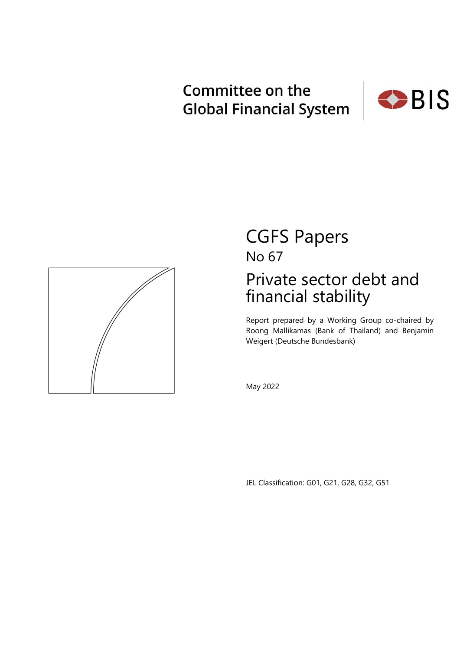# Committee on the **Global Financial System**





# CGFS Papers No 67

# Private sector debt and financial stability

Report prepared by a Working Group co-chaired by Roong Mallikamas (Bank of Thailand) and Benjamin Weigert (Deutsche Bundesbank)

May 2022

JEL Classification: G01, G21, G28, G32, G51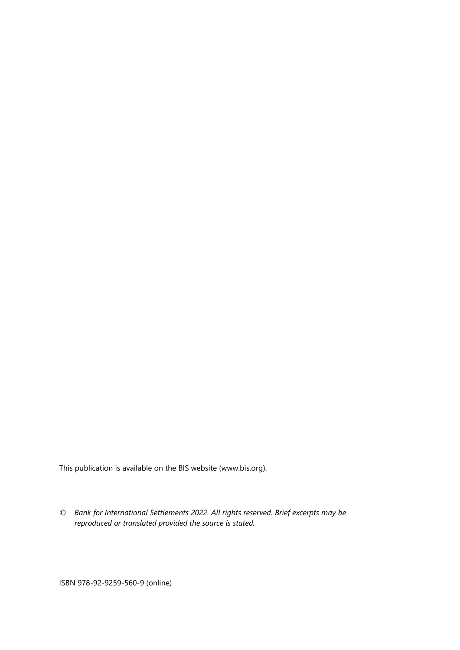This publication is available on the BIS website (www.bis.org).

*© Bank for International Settlements 2022. All rights reserved. Brief excerpts may be reproduced or translated provided the source is stated.* 

ISBN 978-92-9259-560-9 (online)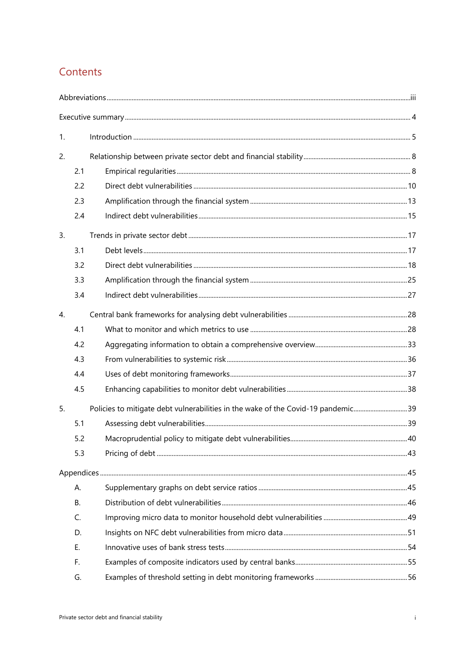## Contents

| 1. |           |                                                                                  |  |
|----|-----------|----------------------------------------------------------------------------------|--|
| 2. |           |                                                                                  |  |
|    | 2.1       |                                                                                  |  |
|    | 2.2       |                                                                                  |  |
|    | 2.3       |                                                                                  |  |
|    | 2.4       |                                                                                  |  |
| 3. |           |                                                                                  |  |
|    | 3.1       |                                                                                  |  |
|    | 3.2       |                                                                                  |  |
|    | 3.3       |                                                                                  |  |
|    | 3.4       |                                                                                  |  |
| 4. |           |                                                                                  |  |
|    | 4.1       |                                                                                  |  |
|    | 4.2       |                                                                                  |  |
|    | 4.3       |                                                                                  |  |
|    | 4.4       |                                                                                  |  |
|    | 4.5       |                                                                                  |  |
| 5. |           | Policies to mitigate debt vulnerabilities in the wake of the Covid-19 pandemic39 |  |
|    | 5.1       |                                                                                  |  |
|    | 5.2       |                                                                                  |  |
|    | 5.3       |                                                                                  |  |
|    |           |                                                                                  |  |
|    | А.        |                                                                                  |  |
|    | <b>B.</b> |                                                                                  |  |
|    | C.        |                                                                                  |  |
|    | D.        |                                                                                  |  |
|    | Ε.        |                                                                                  |  |
|    | F.        |                                                                                  |  |
|    | G.        |                                                                                  |  |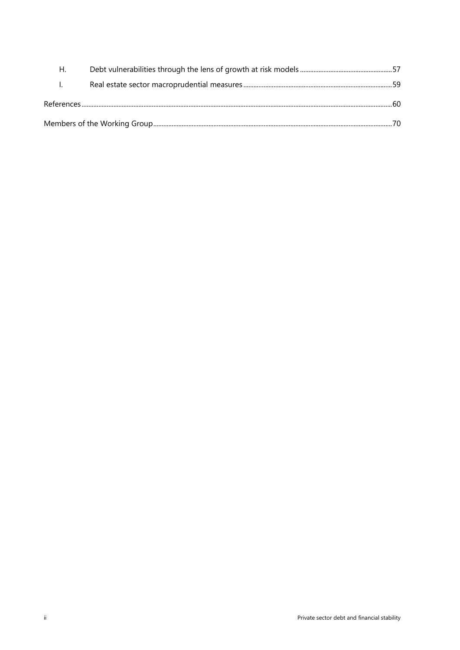| H. |  |
|----|--|
|    |  |
|    |  |
|    |  |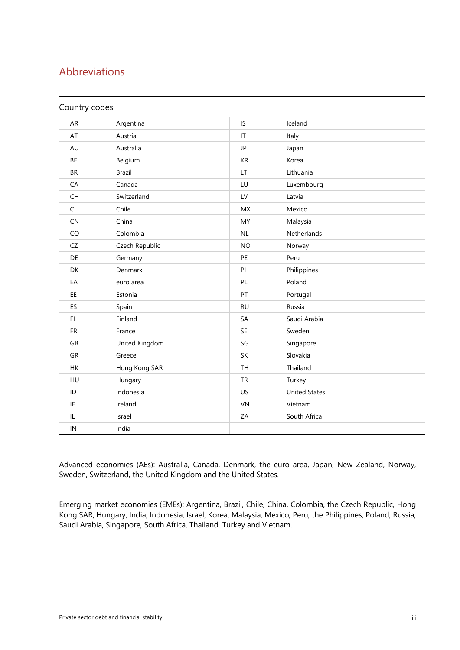### <span id="page-4-0"></span>Abbreviations

| Country codes                     |                |                        |                      |  |
|-----------------------------------|----------------|------------------------|----------------------|--|
| AR                                | Argentina      | IS                     | Iceland              |  |
| AT                                | Austria        | $\mathsf{I}\mathsf{T}$ | Italy                |  |
| AU                                | Australia      | JP                     | Japan                |  |
| <b>BE</b>                         | Belgium        | <b>KR</b>              | Korea                |  |
| <b>BR</b>                         | <b>Brazil</b>  | <b>LT</b>              | Lithuania            |  |
| CA                                | Canada         | LU                     | Luxembourg           |  |
| <b>CH</b>                         | Switzerland    | LV                     | Latvia               |  |
| CL                                | Chile          | <b>MX</b>              | Mexico               |  |
| <b>CN</b>                         | China          | MY                     | Malaysia             |  |
| CO                                | Colombia       | <b>NL</b>              | Netherlands          |  |
| CZ                                | Czech Republic | <b>NO</b>              | Norway               |  |
| DE                                | Germany        | PE                     | Peru                 |  |
| DK                                | Denmark        | PH                     | Philippines          |  |
| EA                                | euro area      | PL                     | Poland               |  |
| EE                                | Estonia        | PT                     | Portugal             |  |
| ES                                | Spain          | <b>RU</b>              | Russia               |  |
| FI.                               | Finland        | <b>SA</b>              | Saudi Arabia         |  |
| <b>FR</b>                         | France         | <b>SE</b>              | Sweden               |  |
| GB                                | United Kingdom | SG                     | Singapore            |  |
| GR                                | Greece         | SK                     | Slovakia             |  |
| <b>HK</b>                         | Hong Kong SAR  | <b>TH</b>              | Thailand             |  |
| HU                                | Hungary        | <b>TR</b>              | Turkey               |  |
| ID                                | Indonesia      | US                     | <b>United States</b> |  |
| IE                                | Ireland        | VN                     | Vietnam              |  |
| $\ensuremath{\mathsf{IL}}\xspace$ | Israel         | ΖA                     | South Africa         |  |
| IN                                | India          |                        |                      |  |

Advanced economies (AEs): Australia, Canada, Denmark, the euro area, Japan, New Zealand, Norway, Sweden, Switzerland, the United Kingdom and the United States.

Emerging market economies (EMEs): Argentina, Brazil, Chile, China, Colombia, the Czech Republic, Hong Kong SAR, Hungary, India, Indonesia, Israel, Korea, Malaysia, Mexico, Peru, the Philippines, Poland, Russia, Saudi Arabia, Singapore, South Africa, Thailand, Turkey and Vietnam.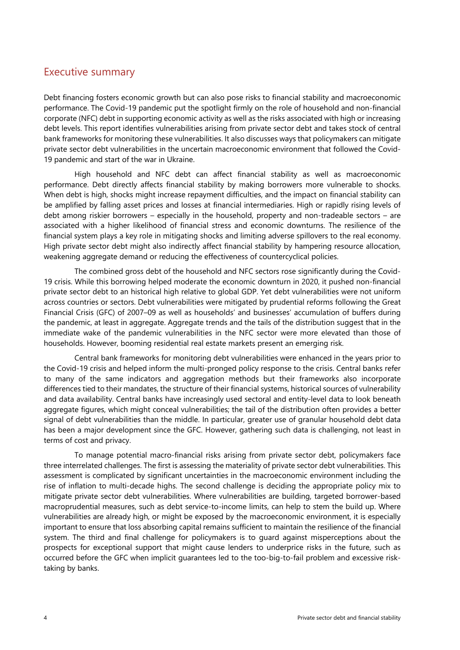### <span id="page-5-0"></span>Executive summary

Debt financing fosters economic growth but can also pose risks to financial stability and macroeconomic performance. The Covid-19 pandemic put the spotlight firmly on the role of household and non-financial corporate (NFC) debt in supporting economic activity as well as the risks associated with high or increasing debt levels. This report identifies vulnerabilities arising from private sector debt and takes stock of central bank frameworks for monitoring these vulnerabilities. It also discusses ways that policymakers can mitigate private sector debt vulnerabilities in the uncertain macroeconomic environment that followed the Covid-19 pandemic and start of the war in Ukraine.

High household and NFC debt can affect financial stability as well as macroeconomic performance. Debt directly affects financial stability by making borrowers more vulnerable to shocks. When debt is high, shocks might increase repayment difficulties, and the impact on financial stability can be amplified by falling asset prices and losses at financial intermediaries. High or rapidly rising levels of debt among riskier borrowers – especially in the household, property and non-tradeable sectors – are associated with a higher likelihood of financial stress and economic downturns. The resilience of the financial system plays a key role in mitigating shocks and limiting adverse spillovers to the real economy. High private sector debt might also indirectly affect financial stability by hampering resource allocation, weakening aggregate demand or reducing the effectiveness of countercyclical policies.

The combined gross debt of the household and NFC sectors rose significantly during the Covid-19 crisis. While this borrowing helped moderate the economic downturn in 2020, it pushed non-financial private sector debt to an historical high relative to global GDP. Yet debt vulnerabilities were not uniform across countries or sectors. Debt vulnerabilities were mitigated by prudential reforms following the Great Financial Crisis (GFC) of 2007–09 as well as households' and businesses' accumulation of buffers during the pandemic, at least in aggregate. Aggregate trends and the tails of the distribution suggest that in the immediate wake of the pandemic vulnerabilities in the NFC sector were more elevated than those of households. However, booming residential real estate markets present an emerging risk.

Central bank frameworks for monitoring debt vulnerabilities were enhanced in the years prior to the Covid-19 crisis and helped inform the multi-pronged policy response to the crisis. Central banks refer to many of the same indicators and aggregation methods but their frameworks also incorporate differences tied to their mandates, the structure of their financial systems, historical sources of vulnerability and data availability. Central banks have increasingly used sectoral and entity-level data to look beneath aggregate figures, which might conceal vulnerabilities; the tail of the distribution often provides a better signal of debt vulnerabilities than the middle. In particular, greater use of granular household debt data has been a major development since the GFC. However, gathering such data is challenging, not least in terms of cost and privacy.

To manage potential macro-financial risks arising from private sector debt, policymakers face three interrelated challenges. The first is assessing the materiality of private sector debt vulnerabilities. This assessment is complicated by significant uncertainties in the macroeconomic environment including the rise of inflation to multi-decade highs. The second challenge is deciding the appropriate policy mix to mitigate private sector debt vulnerabilities. Where vulnerabilities are building, targeted borrower-based macroprudential measures, such as debt service-to-income limits, can help to stem the build up. Where vulnerabilities are already high, or might be exposed by the macroeconomic environment, it is especially important to ensure that loss absorbing capital remains sufficient to maintain the resilience of the financial system. The third and final challenge for policymakers is to guard against misperceptions about the prospects for exceptional support that might cause lenders to underprice risks in the future, such as occurred before the GFC when implicit guarantees led to the too-big-to-fail problem and excessive risktaking by banks.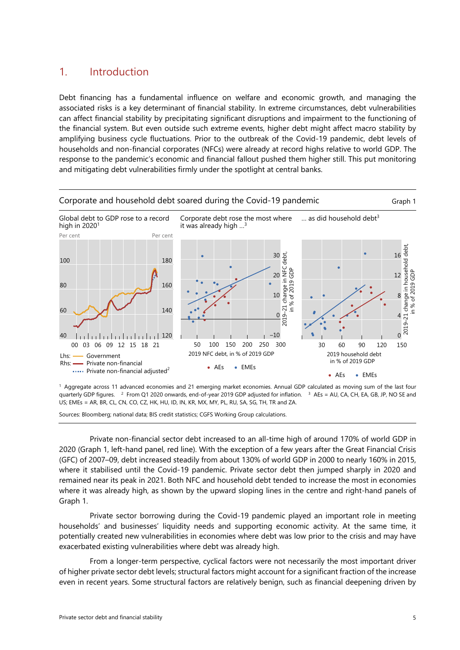### <span id="page-6-0"></span>1. Introduction

Debt financing has a fundamental influence on welfare and economic growth, and managing the associated risks is a key determinant of financial stability. In extreme circumstances, debt vulnerabilities can affect financial stability by precipitating significant disruptions and impairment to the functioning of the financial system. But even outside such extreme events, higher debt might affect macro stability by amplifying business cycle fluctuations. Prior to the outbreak of the Covid-19 pandemic, debt levels of households and non-financial corporates (NFCs) were already at record highs relative to world GDP. The response to the pandemic's economic and financial fallout pushed them higher still. This put monitoring and mitigating debt vulnerabilities firmly under the spotlight at central banks.



1 Aggregate across 11 advanced economies and 21 emerging market economies. Annual GDP calculated as moving sum of the last four quarterly GDP figures. 2 From Q1 2020 onwards, end-of-year 2019 GDP adjusted for inflation. 3 AEs = AU, CA, CH, EA, GB, JP, NO SE and US; EMEs = AR, BR, CL, CN, CO, CZ, HK, HU, ID, IN, KR, MX, MY, PL, RU, SA, SG, TH, TR and ZA.

Sources: Bloomberg; national data; BIS credit statistics; CGFS Working Group calculations.

Private non-financial sector debt increased to an all-time high of around 170% of world GDP in 2020 (Graph 1, left-hand panel, red line). With the exception of a few years after the Great Financial Crisis (GFC) of 2007–09, debt increased steadily from about 130% of world GDP in 2000 to nearly 160% in 2015, where it stabilised until the Covid-19 pandemic. Private sector debt then jumped sharply in 2020 and remained near its peak in 2021. Both NFC and household debt tended to increase the most in economies where it was already high, as shown by the upward sloping lines in the centre and right-hand panels of Graph 1.

Private sector borrowing during the Covid-19 pandemic played an important role in meeting households' and businesses' liquidity needs and supporting economic activity. At the same time, it potentially created new vulnerabilities in economies where debt was low prior to the crisis and may have exacerbated existing vulnerabilities where debt was already high.

From a longer-term perspective, cyclical factors were not necessarily the most important driver of higher private sector debt levels; structural factors might account for a significant fraction of the increase even in recent years. Some structural factors are relatively benign, such as financial deepening driven by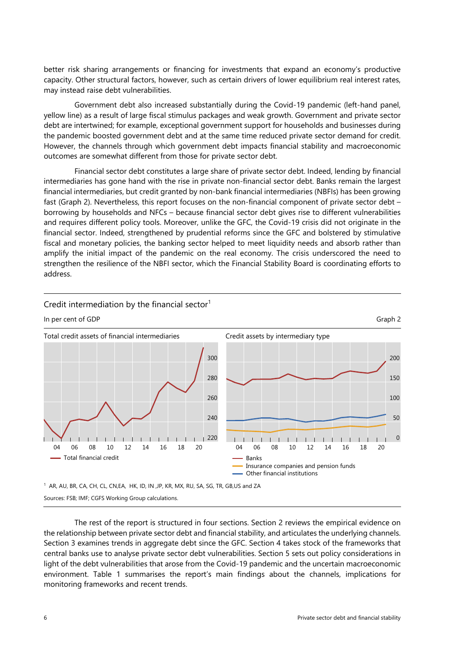better risk sharing arrangements or financing for investments that expand an economy's productive capacity. Other structural factors, however, such as certain drivers of lower equilibrium real interest rates, may instead raise debt vulnerabilities.

Government debt also increased substantially during the Covid-19 pandemic (left-hand panel, yellow line) as a result of large fiscal stimulus packages and weak growth. Government and private sector debt are intertwined; for example, exceptional government support for households and businesses during the pandemic boosted government debt and at the same time reduced private sector demand for credit. However, the channels through which government debt impacts financial stability and macroeconomic outcomes are somewhat different from those for private sector debt.

Financial sector debt constitutes a large share of private sector debt. Indeed, lending by financial intermediaries has gone hand with the rise in private non-financial sector debt. Banks remain the largest financial intermediaries, but credit granted by non-bank financial intermediaries (NBFIs) has been growing fast (Graph 2). Nevertheless, this report focuses on the non-financial component of private sector debt – borrowing by households and NFCs – because financial sector debt gives rise to different vulnerabilities and requires different policy tools. Moreover, unlike the GFC, the Covid-19 crisis did not originate in the financial sector. Indeed, strengthened by prudential reforms since the GFC and bolstered by stimulative fiscal and monetary policies, the banking sector helped to meet liquidity needs and absorb rather than amplify the initial impact of the pandemic on the real economy. The crisis underscored the need to strengthen the resilience of the NBFI sector, which the Financial Stability Board is coordinating efforts to address.



Sources: FSB; IMF; CGFS Working Group calculations.

The rest of the report is structured in four sections. Section 2 reviews the empirical evidence on the relationship between private sector debt and financial stability, and articulates the underlying channels. Section 3 examines trends in aggregate debt since the GFC. Section 4 takes stock of the frameworks that central banks use to analyse private sector debt vulnerabilities. Section 5 sets out policy considerations in light of the debt vulnerabilities that arose from the Covid-19 pandemic and the uncertain macroeconomic environment. Table 1 summarises the report's main findings about the channels, implications for monitoring frameworks and recent trends.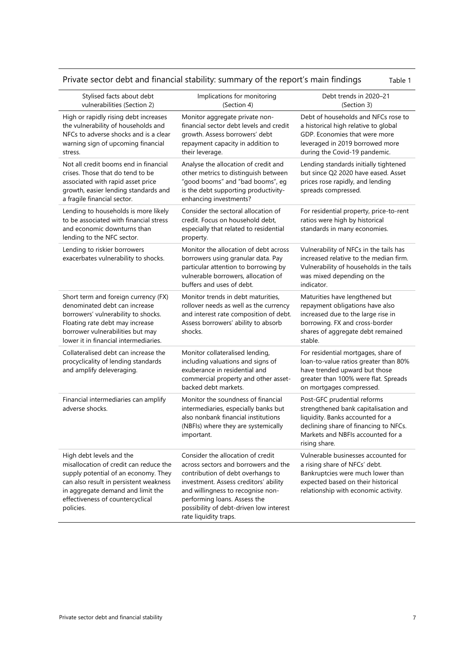### Private sector debt and financial stability: summary of the report's main findings Table 1

| Stylised facts about debt<br>vulnerabilities (Section 2)                                                                                                                                                                                   | Implications for monitoring<br>(Section 4)                                                                                                                                                                                                                                                       | Debt trends in 2020-21<br>(Section 3)                                                                                                                                                                  |
|--------------------------------------------------------------------------------------------------------------------------------------------------------------------------------------------------------------------------------------------|--------------------------------------------------------------------------------------------------------------------------------------------------------------------------------------------------------------------------------------------------------------------------------------------------|--------------------------------------------------------------------------------------------------------------------------------------------------------------------------------------------------------|
| High or rapidly rising debt increases<br>the vulnerability of households and<br>NFCs to adverse shocks and is a clear<br>warning sign of upcoming financial<br>stress.                                                                     | Monitor aggregate private non-<br>financial sector debt levels and credit<br>growth. Assess borrowers' debt<br>repayment capacity in addition to<br>their leverage.                                                                                                                              | Debt of households and NFCs rose to<br>a historical high relative to global<br>GDP. Economies that were more<br>leveraged in 2019 borrowed more<br>during the Covid-19 pandemic.                       |
| Not all credit booms end in financial<br>crises. Those that do tend to be<br>associated with rapid asset price<br>growth, easier lending standards and<br>a fragile financial sector.                                                      | Analyse the allocation of credit and<br>other metrics to distinguish between<br>"good booms" and "bad booms", eg<br>is the debt supporting productivity-<br>enhancing investments?                                                                                                               | Lending standards initially tightened<br>but since Q2 2020 have eased. Asset<br>prices rose rapidly, and lending<br>spreads compressed.                                                                |
| Lending to households is more likely<br>to be associated with financial stress<br>and economic downturns than<br>lending to the NFC sector.                                                                                                | Consider the sectoral allocation of<br>credit. Focus on household debt,<br>especially that related to residential<br>property.                                                                                                                                                                   | For residential property, price-to-rent<br>ratios were high by historical<br>standards in many economies.                                                                                              |
| Lending to riskier borrowers<br>exacerbates vulnerability to shocks.                                                                                                                                                                       | Monitor the allocation of debt across<br>borrowers using granular data. Pay<br>particular attention to borrowing by<br>vulnerable borrowers, allocation of<br>buffers and uses of debt.                                                                                                          | Vulnerability of NFCs in the tails has<br>increased relative to the median firm.<br>Vulnerability of households in the tails<br>was mixed depending on the<br>indicator.                               |
| Short term and foreign currency (FX)<br>denominated debt can increase<br>borrowers' vulnerability to shocks.<br>Floating rate debt may increase<br>borrower vulnerabilities but may<br>lower it in financial intermediaries.               | Monitor trends in debt maturities,<br>rollover needs as well as the currency<br>and interest rate composition of debt.<br>Assess borrowers' ability to absorb<br>shocks.                                                                                                                         | Maturities have lengthened but<br>repayment obligations have also<br>increased due to the large rise in<br>borrowing. FX and cross-border<br>shares of aggregate debt remained<br>stable.              |
| Collateralised debt can increase the<br>procyclicality of lending standards<br>and amplify deleveraging.                                                                                                                                   | Monitor collateralised lending,<br>including valuations and signs of<br>exuberance in residential and<br>commercial property and other asset-<br>backed debt markets.                                                                                                                            | For residential mortgages, share of<br>loan-to-value ratios greater than 80%<br>have trended upward but those<br>greater than 100% were flat. Spreads<br>on mortgages compressed.                      |
| Financial intermediaries can amplify<br>adverse shocks.                                                                                                                                                                                    | Monitor the soundness of financial<br>intermediaries, especially banks but<br>also nonbank financial institutions<br>(NBFIs) where they are systemically<br>important.                                                                                                                           | Post-GFC prudential reforms<br>strengthened bank capitalisation and<br>liquidity. Banks accounted for a<br>declining share of financing to NFCs.<br>Markets and NBFIs accounted for a<br>rising share. |
| High debt levels and the<br>misallocation of credit can reduce the<br>supply potential of an economy. They<br>can also result in persistent weakness<br>in aggregate demand and limit the<br>effectiveness of countercyclical<br>policies. | Consider the allocation of credit<br>across sectors and borrowers and the<br>contribution of debt overhangs to<br>investment. Assess creditors' ability<br>and willingness to recognise non-<br>performing loans. Assess the<br>possibility of debt-driven low interest<br>rate liquidity traps. | Vulnerable businesses accounted for<br>a rising share of NFCs' debt.<br>Bankruptcies were much lower than<br>expected based on their historical<br>relationship with economic activity.                |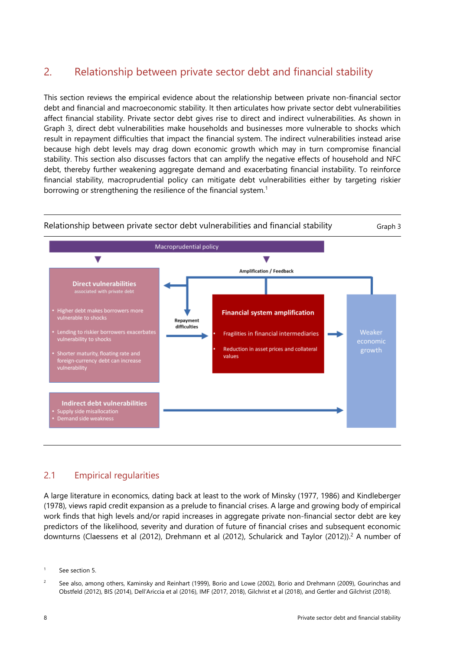## <span id="page-9-0"></span>2. Relationship between private sector debt and financial stability

This section reviews the empirical evidence about the relationship between private non-financial sector debt and financial and macroeconomic stability. It then articulates how private sector debt vulnerabilities affect financial stability. Private sector debt gives rise to direct and indirect vulnerabilities. As shown in Graph 3, direct debt vulnerabilities make households and businesses more vulnerable to shocks which result in repayment difficulties that impact the financial system. The indirect vulnerabilities instead arise because high debt levels may drag down economic growth which may in turn compromise financial stability. This section also discusses factors that can amplify the negative effects of household and NFC debt, thereby further weakening aggregate demand and exacerbating financial instability. To reinforce financial stability, macroprudential policy can mitigate debt vulnerabilities either by targeting riskier borrowing or strengthening the resilience of the financial system.<sup>[1](#page-9-2)</sup>



### 2.1 Empirical regularities

A large literature in economics, dating back at least to the work of Minsky (1977, 1986) and Kindleberger (1978), views rapid credit expansion as a prelude to financial crises. A large and growing body of empirical work finds that high levels and/or rapid increases in aggregate private non-financial sector debt are key predictors of the likelihood, severity and duration of future of financial crises and subsequent economic downturns (Claessens et al (2012), Drehmann et al (2012), Schularick and Taylor (2012)).[2](#page-9-1) A number of

<span id="page-9-2"></span><sup>1</sup> See section 5.

<span id="page-9-1"></span><sup>&</sup>lt;sup>2</sup> See also, among others, Kaminsky and Reinhart (1999), Borio and Lowe (2002), Borio and Drehmann (2009), Gourinchas and Obstfeld (2012), BIS (2014), Dell'Ariccia et al (2016), IMF (2017, 2018), Gilchrist et al (2018), and Gertler and Gilchrist (2018).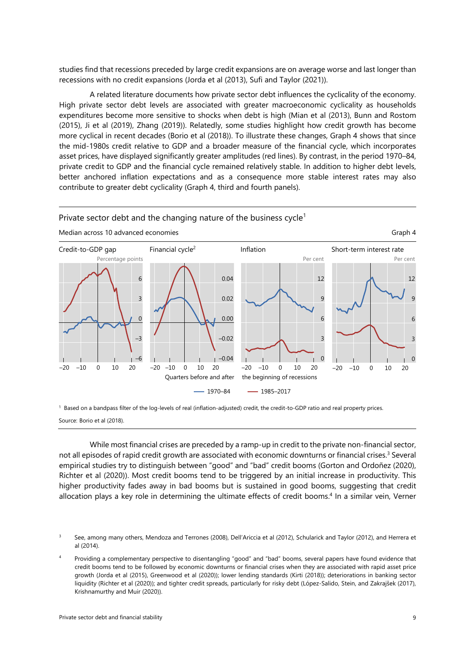studies find that recessions preceded by large credit expansions are on average worse and last longer than recessions with no credit expansions (Jorda et al (2013), Sufi and Taylor (2021)).

A related literature documents how private sector debt influences the cyclicality of the economy. High private sector debt levels are associated with greater macroeconomic cyclicality as households expenditures become more sensitive to shocks when debt is high (Mian et al (2013), Bunn and Rostom (2015), Ji et al (2019), Zhang (2019)). Relatedly, some studies highlight how credit growth has become more cyclical in recent decades (Borio et al (2018)). To illustrate these changes, Graph 4 shows that since the mid-1980s credit relative to GDP and a broader measure of the financial cycle, which incorporates asset prices, have displayed significantly greater amplitudes (red lines). By contrast, in the period 1970–84, private credit to GDP and the financial cycle remained relatively stable. In addition to higher debt levels, better anchored inflation expectations and as a consequence more stable interest rates may also contribute to greater debt cyclicality (Graph 4, third and fourth panels).

#### Private sector debt and the changing nature of the business cycle<sup>1</sup>



Median across 10 advanced economies Graph 4

1 Based on a bandpass filter of the log-levels of real (inflation-adjusted) credit, the credit-to-GDP ratio and real property prices. Source: Borio et al (2018).

While most financial crises are preceded by a ramp-up in credit to the private non-financial sector, not all episodes of rapid credit growth are associated with economic downturns or financial crises.<sup>3</sup> Several empirical studies try to distinguish between "good" and "bad" credit booms (Gorton and Ordoñez (2020), Richter et al (2020)). Most credit booms tend to be triggered by an initial increase in productivity. This higher productivity fades away in bad booms but is sustained in good booms, suggesting that credit allocation plays a key role in determining the ultimate effects of credit booms.<sup>[4](#page-10-0)</sup> In a similar vein, Verner

<span id="page-10-1"></span>3 See, among many others, Mendoza and Terrones (2008), Dell'Ariccia et al (2012), Schularick and Taylor (2012), and Herrera et al (2014).

<span id="page-10-0"></span>4 Providing a complementary perspective to disentangling "good" and "bad" booms, several papers have found evidence that credit booms tend to be followed by economic downturns or financial crises when they are associated with rapid asset price growth (Jorda et al (2015), Greenwood et al (2020)); lower lending standards (Kirti (2018)); deteriorations in banking sector liquidity (Richter et al (2020)); and tighter credit spreads, particularly for risky debt (López-Salido, Stein, and Zakrajšek (2017), Krishnamurthy and Muir (2020)).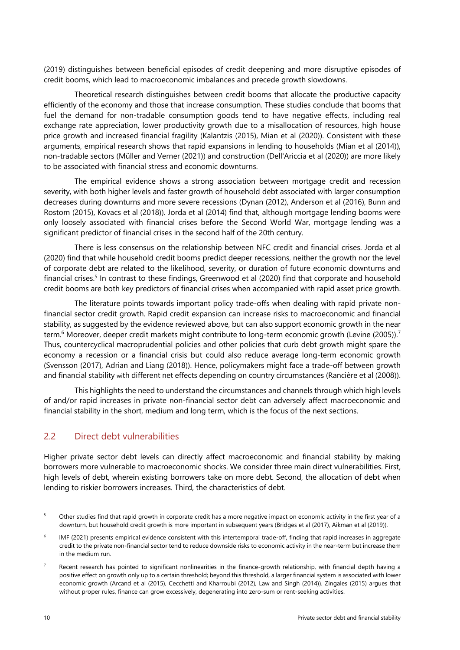<span id="page-11-0"></span>(2019) distinguishes between beneficial episodes of credit deepening and more disruptive episodes of credit booms, which lead to macroeconomic imbalances and precede growth slowdowns.

Theoretical research distinguishes between credit booms that allocate the productive capacity efficiently of the economy and those that increase consumption. These studies conclude that booms that fuel the demand for non-tradable consumption goods tend to have negative effects, including real exchange rate appreciation, lower productivity growth due to a misallocation of resources, high house price growth and increased financial fragility (Kalantzis (2015), Mian et al (2020)). Consistent with these arguments, empirical research shows that rapid expansions in lending to households (Mian et al (2014)), non-tradable sectors (Müller and Verner (2021)) and construction (Dell'Ariccia et al (2020)) are more likely to be associated with financial stress and economic downturns.

The empirical evidence shows a strong association between mortgage credit and recession severity, with both higher levels and faster growth of household debt associated with larger consumption decreases during downturns and more severe recessions (Dynan (2012), Anderson et al (2016), Bunn and Rostom (2015), Kovacs et al (2018)). Jorda et al (2014) find that, although mortgage lending booms were only loosely associated with financial crises before the Second World War, mortgage lending was a significant predictor of financial crises in the second half of the 20th century.

There is less consensus on the relationship between NFC credit and financial crises. Jorda et al (2020) find that while household credit booms predict deeper recessions, neither the growth nor the level of corporate debt are related to the likelihood, severity, or duration of future economic downturns and financial crises.<sup>5</sup> In contrast to these findings, Greenwood et al (2020) find that corporate and household credit booms are both key predictors of financial crises when accompanied with rapid asset price growth.

The literature points towards important policy trade-offs when dealing with rapid private nonfinancial sector credit growth. Rapid credit expansion can increase risks to macroeconomic and financial stability, as suggested by the evidence reviewed above, but can also support economic growth in the near term.<sup>6</sup> Moreover, deeper credit markets might contribute to long-term economic growth (Levine (2005)).<sup>7</sup> Thus, countercyclical macroprudential policies and other policies that curb debt growth might spare the economy a recession or a financial crisis but could also reduce average long-term economic growth (Svensson (2017), Adrian and Liang (2018)). Hence, policymakers might face a trade-off between growth and financial stability with different net effects depending on country circumstances (Rancière et al (2008)).

This highlights the need to understand the circumstances and channels through which high levels of and/or rapid increases in private non-financial sector debt can adversely affect macroeconomic and financial stability in the short, medium and long term, which is the focus of the next sections.

#### 2.2 Direct debt vulnerabilities

Higher private sector debt levels can directly affect macroeconomic and financial stability by making borrowers more vulnerable to macroeconomic shocks. We consider three main direct vulnerabilities. First, high levels of debt, wherein existing borrowers take on more debt. Second, the allocation of debt when lending to riskier borrowers increases. Third, the characteristics of debt.

<span id="page-11-3"></span><sup>5</sup> Other studies find that rapid growth in corporate credit has a more negative impact on economic activity in the first year of a downturn, but household credit growth is more important in subsequent years (Bridges et al (2017), Aikman et al (2019)).

<span id="page-11-2"></span>IMF (2021) presents empirical evidence consistent with this intertemporal trade-off, finding that rapid increases in aggregate credit to the private non-financial sector tend to reduce downside risks to economic activity in the near-term but increase them in the medium run.

<span id="page-11-1"></span><sup>7</sup> Recent research has pointed to significant nonlinearities in the finance-growth relationship, with financial depth having a positive effect on growth only up to a certain threshold; beyond this threshold, a larger financial system is associated with lower economic growth (Arcand et al (2015), Cecchetti and Kharroubi (2012), Law and Singh (2014)). Zingales (2015) argues that without proper rules, finance can grow excessively, degenerating into zero-sum or rent-seeking activities.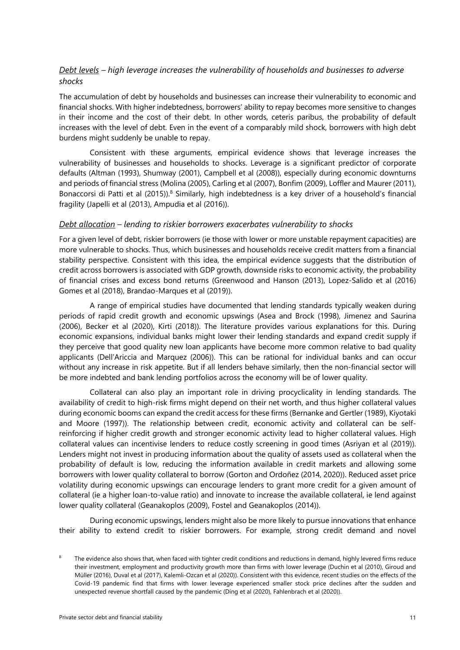#### *Debt levels – high leverage increases the vulnerability of households and businesses to adverse shocks*

The accumulation of debt by households and businesses can increase their vulnerability to economic and financial shocks. With higher indebtedness, borrowers' ability to repay becomes more sensitive to changes in their income and the cost of their debt. In other words, ceteris paribus, the probability of default increases with the level of debt. Even in the event of a comparably mild shock, borrowers with high debt burdens might suddenly be unable to repay.

Consistent with these arguments, empirical evidence shows that leverage increases the vulnerability of businesses and households to shocks. Leverage is a significant predictor of corporate defaults (Altman (1993), Shumway (2001), Campbell et al (2008)), especially during economic downturns and periods of financial stress (Molina (2005), Carling et al (2007), Bonfim (2009), Loffler and Maurer (2011), Bonaccorsi di Patti et al (2015)).<sup>8</sup> Similarly, high indebtedness is a key driver of a household's financial fragility (Japelli et al (2013), Ampudia et al (2016)).

#### *Debt allocation – lending to riskier borrowers exacerbates vulnerability to shocks*

For a given level of debt, riskier borrowers (ie those with lower or more unstable repayment capacities) are more vulnerable to shocks. Thus, which businesses and households receive credit matters from a financial stability perspective. Consistent with this idea, the empirical evidence suggests that the distribution of credit across borrowers is associated with GDP growth, downside risks to economic activity, the probability of financial crises and excess bond returns (Greenwood and Hanson (2013), Lopez-Salido et al (2016) Gomes et al (2018), Brandao-Marques et al (2019)).

A range of empirical studies have documented that lending standards typically weaken during periods of rapid credit growth and economic upswings (Asea and Brock (1998), Jimenez and Saurina (2006), Becker et al (2020), Kirti (2018)). The literature provides various explanations for this. During economic expansions, individual banks might lower their lending standards and expand credit supply if they perceive that good quality new loan applicants have become more common relative to bad quality applicants (Dell'Ariccia and Marquez (2006)). This can be rational for individual banks and can occur without any increase in risk appetite. But if all lenders behave similarly, then the non-financial sector will be more indebted and bank lending portfolios across the economy will be of lower quality.

Collateral can also play an important role in driving procyclicality in lending standards. The availability of credit to high-risk firms might depend on their net worth, and thus higher collateral values during economic booms can expand the credit access for these firms (Bernanke and Gertler (1989), Kiyotaki and Moore (1997)). The relationship between credit, economic activity and collateral can be selfreinforcing if higher credit growth and stronger economic activity lead to higher collateral values. High collateral values can incentivise lenders to reduce costly screening in good times (Asriyan et al (2019)). Lenders might not invest in producing information about the quality of assets used as collateral when the probability of default is low, reducing the information available in credit markets and allowing some borrowers with lower quality collateral to borrow (Gorton and Ordoñez (2014, 2020)). Reduced asset price volatility during economic upswings can encourage lenders to grant more credit for a given amount of collateral (ie a higher loan-to-value ratio) and innovate to increase the available collateral, ie lend against lower quality collateral (Geanakoplos (2009), Fostel and Geanakoplos (2014)).

During economic upswings, lenders might also be more likely to pursue innovations that enhance their ability to extend credit to riskier borrowers. For example, strong credit demand and novel

<span id="page-12-0"></span><sup>8</sup> The evidence also shows that, when faced with tighter credit conditions and reductions in demand, highly levered firms reduce their investment, employment and productivity growth more than firms with lower leverage (Duchin et al (2010), Giroud and Müller (2016), Duval et al (2017), Kalemli-Ozcan et al (2020)). Consistent with this evidence, recent studies on the effects of the Covid-19 pandemic find that firms with lower leverage experienced smaller stock price declines after the sudden and unexpected revenue shortfall caused by the pandemic (Ding et al (2020), Fahlenbrach et al (2020)).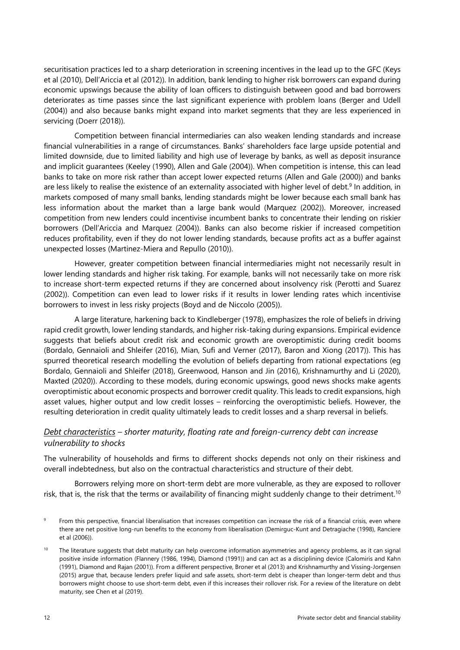securitisation practices led to a sharp deterioration in screening incentives in the lead up to the GFC (Keys et al (2010), Dell'Ariccia et al (2012)). In addition, bank lending to higher risk borrowers can expand during economic upswings because the ability of loan officers to distinguish between good and bad borrowers deteriorates as time passes since the last significant experience with problem loans (Berger and Udell (2004)) and also because banks might expand into market segments that they are less experienced in servicing (Doerr (2018)).

Competition between financial intermediaries can also weaken lending standards and increase financial vulnerabilities in a range of circumstances. Banks' shareholders face large upside potential and limited downside, due to limited liability and high use of leverage by banks, as well as deposit insurance and implicit guarantees (Keeley (1990), Allen and Gale (2004)). When competition is intense, this can lead banks to take on more risk rather than accept lower expected returns (Allen and Gale (2000)) and banks are less likely to realise the existence of an externality associated with higher level of debt.<sup>9</sup> In addition, in markets composed of many small banks, lending standards might be lower because each small bank has less information about the market than a large bank would (Marquez (2002)). Moreover, increased competition from new lenders could incentivise incumbent banks to concentrate their lending on riskier borrowers (Dell'Ariccia and Marquez (2004)). Banks can also become riskier if increased competition reduces profitability, even if they do not lower lending standards, because profits act as a buffer against unexpected losses (Martinez-Miera and Repullo (2010)).

However, greater competition between financial intermediaries might not necessarily result in lower lending standards and higher risk taking. For example, banks will not necessarily take on more risk to increase short-term expected returns if they are concerned about insolvency risk (Perotti and Suarez (2002)). Competition can even lead to lower risks if it results in lower lending rates which incentivise borrowers to invest in less risky projects (Boyd and de Niccolo (2005)).

A large literature, harkening back to Kindleberger (1978), emphasizes the role of beliefs in driving rapid credit growth, lower lending standards, and higher risk-taking during expansions. Empirical evidence suggests that beliefs about credit risk and economic growth are overoptimistic during credit booms (Bordalo, Gennaioli and Shleifer (2016), Mian, Sufi and Verner (2017), Baron and Xiong (2017)). This has spurred theoretical research modelling the evolution of beliefs departing from rational expectations (eg Bordalo, Gennaioli and Shleifer (2018), Greenwood, Hanson and Jin (2016), Krishnamurthy and Li (2020), Maxted (2020)). According to these models, during economic upswings, good news shocks make agents overoptimistic about economic prospects and borrower credit quality. This leads to credit expansions, high asset values, higher output and low credit losses – reinforcing the overoptimistic beliefs. However, the resulting deterioration in credit quality ultimately leads to credit losses and a sharp reversal in beliefs.

#### *Debt characteristics – shorter maturity, floating rate and foreign-currency debt can increase vulnerability to shocks*

The vulnerability of households and firms to different shocks depends not only on their riskiness and overall indebtedness, but also on the contractual characteristics and structure of their debt.

Borrowers relying more on short-term debt are more vulnerable, as they are exposed to rollover risk, that is, the risk that the terms or availability of financing might suddenly change to their detriment.[10](#page-13-0)

<span id="page-13-1"></span><sup>9</sup> From this perspective, financial liberalisation that increases competition can increase the risk of a financial crisis, even where there are net positive long-run benefits to the economy from liberalisation (Demirguc-Kunt and Detragiache (1998), Ranciere et al (2006)).

<span id="page-13-0"></span><sup>&</sup>lt;sup>10</sup> The literature suggests that debt maturity can help overcome information asymmetries and agency problems, as it can signal positive inside information (Flannery (1986, 1994), Diamond (1991)) and can act as a disciplining device (Calomiris and Kahn (1991), Diamond and Rajan (2001)). From a different perspective, Broner et al (2013) and Krishnamurthy and Vissing-Jorgensen (2015) argue that, because lenders prefer liquid and safe assets, short-term debt is cheaper than longer-term debt and thus borrowers might choose to use short-term debt, even if this increases their rollover risk. For a review of the literature on debt maturity, see Chen et al (2019).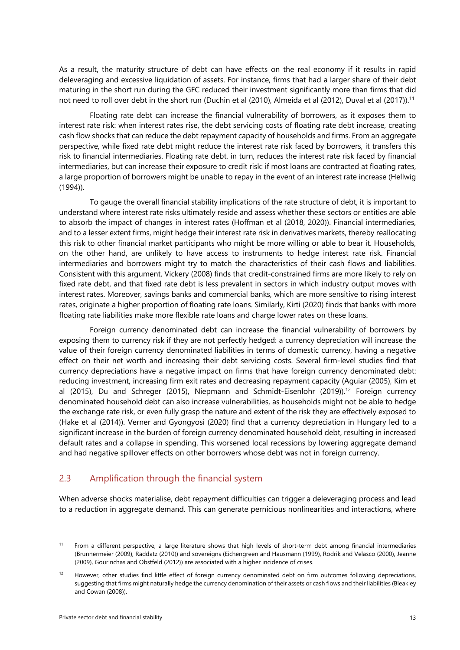<span id="page-14-0"></span>As a result, the maturity structure of debt can have effects on the real economy if it results in rapid deleveraging and excessive liquidation of assets. For instance, firms that had a larger share of their debt maturing in the short run during the GFC reduced their investment significantly more than firms that did not need to roll over debt in the short run (Duchin et al (2010), Almeida et al (2012), Duval et al (2017)).[11](#page-14-2)

Floating rate debt can increase the financial vulnerability of borrowers, as it exposes them to interest rate risk: when interest rates rise, the debt servicing costs of floating rate debt increase, creating cash flow shocks that can reduce the debt repayment capacity of households and firms. From an aggregate perspective, while fixed rate debt might reduce the interest rate risk faced by borrowers, it transfers this risk to financial intermediaries. Floating rate debt, in turn, reduces the interest rate risk faced by financial intermediaries, but can increase their exposure to credit risk: if most loans are contracted at floating rates, a large proportion of borrowers might be unable to repay in the event of an interest rate increase (Hellwig (1994)).

To gauge the overall financial stability implications of the rate structure of debt, it is important to understand where interest rate risks ultimately reside and assess whether these sectors or entities are able to absorb the impact of changes in interest rates (Hoffman et al (2018, 2020)). Financial intermediaries, and to a lesser extent firms, might hedge their interest rate risk in derivatives markets, thereby reallocating this risk to other financial market participants who might be more willing or able to bear it. Households, on the other hand, are unlikely to have access to instruments to hedge interest rate risk. Financial intermediaries and borrowers might try to match the characteristics of their cash flows and liabilities. Consistent with this argument, Vickery (2008) finds that credit-constrained firms are more likely to rely on fixed rate debt, and that fixed rate debt is less prevalent in sectors in which industry output moves with interest rates. Moreover, savings banks and commercial banks, which are more sensitive to rising interest rates, originate a higher proportion of floating rate loans. Similarly, Kirti (2020) finds that banks with more floating rate liabilities make more flexible rate loans and charge lower rates on these loans.

Foreign currency denominated debt can increase the financial vulnerability of borrowers by exposing them to currency risk if they are not perfectly hedged: a currency depreciation will increase the value of their foreign currency denominated liabilities in terms of domestic currency, having a negative effect on their net worth and increasing their debt servicing costs. Several firm-level studies find that currency depreciations have a negative impact on firms that have foreign currency denominated debt: reducing investment, increasing firm exit rates and decreasing repayment capacity (Aguiar (2005), Kim et al (2015), Du and Schreger (2015), Niepmann and Schmidt-Eisenlohr (2019)).<sup>12</sup> Foreign currency denominated household debt can also increase vulnerabilities, as households might not be able to hedge the exchange rate risk, or even fully grasp the nature and extent of the risk they are effectively exposed to (Hake et al (2014)). Verner and Gyongyosi (2020) find that a currency depreciation in Hungary led to a significant increase in the burden of foreign currency denominated household debt, resulting in increased default rates and a collapse in spending. This worsened local recessions by lowering aggregate demand and had negative spillover effects on other borrowers whose debt was not in foreign currency.

#### 2.3 Amplification through the financial system

When adverse shocks materialise, debt repayment difficulties can trigger a deleveraging process and lead to a reduction in aggregate demand. This can generate pernicious nonlinearities and interactions, where

<span id="page-14-2"></span><sup>11</sup> From a different perspective, a large literature shows that high levels of short-term debt among financial intermediaries (Brunnermeier (2009), Raddatz (2010)) and sovereigns (Eichengreen and Hausmann (1999), Rodrik and Velasco (2000), Jeanne (2009), Gourinchas and Obstfeld (2012)) are associated with a higher incidence of crises.

<span id="page-14-1"></span><sup>&</sup>lt;sup>12</sup> However, other studies find little effect of foreign currency denominated debt on firm outcomes following depreciations, suggesting that firms might naturally hedge the currency denomination of their assets or cash flows and their liabilities (Bleakley and Cowan (2008)).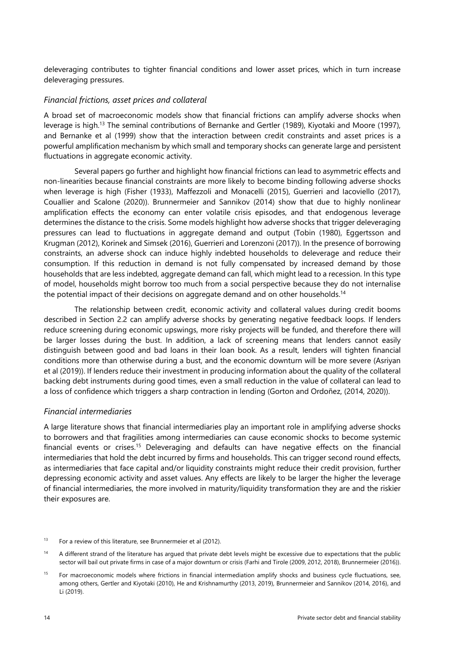deleveraging contributes to tighter financial conditions and lower asset prices, which in turn increase deleveraging pressures.

#### *Financial frictions, asset prices and collateral*

A broad set of macroeconomic models show that financial frictions can amplify adverse shocks when leverage is high.[13](#page-15-2) The seminal contributions of Bernanke and Gertler (1989), Kiyotaki and Moore (1997), and Bernanke et al (1999) show that the interaction between credit constraints and asset prices is a powerful amplification mechanism by which small and temporary shocks can generate large and persistent fluctuations in aggregate economic activity.

Several papers go further and highlight how financial frictions can lead to asymmetric effects and non-linearities because financial constraints are more likely to become binding following adverse shocks when leverage is high (Fisher (1933), Maffezzoli and Monacelli (2015), Guerrieri and Iacoviello (2017), Couallier and Scalone (2020)). Brunnermeier and Sannikov (2014) show that due to highly nonlinear amplification effects the economy can enter volatile crisis episodes, and that endogenous leverage determines the distance to the crisis. Some models highlight how adverse shocks that trigger deleveraging pressures can lead to fluctuations in aggregate demand and output (Tobin (1980), Eggertsson and Krugman (2012), Korinek and Simsek (2016), Guerrieri and Lorenzoni (2017)). In the presence of borrowing constraints, an adverse shock can induce highly indebted households to deleverage and reduce their consumption. If this reduction in demand is not fully compensated by increased demand by those households that are less indebted, aggregate demand can fall, which might lead to a recession. In this type of model, households might borrow too much from a social perspective because they do not internalise the potential impact of their decisions on aggregate demand and on other households.<sup>[14](#page-15-1)</sup>

The relationship between credit, economic activity and collateral values during credit booms described in Section 2.2 can amplify adverse shocks by generating negative feedback loops. If lenders reduce screening during economic upswings, more risky projects will be funded, and therefore there will be larger losses during the bust. In addition, a lack of screening means that lenders cannot easily distinguish between good and bad loans in their loan book. As a result, lenders will tighten financial conditions more than otherwise during a bust, and the economic downturn will be more severe (Asriyan et al (2019)). If lenders reduce their investment in producing information about the quality of the collateral backing debt instruments during good times, even a small reduction in the value of collateral can lead to a loss of confidence which triggers a sharp contraction in lending (Gorton and Ordoñez, (2014, 2020)).

#### *Financial intermediaries*

A large literature shows that financial intermediaries play an important role in amplifying adverse shocks to borrowers and that fragilities among intermediaries can cause economic shocks to become systemic financial events or crises.[15](#page-15-0) Deleveraging and defaults can have negative effects on the financial intermediaries that hold the debt incurred by firms and households. This can trigger second round effects, as intermediaries that face capital and/or liquidity constraints might reduce their credit provision, further depressing economic activity and asset values. Any effects are likely to be larger the higher the leverage of financial intermediaries, the more involved in maturity/liquidity transformation they are and the riskier their exposures are.

<span id="page-15-2"></span> $13$  For a review of this literature, see Brunnermeier et al (2012).

<span id="page-15-1"></span><sup>&</sup>lt;sup>14</sup> A different strand of the literature has argued that private debt levels might be excessive due to expectations that the public sector will bail out private firms in case of a major downturn or crisis (Farhi and Tirole (2009, 2012, 2018), Brunnermeier (2016)).

<span id="page-15-0"></span><sup>&</sup>lt;sup>15</sup> For macroeconomic models where frictions in financial intermediation amplify shocks and business cycle fluctuations, see, among others, Gertler and Kiyotaki (2010), He and Krishnamurthy (2013, 2019), Brunnermeier and Sannikov (2014, 2016), and Li (2019).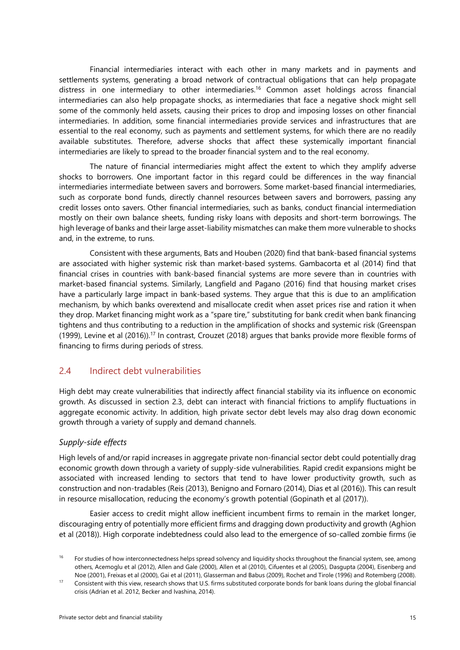<span id="page-16-0"></span>Financial intermediaries interact with each other in many markets and in payments and settlements systems, generating a broad network of contractual obligations that can help propagate distress in one intermediary to other intermediaries.[16](#page-16-2) Common asset holdings across financial intermediaries can also help propagate shocks, as intermediaries that face a negative shock might sell some of the commonly held assets, causing their prices to drop and imposing losses on other financial intermediaries. In addition, some financial intermediaries provide services and infrastructures that are essential to the real economy, such as payments and settlement systems, for which there are no readily available substitutes. Therefore, adverse shocks that affect these systemically important financial intermediaries are likely to spread to the broader financial system and to the real economy.

The nature of financial intermediaries might affect the extent to which they amplify adverse shocks to borrowers. One important factor in this regard could be differences in the way financial intermediaries intermediate between savers and borrowers. Some market-based financial intermediaries, such as corporate bond funds, directly channel resources between savers and borrowers, passing any credit losses onto savers. Other financial intermediaries, such as banks, conduct financial intermediation mostly on their own balance sheets, funding risky loans with deposits and short-term borrowings. The high leverage of banks and their large asset-liability mismatches can make them more vulnerable to shocks and, in the extreme, to runs.

Consistent with these arguments, Bats and Houben (2020) find that bank-based financial systems are associated with higher systemic risk than market-based systems. Gambacorta et al (2014) find that financial crises in countries with bank-based financial systems are more severe than in countries with market-based financial systems. Similarly, Langfield and Pagano (2016) find that housing market crises have a particularly large impact in bank-based systems. They argue that this is due to an amplification mechanism, by which banks overextend and misallocate credit when asset prices rise and ration it when they drop. Market financing might work as a "spare tire," substituting for bank credit when bank financing tightens and thus contributing to a reduction in the amplification of shocks and systemic risk (Greenspan (1999), Levine et al (2016)).[17](#page-16-1) In contrast, Crouzet (2018) argues that banks provide more flexible forms of financing to firms during periods of stress.

#### 2.4 Indirect debt vulnerabilities

High debt may create vulnerabilities that indirectly affect financial stability via its influence on economic growth. As discussed in section 2.3, debt can interact with financial frictions to amplify fluctuations in aggregate economic activity. In addition, high private sector debt levels may also drag down economic growth through a variety of supply and demand channels.

#### *Supply-side effects*

High levels of and/or rapid increases in aggregate private non-financial sector debt could potentially drag economic growth down through a variety of supply-side vulnerabilities. Rapid credit expansions might be associated with increased lending to sectors that tend to have lower productivity growth, such as construction and non-tradables (Reis (2013), Benigno and Fornaro (2014), Dias et al (2016)). This can result in resource misallocation, reducing the economy's growth potential (Gopinath et al (2017)).

Easier access to credit might allow inefficient incumbent firms to remain in the market longer, discouraging entry of potentially more efficient firms and dragging down productivity and growth (Aghion et al (2018)). High corporate indebtedness could also lead to the emergence of so-called zombie firms (ie

<span id="page-16-2"></span><sup>&</sup>lt;sup>16</sup> For studies of how interconnectedness helps spread solvency and liquidity shocks throughout the financial system, see, among others, Acemoglu et al (2012), Allen and Gale (2000), Allen et al (2010), Cifuentes et al (2005), Dasgupta (2004), Eisenberg and Noe (2001), Freixas et al (2000), Gai et al (2011), Glasserman and Babus (2009), Rochet and Tirole (1996) and Rotemberg (2008).

<span id="page-16-1"></span><sup>&</sup>lt;sup>17</sup> Consistent with this view, research shows that U.S. firms substituted corporate bonds for bank loans during the global financial crisis (Adrian et al. 2012, Becker and Ivashina, 2014).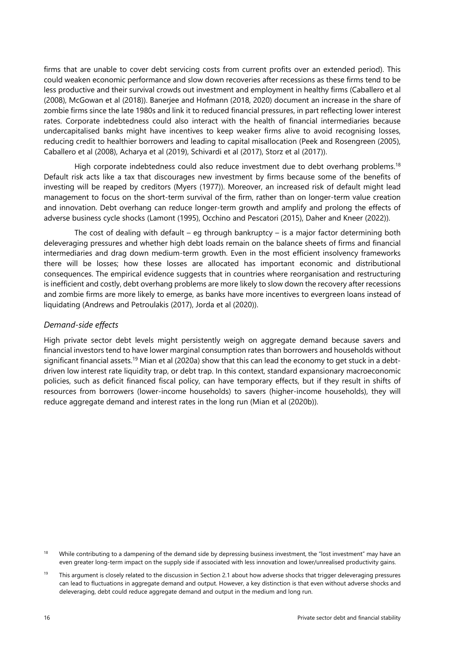firms that are unable to cover debt servicing costs from current profits over an extended period). This could weaken economic performance and slow down recoveries after recessions as these firms tend to be less productive and their survival crowds out investment and employment in healthy firms (Caballero et al (2008), McGowan et al (2018)). Banerjee and Hofmann (2018, 2020) document an increase in the share of zombie firms since the late 1980s and link it to reduced financial pressures, in part reflecting lower interest rates. Corporate indebtedness could also interact with the health of financial intermediaries because undercapitalised banks might have incentives to keep weaker firms alive to avoid recognising losses, reducing credit to healthier borrowers and leading to capital misallocation (Peek and Rosengreen (2005), Caballero et al (2008), Acharya et al (2019), Schivardi et al (2017), Storz et al (2017)).

High corporate indebtedness could also reduce investment due to debt overhang problems.<sup>[18](#page-17-1)</sup> Default risk acts like a tax that discourages new investment by firms because some of the benefits of investing will be reaped by creditors (Myers (1977)). Moreover, an increased risk of default might lead management to focus on the short-term survival of the firm, rather than on longer-term value creation and innovation. Debt overhang can reduce longer-term growth and amplify and prolong the effects of adverse business cycle shocks (Lamont (1995), Occhino and Pescatori (2015), Daher and Kneer (2022)).

The cost of dealing with default – eg through bankruptcy – is a major factor determining both deleveraging pressures and whether high debt loads remain on the balance sheets of firms and financial intermediaries and drag down medium-term growth. Even in the most efficient insolvency frameworks there will be losses; how these losses are allocated has important economic and distributional consequences. The empirical evidence suggests that in countries where reorganisation and restructuring is inefficient and costly, debt overhang problems are more likely to slow down the recovery after recessions and zombie firms are more likely to emerge, as banks have more incentives to evergreen loans instead of liquidating (Andrews and Petroulakis (2017), Jorda et al (2020)).

#### *Demand-side effects*

High private sector debt levels might persistently weigh on aggregate demand because savers and financial investors tend to have lower marginal consumption rates than borrowers and households without significant financial assets.<sup>19</sup> Mian et al (2020a) show that this can lead the economy to get stuck in a debtdriven low interest rate liquidity trap, or debt trap. In this context, standard expansionary macroeconomic policies, such as deficit financed fiscal policy, can have temporary effects, but if they result in shifts of resources from borrowers (lower-income households) to savers (higher-income households), they will reduce aggregate demand and interest rates in the long run (Mian et al (2020b)).

<span id="page-17-1"></span><sup>18</sup> While contributing to a dampening of the demand side by depressing business investment, the "lost investment" may have an even greater long-term impact on the supply side if associated with less innovation and lower/unrealised productivity gains.

<span id="page-17-0"></span> $19$  This argument is closely related to the discussion in Section 2.1 about how adverse shocks that trigger deleveraging pressures can lead to fluctuations in aggregate demand and output. However, a key distinction is that even without adverse shocks and deleveraging, debt could reduce aggregate demand and output in the medium and long run.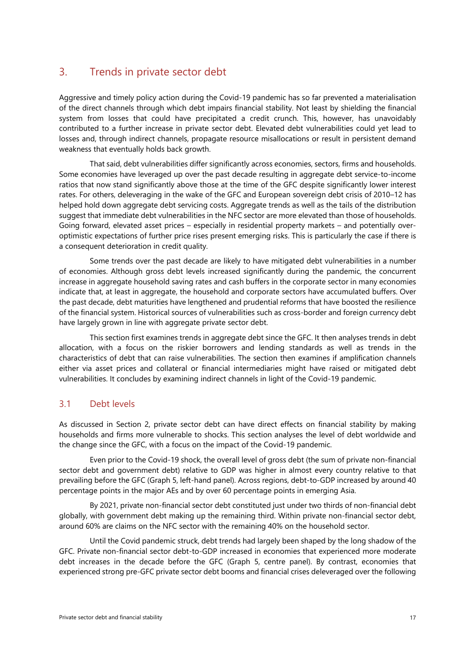### <span id="page-18-0"></span>3. Trends in private sector debt

Aggressive and timely policy action during the Covid-19 pandemic has so far prevented a materialisation of the direct channels through which debt impairs financial stability. Not least by shielding the financial system from losses that could have precipitated a credit crunch. This, however, has unavoidably contributed to a further increase in private sector debt. Elevated debt vulnerabilities could yet lead to losses and, through indirect channels, propagate resource misallocations or result in persistent demand weakness that eventually holds back growth.

That said, debt vulnerabilities differ significantly across economies, sectors, firms and households. Some economies have leveraged up over the past decade resulting in aggregate debt service-to-income ratios that now stand significantly above those at the time of the GFC despite significantly lower interest rates. For others, deleveraging in the wake of the GFC and European sovereign debt crisis of 2010–12 has helped hold down aggregate debt servicing costs. Aggregate trends as well as the tails of the distribution suggest that immediate debt vulnerabilities in the NFC sector are more elevated than those of households. Going forward, elevated asset prices – especially in residential property markets – and potentially overoptimistic expectations of further price rises present emerging risks. This is particularly the case if there is a consequent deterioration in credit quality.

Some trends over the past decade are likely to have mitigated debt vulnerabilities in a number of economies. Although gross debt levels increased significantly during the pandemic, the concurrent increase in aggregate household saving rates and cash buffers in the corporate sector in many economies indicate that, at least in aggregate, the household and corporate sectors have accumulated buffers. Over the past decade, debt maturities have lengthened and prudential reforms that have boosted the resilience of the financial system. Historical sources of vulnerabilities such as cross-border and foreign currency debt have largely grown in line with aggregate private sector debt.

This section first examines trends in aggregate debt since the GFC. It then analyses trends in debt allocation, with a focus on the riskier borrowers and lending standards as well as trends in the characteristics of debt that can raise vulnerabilities. The section then examines if amplification channels either via asset prices and collateral or financial intermediaries might have raised or mitigated debt vulnerabilities. It concludes by examining indirect channels in light of the Covid-19 pandemic.

### 3.1 Debt levels

As discussed in Section 2, private sector debt can have direct effects on financial stability by making households and firms more vulnerable to shocks. This section analyses the level of debt worldwide and the change since the GFC, with a focus on the impact of the Covid-19 pandemic.

Even prior to the Covid-19 shock, the overall level of gross debt (the sum of private non-financial sector debt and government debt) relative to GDP was higher in almost every country relative to that prevailing before the GFC (Graph 5, left-hand panel). Across regions, debt-to-GDP increased by around 40 percentage points in the major AEs and by over 60 percentage points in emerging Asia.

By 2021, private non-financial sector debt constituted just under two thirds of non-financial debt globally, with government debt making up the remaining third. Within private non-financial sector debt, around 60% are claims on the NFC sector with the remaining 40% on the household sector.

Until the Covid pandemic struck, debt trends had largely been shaped by the long shadow of the GFC. Private non-financial sector debt-to-GDP increased in economies that experienced more moderate debt increases in the decade before the GFC (Graph 5, centre panel). By contrast, economies that experienced strong pre-GFC private sector debt booms and financial crises deleveraged over the following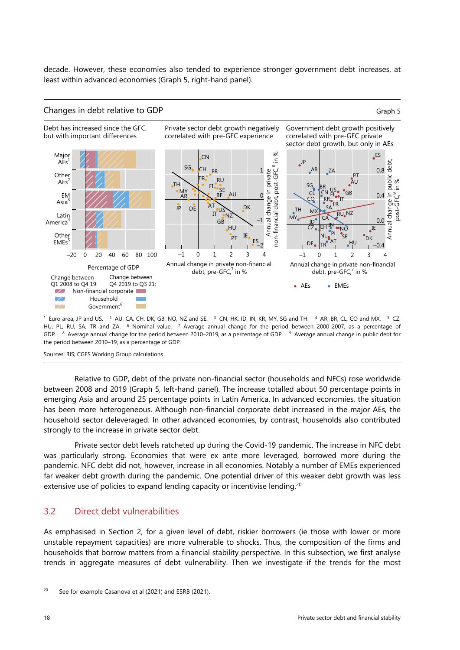<span id="page-19-0"></span>decade. However, these economies also tended to experience stronger government debt increases, at least within advanced economies (Graph 5, right-hand panel).

#### Changes in debt relative to GDP Graph 5 Debt has increased since the GFC, Private sector debt growth negatively Government debt growth positively but with important differences correlated with pre-GFC experience correlated with pre-GFC private sector debt growth, but only in AEs  $8<sup>o</sup>$ Major non-financial debt, post-GFC,8 in % ES  $\overline{C}N$  $\equiv$ **AEs** JP Annual change in public debt, debt SG post-GFC,<sup>8</sup> CH  $0.8$ 1 **A** ZA FR in private Annual change in private Other DТ public<br>in %  $\overline{R}$  RU AEs AU post-GFC,<sup>9</sup> in % TH FI  $SC$ BR SE MY US FI CL  $\overline{\phantom{a}}$ GB CN EM **BE** AU 0.4  $\equiv$ 。<br>"  $\Omega$ debt, AR change CO KR .<br>ІТ Asia<sup>3</sup> change '<sub>FR</sub> **AT** ំ៤ DK  $JP$   $DE$   $AT$ DE SA TH post- $M<sub>x</sub>$ IT financial RU NZ Latin NZ MY Annual CA 0.0 GB –1 America  $\frac{ID}{7}$   $\frac{C}{CH}$  IN Annual HU CZ CH IE **NO** Other PL IE NL  $\overline{\mathsf{S}}$ F  $PT$   $\frac{IE}{ES}$ -hor  $\cdot_{\text{DK}}$ **FMFs** AT HU  $\overline{\mathbf{c}}$ DE TR  $-0.4$  $\overline{1}$ –20 0 20 40 60 80 100 –1 0 1 2 3 4 –1 0 1 2 3 4 Annual change in private non-financial Annual change in private non-financial Percentage of GDP debt, pre-GFC,7 in % debt, pre-GFC, $^7$  in % Change between Change between Q1 2008 to Q4 19: Q4 2019 to Q3 21: AEs EMEs  $\overline{\phantom{a}}$ Non-financial corporate  $\mathcal{L}$  Household Government<sup>6</sup>



Sources: BIS; CGFS Working Group calculations.

Relative to GDP, debt of the private non-financial sector (households and NFCs) rose worldwide between 2008 and 2019 (Graph 5, left-hand panel). The increase totalled about 50 percentage points in emerging Asia and around 25 percentage points in Latin America. In advanced economies, the situation has been more heterogeneous. Although non-financial corporate debt increased in the major AEs, the household sector deleveraged. In other advanced economies, by contrast, households also contributed strongly to the increase in private sector debt.

Private sector debt levels ratcheted up during the Covid-19 pandemic. The increase in NFC debt was particularly strong. Economies that were ex ante more leveraged, borrowed more during the pandemic. NFC debt did not, however, increase in all economies. Notably a number of EMEs experienced far weaker debt growth during the pandemic. One potential driver of this weaker debt growth was less extensive use of policies to expand lending capacity or incentivise lending.<sup>[20](#page-19-1)</sup>

#### 3.2 Direct debt vulnerabilities

As emphasised in Section 2, for a given level of debt, riskier borrowers (ie those with lower or more unstable repayment capacities) are more vulnerable to shocks. Thus, the composition of the firms and households that borrow matters from a financial stability perspective. In this subsection, we first analyse trends in aggregate measures of debt vulnerability. Then we investigate if the trends for the most

<span id="page-19-1"></span> $20$  See for example Casanova et al (2021) and ESRB (2021).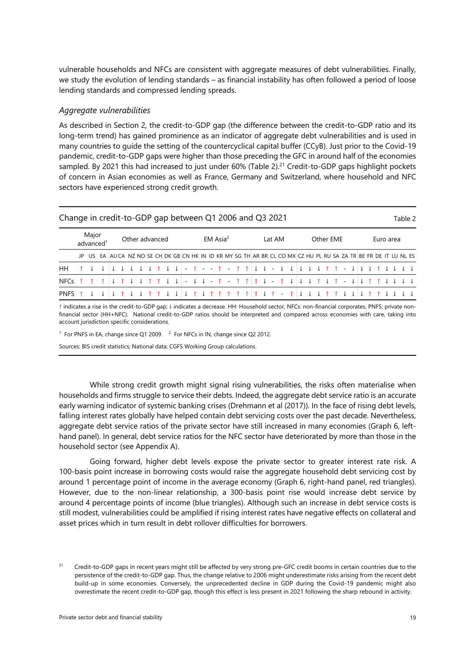vulnerable households and NFCs are consistent with aggregate measures of debt vulnerabilities. Finally, we study the evolution of lending standards – as financial instability has often followed a period of loose lending standards and compressed lending spreads.

#### *Aggregate vulnerabilities*

As described in Section 2, the credit-to-GDP gap (the difference between the credit-to-GDP ratio and its long-term trend) has gained prominence as an indicator of aggregate debt vulnerabilities and is used in many countries to guide the setting of the countercyclical capital buffer (CCyB). Just prior to the Covid-19 pandemic, credit-to-GDP gaps were higher than those preceding the GFC in around half of the economies sampled. By 20[21](#page-20-0) this had increased to just under 60% (Table 2).<sup>21</sup> Credit-to-GDP gaps highlight pockets of concern in Asian economies as well as France, Germany and Switzerland, where household and NFC sectors have experienced strong credit growth.

| Change in credit-to-GDP gap between Q1 2006 and Q3 2021 |                                                                                                             |  |                |  |  |  |  |                      |              |  |        |                                        |  |           |  |  |  |           | Table 2 |
|---------------------------------------------------------|-------------------------------------------------------------------------------------------------------------|--|----------------|--|--|--|--|----------------------|--------------|--|--------|----------------------------------------|--|-----------|--|--|--|-----------|---------|
|                                                         | Major<br>advanced <sup>1</sup>                                                                              |  | Other advanced |  |  |  |  | EM Asia <sup>2</sup> |              |  | Lat AM |                                        |  | Other EME |  |  |  | Euro area |         |
|                                                         | JPUS EA AUCANZ NOSE CH DK GBICN HK IN IDKR MY SG THIAR BR CL COMXICZ HU PL RU SA ZA TRIBE FR DE IT LU NL ES |  |                |  |  |  |  |                      |              |  |        |                                        |  |           |  |  |  |           |         |
| HН                                                      |                                                                                                             |  |                |  |  |  |  |                      | $-1 - 1 - 1$ |  |        | $L = 1$ $11$                           |  |           |  |  |  |           |         |
| NFCs                                                    |                                                                                                             |  |                |  |  |  |  |                      |              |  |        | $-11 - 1 - 1111 - 11111 - 11111 - 111$ |  |           |  |  |  |           |         |
| <b>PNFS</b>                                             |                                                                                                             |  |                |  |  |  |  |                      |              |  |        |                                        |  |           |  |  |  |           |         |

↑ indicates a rise in the credit-to-GDP gap; ↓ indicates a decrease. HH: Household sector, NFCs: non-financial corporates, PNFS: private nonfinancial sector (HH+NFC). National credit-to-GDP ratios should be interpreted and compared across economies with care, taking into account jurisdiction specific considerations.

<sup>1</sup> For PNFS in EA, change since Q1 2009. <sup>2</sup> For NFCs in IN, change since Q2 2012.

Sources: BIS credit statistics; National data; CGFS Working Group calculations.

While strong credit growth might signal rising vulnerabilities, the risks often materialise when households and firms struggle to service their debts. Indeed, the aggregate debt service ratio is an accurate early warning indicator of systemic banking crises (Drehmann et al (2017)). In the face of rising debt levels, falling interest rates globally have helped contain debt servicing costs over the past decade. Nevertheless, aggregate debt service ratios of the private sector have still increased in many economies (Graph 6, lefthand panel). In general, debt service ratios for the NFC sector have deteriorated by more than those in the household sector (see Appendix A).

Going forward, higher debt levels expose the private sector to greater interest rate risk. A 100-basis point increase in borrowing costs would raise the aggregate household debt servicing cost by around 1 percentage point of income in the average economy (Graph 6, right-hand panel, red triangles). However, due to the non-linear relationship, a 300-basis point rise would increase debt service by around 4 percentage points of income (blue triangles). Although such an increase in debt service costs is still modest, vulnerabilities could be amplified if rising interest rates have negative effects on collateral and asset prices which in turn result in debt rollover difficulties for borrowers.

<span id="page-20-0"></span><sup>&</sup>lt;sup>21</sup> Credit-to-GDP gaps in recent years might still be affected by very strong pre-GFC credit booms in certain countries due to the persistence of the credit-to-GDP gap. Thus, the change relative to 2006 might underestimate risks arising from the recent debt build-up in some economies. Conversely, the unprecedented decline in GDP during the Covid-19 pandemic might also overestimate the recent credit-to-GDP gap, though this effect is less present in 2021 following the sharp rebound in activity.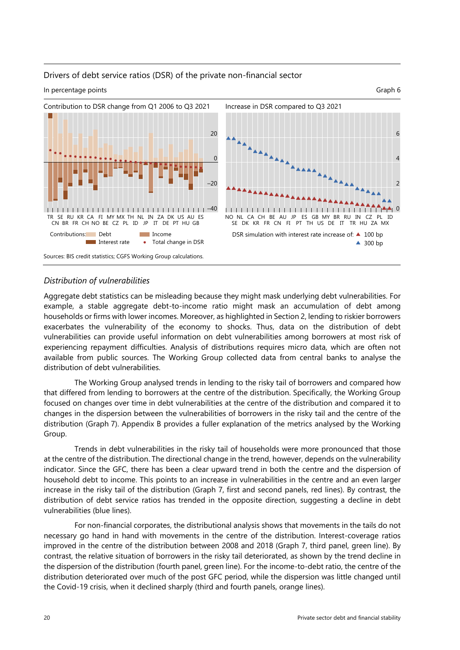#### Drivers of debt service ratios (DSR) of the private non-financial sector

In percentage points Graph 6



#### *Distribution of vulnerabilities*

Aggregate debt statistics can be misleading because they might mask underlying debt vulnerabilities. For example, a stable aggregate debt-to-income ratio might mask an accumulation of debt among households or firms with lower incomes. Moreover, as highlighted in Section 2, lending to riskier borrowers exacerbates the vulnerability of the economy to shocks. Thus, data on the distribution of debt vulnerabilities can provide useful information on debt vulnerabilities among borrowers at most risk of experiencing repayment difficulties. Analysis of distributions requires micro data, which are often not available from public sources. The Working Group collected data from central banks to analyse the distribution of debt vulnerabilities.

The Working Group analysed trends in lending to the risky tail of borrowers and compared how that differed from lending to borrowers at the centre of the distribution. Specifically, the Working Group focused on changes over time in debt vulnerabilities at the centre of the distribution and compared it to changes in the dispersion between the vulnerabilities of borrowers in the risky tail and the centre of the distribution (Graph 7). Appendix B provides a fuller explanation of the metrics analysed by the Working Group.

Trends in debt vulnerabilities in the risky tail of households were more pronounced that those at the centre of the distribution. The directional change in the trend, however, depends on the vulnerability indicator. Since the GFC, there has been a clear upward trend in both the centre and the dispersion of household debt to income. This points to an increase in vulnerabilities in the centre and an even larger increase in the risky tail of the distribution (Graph 7, first and second panels, red lines). By contrast, the distribution of debt service ratios has trended in the opposite direction, suggesting a decline in debt vulnerabilities (blue lines).

For non-financial corporates, the distributional analysis shows that movements in the tails do not necessary go hand in hand with movements in the centre of the distribution. Interest-coverage ratios improved in the centre of the distribution between 2008 and 2018 (Graph 7, third panel, green line). By contrast, the relative situation of borrowers in the risky tail deteriorated, as shown by the trend decline in the dispersion of the distribution (fourth panel, green line). For the income-to-debt ratio, the centre of the distribution deteriorated over much of the post GFC period, while the dispersion was little changed until the Covid-19 crisis, when it declined sharply (third and fourth panels, orange lines).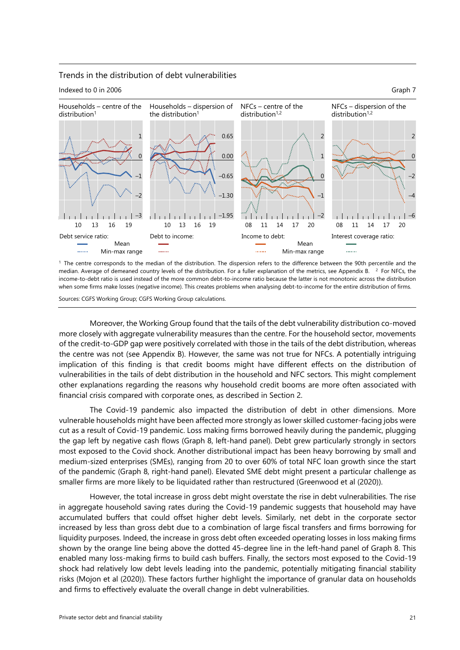#### Trends in the distribution of debt vulnerabilities





<sup>1</sup> The centre corresponds to the median of the distribution. The dispersion refers to the difference between the 90th percentile and the median. Average of demeaned country levels of the distribution. For a fuller explanation of the metrics, see Appendix B. <sup>2</sup> For NFCs, the income-to-debt ratio is used instead of the more common debt-to-income ratio because the latter is not monotonic across the distribution when some firms make losses (negative income). This creates problems when analysing debt-to-income for the entire distribution of firms.

Sources: CGFS Working Group; CGFS Working Group calculations.

Moreover, the Working Group found that the tails of the debt vulnerability distribution co-moved more closely with aggregate vulnerability measures than the centre. For the household sector, movements of the credit-to-GDP gap were positively correlated with those in the tails of the debt distribution, whereas the centre was not (see Appendix B). However, the same was not true for NFCs. A potentially intriguing implication of this finding is that credit booms might have different effects on the distribution of vulnerabilities in the tails of debt distribution in the household and NFC sectors. This might complement other explanations regarding the reasons why household credit booms are more often associated with financial crisis compared with corporate ones, as described in Section 2.

The Covid-19 pandemic also impacted the distribution of debt in other dimensions. More vulnerable households might have been affected more strongly as lower skilled customer-facing jobs were cut as a result of Covid-19 pandemic. Loss making firms borrowed heavily during the pandemic, plugging the gap left by negative cash flows (Graph 8, left-hand panel). Debt grew particularly strongly in sectors most exposed to the Covid shock. Another distributional impact has been heavy borrowing by small and medium-sized enterprises (SMEs), ranging from 20 to over 60% of total NFC loan growth since the start of the pandemic (Graph 8, right-hand panel). Elevated SME debt might present a particular challenge as smaller firms are more likely to be liquidated rather than restructured (Greenwood et al (2020)).

However, the total increase in gross debt might overstate the rise in debt vulnerabilities. The rise in aggregate household saving rates during the Covid-19 pandemic suggests that household may have accumulated buffers that could offset higher debt levels. Similarly, net debt in the corporate sector increased by less than gross debt due to a combination of large fiscal transfers and firms borrowing for liquidity purposes. Indeed, the increase in gross debt often exceeded operating losses in loss making firms shown by the orange line being above the dotted 45-degree line in the left-hand panel of Graph 8. This enabled many loss-making firms to build cash buffers. Finally, the sectors most exposed to the Covid-19 shock had relatively low debt levels leading into the pandemic, potentially mitigating financial stability risks (Mojon et al (2020)). These factors further highlight the importance of granular data on households and firms to effectively evaluate the overall change in debt vulnerabilities.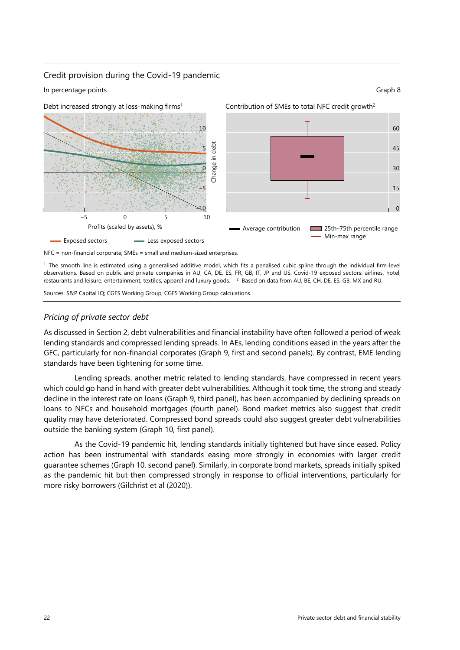#### Credit provision during the Covid-19 pandemic

In percentage points Graph 8



NFC = non-financial corporate; SMEs = small and medium-sized enterprises.

<sup>1</sup> The smooth line is estimated using a generalised additive model, which fits a penalised cubic spline through the individual firm-level observations. Based on public and private companies in AU, CA, DE, ES, FR, GB, IT, JP and US. Covid-19 exposed sectors: airlines, hotel, restaurants and leisure, entertainment, textiles, apparel and luxury goods. 2 Based on data from AU, BE, CH, DE, ES, GB, MX and RU.

Sources: S&P Capital IQ; CGFS Working Group; CGFS Working Group calculations.

#### *Pricing of private sector debt*

As discussed in Section 2, debt vulnerabilities and financial instability have often followed a period of weak lending standards and compressed lending spreads. In AEs, lending conditions eased in the years after the GFC, particularly for non-financial corporates (Graph 9, first and second panels). By contrast, EME lending standards have been tightening for some time.

Lending spreads, another metric related to lending standards, have compressed in recent years which could go hand in hand with greater debt vulnerabilities. Although it took time, the strong and steady decline in the interest rate on loans (Graph 9, third panel), has been accompanied by declining spreads on loans to NFCs and household mortgages (fourth panel). Bond market metrics also suggest that credit quality may have deteriorated. Compressed bond spreads could also suggest greater debt vulnerabilities outside the banking system (Graph 10, first panel).

As the Covid-19 pandemic hit, lending standards initially tightened but have since eased. Policy action has been instrumental with standards easing more strongly in economies with larger credit guarantee schemes (Graph 10, second panel). Similarly, in corporate bond markets, spreads initially spiked as the pandemic hit but then compressed strongly in response to official interventions, particularly for more risky borrowers (Gilchrist et al (2020)).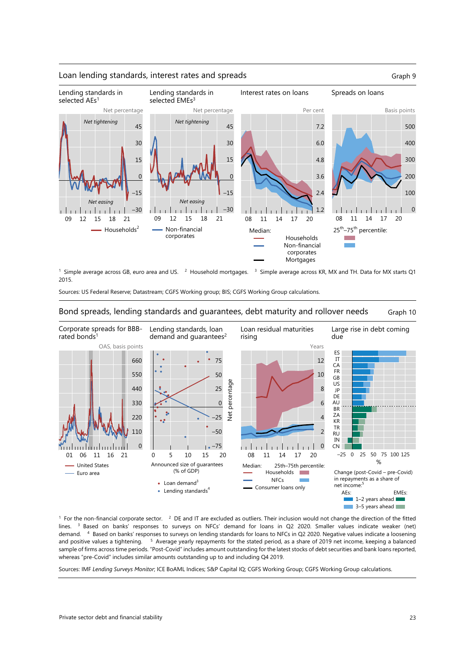

#### Loan lending standards, interest rates and spreads Graph 9 (Graph 9)

<sup>1</sup> Simple average across GB, euro area and US.  $^2$  Household mortgages. <sup>3</sup> Simple average across KR, MX and TH. Data for MX starts Q1 2015.

Sources: US Federal Reserve; Datastream; CGFS Working group; BIS; CGFS Working Group calculations.

#### Bond spreads, lending standards and guarantees, debt maturity and rollover needs Graph 10



 $1$  For the non-financial corporate sector.  $2$  DE and IT are excluded as outliers. Their inclusion would not change the direction of the fitted lines. <sup>3</sup> Based on banks' responses to surveys on NFCs' demand for loans in Q2 2020. Smaller values indicate weaker (net) demand. 4 Based on banks' responses to surveys on lending standards for loans to NFCs in Q2 2020. Negative values indicate a loosening and positive values a tightening. 5 Average yearly repayments for the stated period, as a share of 2019 net income, keeping a balanced sample of firms across time periods. "Post-Covid" includes amount outstanding for the latest stocks of debt securities and bank loans reported, whereas "pre-Covid" includes similar amounts outstanding up to and including Q4 2019.

Sources: IMF *Lending Surveys Monitor*; ICE BoAML Indices; S&P Capital IQ; CGFS Working Group; CGFS Working Group calculations.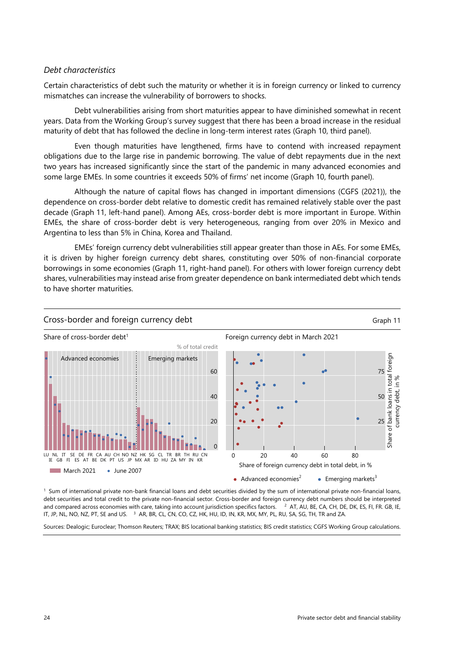#### *Debt characteristics*

Certain characteristics of debt such the maturity or whether it is in foreign currency or linked to currency mismatches can increase the vulnerability of borrowers to shocks.

Debt vulnerabilities arising from short maturities appear to have diminished somewhat in recent years. Data from the Working Group's survey suggest that there has been a broad increase in the residual maturity of debt that has followed the decline in long-term interest rates (Graph 10, third panel).

Even though maturities have lengthened, firms have to contend with increased repayment obligations due to the large rise in pandemic borrowing. The value of debt repayments due in the next two years has increased significantly since the start of the pandemic in many advanced economies and some large EMEs. In some countries it exceeds 50% of firms' net income (Graph 10, fourth panel).

Although the nature of capital flows has changed in important dimensions (CGFS (2021)), the dependence on cross-border debt relative to domestic credit has remained relatively stable over the past decade (Graph 11, left-hand panel). Among AEs, cross-border debt is more important in Europe. Within EMEs, the share of cross-border debt is very heterogeneous, ranging from over 20% in Mexico and Argentina to less than 5% in China, Korea and Thailand.

EMEs' foreign currency debt vulnerabilities still appear greater than those in AEs. For some EMEs, it is driven by higher foreign currency debt shares, constituting over 50% of non-financial corporate borrowings in some economies (Graph 11, right-hand panel). For others with lower foreign currency debt shares, vulnerabilities may instead arise from greater dependence on bank intermediated debt which tends to have shorter maturities.



 $<sup>1</sup>$  Sum of international private non-bank financial loans and debt securities divided by the sum of international private non-financial loans,</sup> debt securities and total credit to the private non-financial sector. Cross-border and foreign currency debt numbers should be interpreted and compared across economies with care, taking into account jurisdiction specifics factors. <sup>2</sup> AT, AU, BE, CA, CH, DE, DK, ES, FI, FR. GB, IE, IT, JP, NL, NO, NZ, PT, SE and US. 3 AR, BR, CL, CN, CO, CZ, HK, HU, ID, IN, KR, MX, MY, PL, RU, SA, SG, TH, TR and ZA.

Sources: Dealogic; Euroclear; Thomson Reuters; TRAX; BIS locational banking statistics; BIS credit statistics; CGFS Working Group calculations.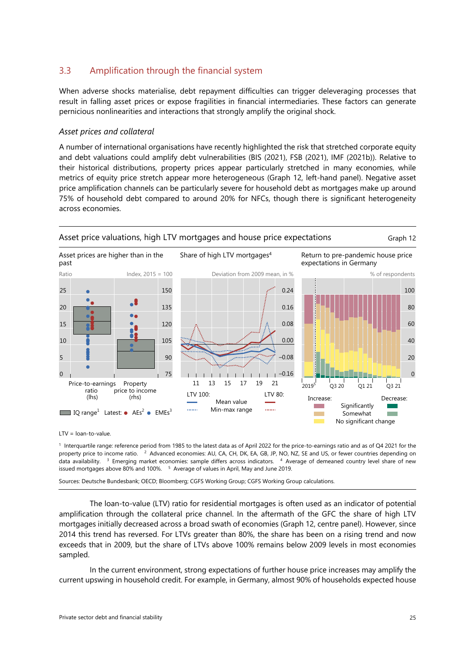#### <span id="page-26-0"></span>3.3 Amplification through the financial system

When adverse shocks materialise, debt repayment difficulties can trigger deleveraging processes that result in falling asset prices or expose fragilities in financial intermediaries. These factors can generate pernicious nonlinearities and interactions that strongly amplify the original shock.

#### *Asset prices and collateral*

A number of international organisations have recently highlighted the risk that stretched corporate equity and debt valuations could amplify debt vulnerabilities (BIS (2021), FSB (2021), IMF (2021b)). Relative to their historical distributions, property prices appear particularly stretched in many economies, while metrics of equity price stretch appear more heterogeneous (Graph 12, left-hand panel). Negative asset price amplification channels can be particularly severe for household debt as mortgages make up around 75% of household debt compared to around 20% for NFCs, though there is significant heterogeneity across economies.



Asset price valuations, high LTV mortgages and house price expectations Graph 12

LTV = loan-to-value.

1 Interquartile range: reference period from 1985 to the latest data as of April 2022 for the price-to-earnings ratio and as of Q4 2021 for the property price to income ratio. 2 Advanced economies: AU, CA, CH, DK, EA, GB, JP, NO, NZ, SE and US, or fewer countries depending on data availability. <sup>3</sup> Emerging market economies: sample differs across indicators. <sup>4</sup> Average of demeaned country level share of new issued mortgages above 80% and 100%. 5 Average of values in April, May and June 2019.

Sources: Deutsche Bundesbank; OECD; Bloomberg; CGFS Working Group; CGFS Working Group calculations.

The loan-to-value (LTV) ratio for residential mortgages is often used as an indicator of potential amplification through the collateral price channel. In the aftermath of the GFC the share of high LTV mortgages initially decreased across a broad swath of economies (Graph 12, centre panel). However, since 2014 this trend has reversed. For LTVs greater than 80%, the share has been on a rising trend and now exceeds that in 2009, but the share of LTVs above 100% remains below 2009 levels in most economies sampled.

In the current environment, strong expectations of further house price increases may amplify the current upswing in household credit. For example, in Germany, almost 90% of households expected house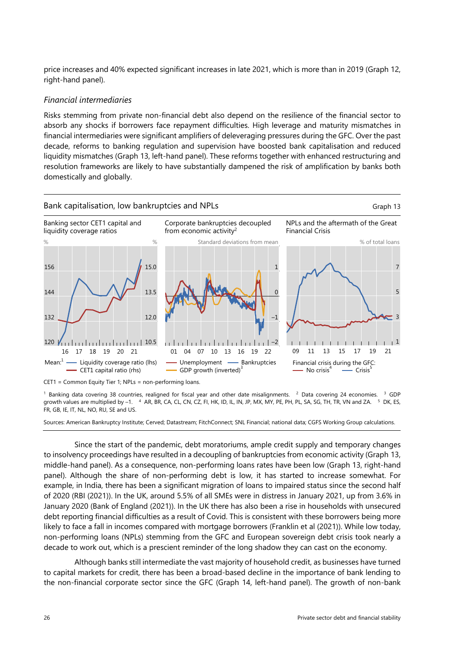price increases and 40% expected significant increases in late 2021, which is more than in 2019 (Graph 12, right-hand panel).

#### *Financial intermediaries*

Risks stemming from private non-financial debt also depend on the resilience of the financial sector to absorb any shocks if borrowers face repayment difficulties. High leverage and maturity mismatches in financial intermediaries were significant amplifiers of deleveraging pressures during the GFC. Over the past decade, reforms to banking regulation and supervision have boosted bank capitalisation and reduced liquidity mismatches (Graph 13, left-hand panel). These reforms together with enhanced restructuring and resolution frameworks are likely to have substantially dampened the risk of amplification by banks both domestically and globally.



<sup>1</sup> Banking data covering 38 countries, realigned for fiscal year and other date misalignments. <sup>2</sup> Data covering 24 economies. <sup>3</sup> GDP growth values are multiplied by -1. 4 AR, BR, CA, CL, CN, CZ, FI, HK, ID, IL, IN, JP, MX, MY, PE, PH, PL, SA, SG, TH, TR, VN and ZA. 5 DK, ES, FR, GB, IE, IT, NL, NO, RU, SE and US.

Sources: American Bankruptcy Institute; Cerved; Datastream; FitchConnect; SNL Financial; national data; CGFS Working Group calculations.

Since the start of the pandemic, debt moratoriums, ample credit supply and temporary changes to insolvency proceedings have resulted in a decoupling of bankruptcies from economic activity (Graph 13, middle-hand panel). As a consequence, non-performing loans rates have been low (Graph 13, right-hand panel). Although the share of non-performing debt is low, it has started to increase somewhat. For example, in India, there has been a significant migration of loans to impaired status since the second half of 2020 (RBI (2021)). In the UK, around 5.5% of all SMEs were in distress in January 2021, up from 3.6% in January 2020 (Bank of England (2021)). In the UK there has also been a rise in households with unsecured debt reporting financial difficulties as a result of Covid. This is consistent with these borrowers being more likely to face a fall in incomes compared with mortgage borrowers (Franklin et al (2021)). While low today, non-performing loans (NPLs) stemming from the GFC and European sovereign debt crisis took nearly a decade to work out, which is a prescient reminder of the long shadow they can cast on the economy.

Although banks still intermediate the vast majority of household credit, as businesses have turned to capital markets for credit, there has been a broad-based decline in the importance of bank lending to the non-financial corporate sector since the GFC (Graph 14, left-hand panel). The growth of non-bank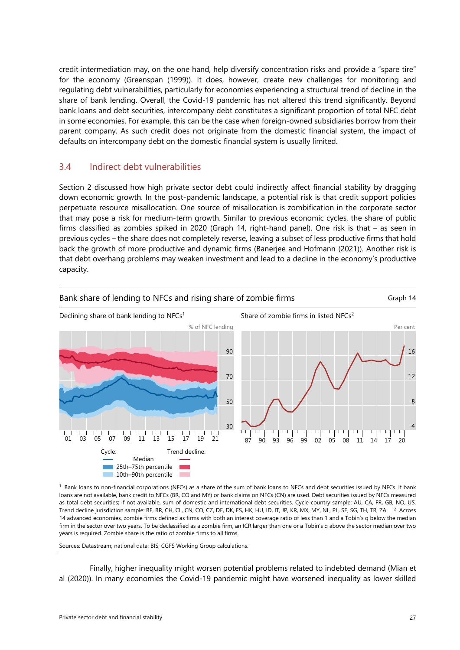<span id="page-28-0"></span>credit intermediation may, on the one hand, help diversify concentration risks and provide a "spare tire" for the economy (Greenspan (1999)). It does, however, create new challenges for monitoring and regulating debt vulnerabilities, particularly for economies experiencing a structural trend of decline in the share of bank lending. Overall, the Covid-19 pandemic has not altered this trend significantly. Beyond bank loans and debt securities, intercompany debt constitutes a significant proportion of total NFC debt in some economies. For example, this can be the case when foreign-owned subsidiaries borrow from their parent company. As such credit does not originate from the domestic financial system, the impact of defaults on intercompany debt on the domestic financial system is usually limited.

#### 3.4 Indirect debt vulnerabilities

Section 2 discussed how high private sector debt could indirectly affect financial stability by dragging down economic growth. In the post-pandemic landscape, a potential risk is that credit support policies perpetuate resource misallocation. One source of misallocation is zombification in the corporate sector that may pose a risk for medium-term growth. Similar to previous economic cycles, the share of public firms classified as zombies spiked in 2020 (Graph 14, right-hand panel). One risk is that – as seen in previous cycles – the share does not completely reverse, leaving a subset of less productive firms that hold back the growth of more productive and dynamic firms (Banerjee and Hofmann (2021)). Another risk is that debt overhang problems may weaken investment and lead to a decline in the economy's productive capacity.



<sup>1</sup> Bank loans to non-financial corporations (NFCs) as a share of the sum of bank loans to NFCs and debt securities issued by NFCs. If bank loans are not available, bank credit to NFCs (BR, CO and MY) or bank claims on NFCs (CN) are used. Debt securities issued by NFCs measured as total debt securities; if not available, sum of domestic and international debt securities. Cycle country sample: AU, CA, FR, GB, NO, US. Trend decline jurisdiction sample: BE, BR, CH, CL, CN, CO, CZ, DE, DK, ES, HK, HU, ID, IT, JP, KR, MX, MY, NL, PL, SE, SG, TH, TR, ZA. 2 Across 14 advanced economies, zombie firms defined as firms with both an interest coverage ratio of less than 1 and a Tobin's q below the median firm in the sector over two years. To be declassified as a zombie firm, an ICR larger than one or a Tobin's q above the sector median over two years is required. Zombie share is the ratio of zombie firms to all firms.

Sources: Datastream; national data; BIS; CGFS Working Group calculations.

Finally, higher inequality might worsen potential problems related to indebted demand (Mian et al (2020)). In many economies the Covid-19 pandemic might have worsened inequality as lower skilled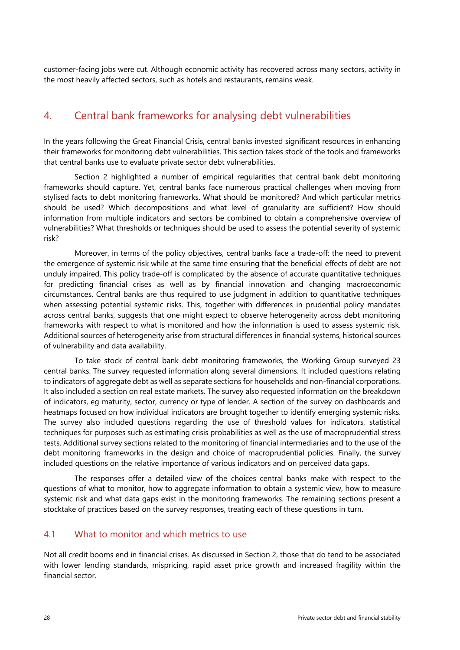<span id="page-29-0"></span>customer-facing jobs were cut. Although economic activity has recovered across many sectors, activity in the most heavily affected sectors, such as hotels and restaurants, remains weak.

### 4. Central bank frameworks for analysing debt vulnerabilities

In the years following the Great Financial Crisis, central banks invested significant resources in enhancing their frameworks for monitoring debt vulnerabilities. This section takes stock of the tools and frameworks that central banks use to evaluate private sector debt vulnerabilities.

Section 2 highlighted a number of empirical regularities that central bank debt monitoring frameworks should capture. Yet, central banks face numerous practical challenges when moving from stylised facts to debt monitoring frameworks. What should be monitored? And which particular metrics should be used? Which decompositions and what level of granularity are sufficient? How should information from multiple indicators and sectors be combined to obtain a comprehensive overview of vulnerabilities? What thresholds or techniques should be used to assess the potential severity of systemic risk?

Moreover, in terms of the policy objectives, central banks face a trade-off: the need to prevent the emergence of systemic risk while at the same time ensuring that the beneficial effects of debt are not unduly impaired. This policy trade-off is complicated by the absence of accurate quantitative techniques for predicting financial crises as well as by financial innovation and changing macroeconomic circumstances. Central banks are thus required to use judgment in addition to quantitative techniques when assessing potential systemic risks. This, together with differences in prudential policy mandates across central banks, suggests that one might expect to observe heterogeneity across debt monitoring frameworks with respect to what is monitored and how the information is used to assess systemic risk. Additional sources of heterogeneity arise from structural differences in financial systems, historical sources of vulnerability and data availability.

To take stock of central bank debt monitoring frameworks, the Working Group surveyed 23 central banks. The survey requested information along several dimensions. It included questions relating to indicators of aggregate debt as well as separate sections for households and non-financial corporations. It also included a section on real estate markets. The survey also requested information on the breakdown of indicators, eg maturity, sector, currency or type of lender. A section of the survey on dashboards and heatmaps focused on how individual indicators are brought together to identify emerging systemic risks. The survey also included questions regarding the use of threshold values for indicators, statistical techniques for purposes such as estimating crisis probabilities as well as the use of macroprudential stress tests. Additional survey sections related to the monitoring of financial intermediaries and to the use of the debt monitoring frameworks in the design and choice of macroprudential policies. Finally, the survey included questions on the relative importance of various indicators and on perceived data gaps.

The responses offer a detailed view of the choices central banks make with respect to the questions of what to monitor, how to aggregate information to obtain a systemic view, how to measure systemic risk and what data gaps exist in the monitoring frameworks. The remaining sections present a stocktake of practices based on the survey responses, treating each of these questions in turn.

#### 4.1 What to monitor and which metrics to use

Not all credit booms end in financial crises. As discussed in Section 2, those that do tend to be associated with lower lending standards, mispricing, rapid asset price growth and increased fragility within the financial sector.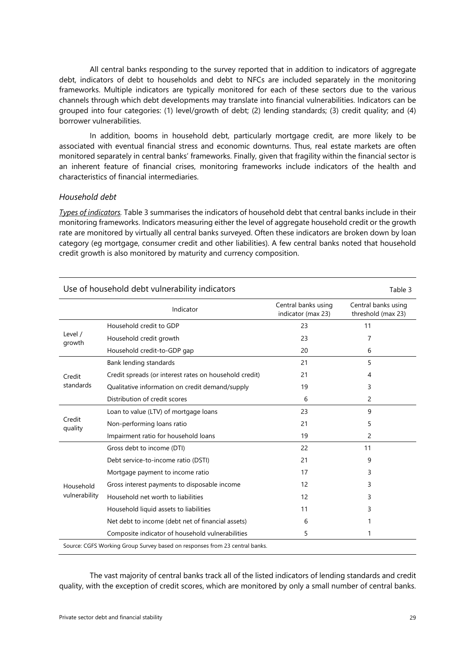All central banks responding to the survey reported that in addition to indicators of aggregate debt, indicators of debt to households and debt to NFCs are included separately in the monitoring frameworks. Multiple indicators are typically monitored for each of these sectors due to the various channels through which debt developments may translate into financial vulnerabilities. Indicators can be grouped into four categories: (1) level/growth of debt; (2) lending standards; (3) credit quality; and (4) borrower vulnerabilities.

In addition, booms in household debt, particularly mortgage credit, are more likely to be associated with eventual financial stress and economic downturns. Thus, real estate markets are often monitored separately in central banks' frameworks. Finally, given that fragility within the financial sector is an inherent feature of financial crises, monitoring frameworks include indicators of the health and characteristics of financial intermediaries.

#### *Household debt*

*Types of indicators.* Table 3 summarises the indicators of household debt that central banks include in their monitoring frameworks. Indicators measuring either the level of aggregate household credit or the growth rate are monitored by virtually all central banks surveyed. Often these indicators are broken down by loan category (eg mortgage, consumer credit and other liabilities). A few central banks noted that household credit growth is also monitored by maturity and currency composition.

|                   | Use of household debt vulnerability indicators                              |                                           | Table 3                                   |
|-------------------|-----------------------------------------------------------------------------|-------------------------------------------|-------------------------------------------|
|                   | Indicator                                                                   | Central banks using<br>indicator (max 23) | Central banks using<br>threshold (max 23) |
|                   | Household credit to GDP                                                     | 23                                        | 11                                        |
| Level /<br>growth | Household credit growth                                                     | 23                                        | 7                                         |
|                   | Household credit-to-GDP gap                                                 | 20                                        | 6                                         |
|                   | Bank lending standards                                                      | 21                                        | 5                                         |
| Credit            | Credit spreads (or interest rates on household credit)                      | 21                                        | 4                                         |
| standards         | Qualitative information on credit demand/supply                             | 19                                        | 3                                         |
|                   | Distribution of credit scores                                               | 6                                         | 2                                         |
|                   | Loan to value (LTV) of mortgage loans                                       | 23                                        | 9                                         |
| Credit<br>quality | Non-performing loans ratio                                                  | 21                                        | 5                                         |
|                   | Impairment ratio for household loans                                        | 19                                        | 2                                         |
|                   | Gross debt to income (DTI)                                                  | 22                                        | 11                                        |
|                   | Debt service-to-income ratio (DSTI)                                         | 21                                        | 9                                         |
|                   | Mortgage payment to income ratio                                            | 17                                        | 3                                         |
| Household         | Gross interest payments to disposable income                                | 12                                        | 3                                         |
| vulnerability     | Household net worth to liabilities                                          | 12                                        | 3                                         |
|                   | Household liquid assets to liabilities                                      | 11                                        | 3                                         |
|                   | Net debt to income (debt net of financial assets)                           | 6                                         |                                           |
|                   | Composite indicator of household vulnerabilities                            | 5                                         |                                           |
|                   | Source: CGFS Working Group Survey based on responses from 23 central banks. |                                           |                                           |

The vast majority of central banks track all of the listed indicators of lending standards and credit quality, with the exception of credit scores, which are monitored by only a small number of central banks.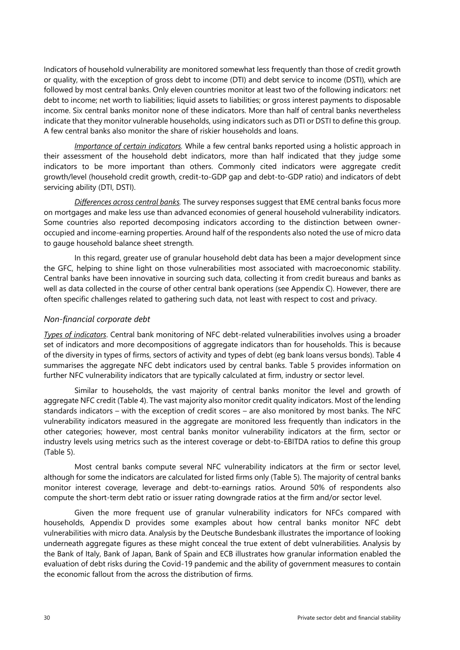Indicators of household vulnerability are monitored somewhat less frequently than those of credit growth or quality, with the exception of gross debt to income (DTI) and debt service to income (DSTI), which are followed by most central banks. Only eleven countries monitor at least two of the following indicators: net debt to income; net worth to liabilities; liquid assets to liabilities; or gross interest payments to disposable income. Six central banks monitor none of these indicators. More than half of central banks nevertheless indicate that they monitor vulnerable households, using indicators such as DTI or DSTI to define this group. A few central banks also monitor the share of riskier households and loans.

*Importance of certain indicators.* While a few central banks reported using a holistic approach in their assessment of the household debt indicators, more than half indicated that they judge some indicators to be more important than others. Commonly cited indicators were aggregate credit growth/level (household credit growth, credit-to-GDP gap and debt-to-GDP ratio) and indicators of debt servicing ability (DTI, DSTI).

*Differences across central banks.* The survey responses suggest that EME central banks focus more on mortgages and make less use than advanced economies of general household vulnerability indicators. Some countries also reported decomposing indicators according to the distinction between owneroccupied and income-earning properties. Around half of the respondents also noted the use of micro data to gauge household balance sheet strength.

In this regard, greater use of granular household debt data has been a major development since the GFC, helping to shine light on those vulnerabilities most associated with macroeconomic stability. Central banks have been innovative in sourcing such data, collecting it from credit bureaus and banks as well as data collected in the course of other central bank operations (see Appendix C). However, there are often specific challenges related to gathering such data, not least with respect to cost and privacy.

#### *Non-financial corporate debt*

*Types of indicators*. Central bank monitoring of NFC debt-related vulnerabilities involves using a broader set of indicators and more decompositions of aggregate indicators than for households. This is because of the diversity in types of firms, sectors of activity and types of debt (eg bank loans versus bonds). Table 4 summarises the aggregate NFC debt indicators used by central banks. Table 5 provides information on further NFC vulnerability indicators that are typically calculated at firm, industry or sector level.

Similar to households, the vast majority of central banks monitor the level and growth of aggregate NFC credit (Table 4). The vast majority also monitor credit quality indicators. Most of the lending standards indicators – with the exception of credit scores – are also monitored by most banks. The NFC vulnerability indicators measured in the aggregate are monitored less frequently than indicators in the other categories; however, most central banks monitor vulnerability indicators at the firm, sector or industry levels using metrics such as the interest coverage or debt-to-EBITDA ratios to define this group (Table 5).

Most central banks compute several NFC vulnerability indicators at the firm or sector level, although for some the indicators are calculated for listed firms only (Table 5). The majority of central banks monitor interest coverage, leverage and debt-to-earnings ratios. Around 50% of respondents also compute the short-term debt ratio or issuer rating downgrade ratios at the firm and/or sector level.

Given the more frequent use of granular vulnerability indicators for NFCs compared with households, Appendix D provides some examples about how central banks monitor NFC debt vulnerabilities with micro data. Analysis by the Deutsche Bundesbank illustrates the importance of looking underneath aggregate figures as these might conceal the true extent of debt vulnerabilities. Analysis by the Bank of Italy, Bank of Japan, Bank of Spain and ECB illustrates how granular information enabled the evaluation of debt risks during the Covid-19 pandemic and the ability of government measures to contain the economic fallout from the across the distribution of firms.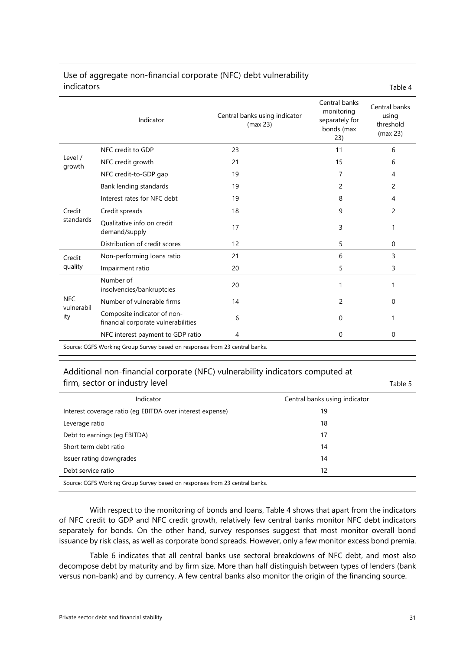#### Use of aggregate non-financial corporate (NFC) debt vulnerability indicators **Table 4**

|                          | Indicator                                                                   | Central banks using indicator<br>(max 23) | Central banks<br>monitoring<br>separately for<br>bonds (max<br>23) | Central banks<br>using<br>threshold<br>(max 23) |
|--------------------------|-----------------------------------------------------------------------------|-------------------------------------------|--------------------------------------------------------------------|-------------------------------------------------|
|                          | NFC credit to GDP                                                           | 23                                        | 11                                                                 | 6                                               |
| Level /<br>growth        | NFC credit growth                                                           | 21                                        | 15                                                                 | 6                                               |
|                          | NFC credit-to-GDP gap                                                       | 19                                        | 7                                                                  | 4                                               |
|                          | Bank lending standards                                                      | 19                                        | 2                                                                  | 2                                               |
|                          | Interest rates for NFC debt                                                 | 19                                        | 8                                                                  | 4                                               |
| Credit                   | Credit spreads                                                              | 18                                        | 9                                                                  | 2                                               |
| standards                | Qualitative info on credit<br>demand/supply                                 | 17                                        | 3                                                                  | 1                                               |
|                          | Distribution of credit scores                                               | 12                                        | 5                                                                  | 0                                               |
| Credit                   | Non-performing loans ratio                                                  | 21                                        | 6                                                                  | 3                                               |
| quality                  | Impairment ratio                                                            | 20                                        | 5                                                                  | 3                                               |
|                          | Number of<br>insolvencies/bankruptcies                                      | 20                                        |                                                                    | 1                                               |
| <b>NFC</b><br>vulnerabil | Number of vulnerable firms                                                  | 14                                        | 2                                                                  | 0                                               |
| ity                      | Composite indicator of non-<br>financial corporate vulnerabilities          | 6                                         | 0                                                                  | 1                                               |
|                          | NFC interest payment to GDP ratio                                           | 4                                         | 0                                                                  | 0                                               |
|                          | Source: CGFS Working Group Survey based on responses from 23 central banks. |                                           |                                                                    |                                                 |

#### Additional non-financial corporate (NFC) vulnerability indicators computed at firm, sector or industry level Table 5

| Indicator                                                                   | Central banks using indicator |
|-----------------------------------------------------------------------------|-------------------------------|
| Interest coverage ratio (eg EBITDA over interest expense)                   | 19                            |
| Leverage ratio                                                              | 18                            |
| Debt to earnings (eg EBITDA)                                                | 17                            |
| Short term debt ratio                                                       | 14                            |
| Issuer rating downgrades                                                    | 14                            |
| Debt service ratio                                                          | 12                            |
| Source: CGFS Working Group Survey based on responses from 23 central banks. |                               |

Source: CGFS Working Group Survey based on responses from 23 central banks.

With respect to the monitoring of bonds and loans, Table 4 shows that apart from the indicators of NFC credit to GDP and NFC credit growth, relatively few central banks monitor NFC debt indicators separately for bonds. On the other hand, survey responses suggest that most monitor overall bond issuance by risk class, as well as corporate bond spreads. However, only a few monitor excess bond premia.

Table 6 indicates that all central banks use sectoral breakdowns of NFC debt, and most also decompose debt by maturity and by firm size. More than half distinguish between types of lenders (bank versus non-bank) and by currency. A few central banks also monitor the origin of the financing source.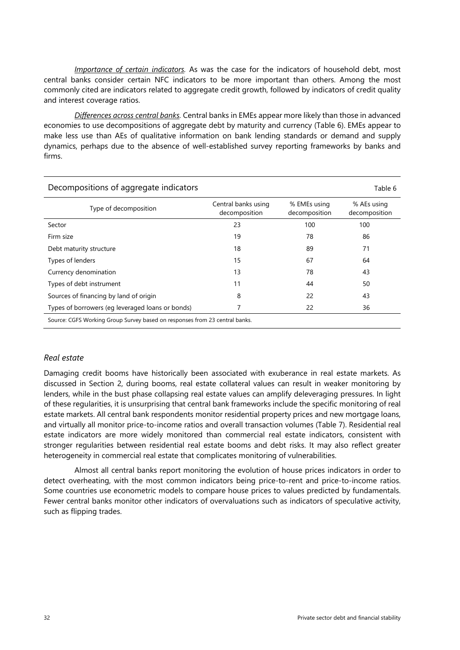*Importance of certain indicators.* As was the case for the indicators of household debt, most central banks consider certain NFC indicators to be more important than others. Among the most commonly cited are indicators related to aggregate credit growth, followed by indicators of credit quality and interest coverage ratios.

*Differences across central banks.* Central banks in EMEs appear more likely than those in advanced economies to use decompositions of aggregate debt by maturity and currency (Table 6). EMEs appear to make less use than AEs of qualitative information on bank lending standards or demand and supply dynamics, perhaps due to the absence of well-established survey reporting frameworks by banks and firms.

| Decompositions of aggregate indicators                                      |                                      |                               | Table 6                      |
|-----------------------------------------------------------------------------|--------------------------------------|-------------------------------|------------------------------|
| Type of decomposition                                                       | Central banks using<br>decomposition | % EMEs using<br>decomposition | % AEs using<br>decomposition |
| Sector                                                                      | 23                                   | 100                           | 100                          |
| Firm size                                                                   | 19                                   | 78                            | 86                           |
| Debt maturity structure                                                     | 18                                   | 89                            | 71                           |
| Types of lenders                                                            | 15                                   | 67                            | 64                           |
| Currency denomination                                                       | 13                                   | 78                            | 43                           |
| Types of debt instrument                                                    | 11                                   | 44                            | 50                           |
| Sources of financing by land of origin                                      | 8                                    | 22                            | 43                           |
| Types of borrowers (eg leveraged loans or bonds)                            |                                      | 22                            | 36                           |
| Source: CGFS Working Group Survey based on responses from 23 central banks. |                                      |                               |                              |

#### *Real estate*

Damaging credit booms have historically been associated with exuberance in real estate markets. As discussed in Section 2, during booms, real estate collateral values can result in weaker monitoring by lenders, while in the bust phase collapsing real estate values can amplify deleveraging pressures. In light of these regularities, it is unsurprising that central bank frameworks include the specific monitoring of real estate markets. All central bank respondents monitor residential property prices and new mortgage loans, and virtually all monitor price-to-income ratios and overall transaction volumes (Table 7). Residential real estate indicators are more widely monitored than commercial real estate indicators, consistent with stronger regularities between residential real estate booms and debt risks. It may also reflect greater heterogeneity in commercial real estate that complicates monitoring of vulnerabilities.

Almost all central banks report monitoring the evolution of house prices indicators in order to detect overheating, with the most common indicators being price-to-rent and price-to-income ratios. Some countries use econometric models to compare house prices to values predicted by fundamentals. Fewer central banks monitor other indicators of overvaluations such as indicators of speculative activity, such as flipping trades.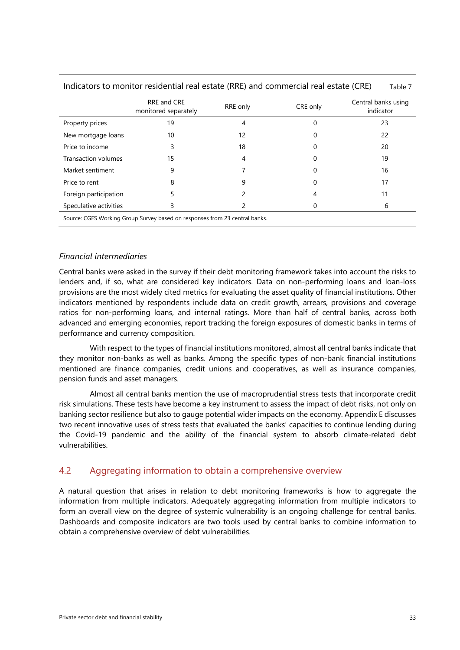|                        | RRE and CRE<br>monitored separately | RRE only | CRE only | Central banks using<br>indicator |
|------------------------|-------------------------------------|----------|----------|----------------------------------|
| Property prices        | 19                                  | 4        | 0        | 23                               |
| New mortgage loans     | 10                                  | 12       |          | 22                               |
| Price to income        |                                     | 18       |          | 20                               |
| Transaction volumes    | 15                                  | 4        |          | 19                               |
| Market sentiment       | 9                                   |          | 0        | 16                               |
| Price to rent          | 8                                   | 9        | 0        | 17                               |
| Foreign participation  | 5                                   | 2        | 4        | 11                               |
| Speculative activities | 3                                   |          | 0        | 6                                |

### <span id="page-34-0"></span>Indicators to monitor residential real estate (RRE) and commercial real estate (CRE) Table 7

#### *Financial intermediaries*

Central banks were asked in the survey if their debt monitoring framework takes into account the risks to lenders and, if so, what are considered key indicators. Data on non-performing loans and loan-loss provisions are the most widely cited metrics for evaluating the asset quality of financial institutions. Other indicators mentioned by respondents include data on credit growth, arrears, provisions and coverage ratios for non-performing loans, and internal ratings. More than half of central banks, across both advanced and emerging economies, report tracking the foreign exposures of domestic banks in terms of performance and currency composition.

With respect to the types of financial institutions monitored, almost all central banks indicate that they monitor non-banks as well as banks. Among the specific types of non-bank financial institutions mentioned are finance companies, credit unions and cooperatives, as well as insurance companies, pension funds and asset managers.

Almost all central banks mention the use of macroprudential stress tests that incorporate credit risk simulations. These tests have become a key instrument to assess the impact of debt risks, not only on banking sector resilience but also to gauge potential wider impacts on the economy. Appendix E discusses two recent innovative uses of stress tests that evaluated the banks' capacities to continue lending during the Covid-19 pandemic and the ability of the financial system to absorb climate-related debt vulnerabilities.

#### 4.2 Aggregating information to obtain a comprehensive overview

A natural question that arises in relation to debt monitoring frameworks is how to aggregate the information from multiple indicators. Adequately aggregating information from multiple indicators to form an overall view on the degree of systemic vulnerability is an ongoing challenge for central banks. Dashboards and composite indicators are two tools used by central banks to combine information to obtain a comprehensive overview of debt vulnerabilities.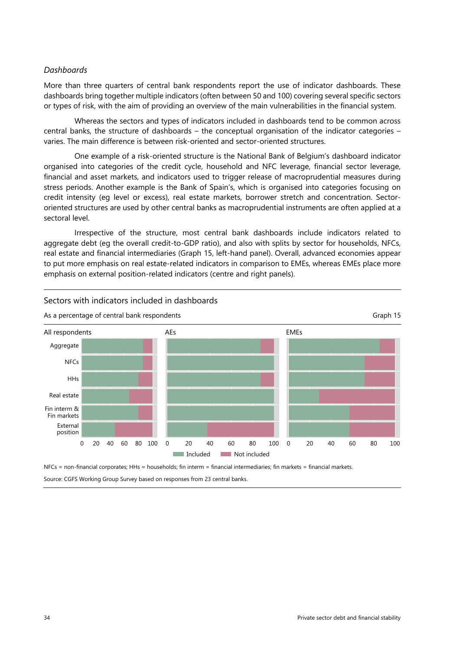#### *Dashboards*

More than three quarters of central bank respondents report the use of indicator dashboards. These dashboards bring together multiple indicators (often between 50 and 100) covering several specific sectors or types of risk, with the aim of providing an overview of the main vulnerabilities in the financial system.

Whereas the sectors and types of indicators included in dashboards tend to be common across central banks, the structure of dashboards – the conceptual organisation of the indicator categories – varies. The main difference is between risk-oriented and sector-oriented structures.

One example of a risk-oriented structure is the National Bank of Belgium's dashboard indicator organised into categories of the credit cycle, household and NFC leverage, financial sector leverage, financial and asset markets, and indicators used to trigger release of macroprudential measures during stress periods. Another example is the Bank of Spain's, which is organised into categories focusing on credit intensity (eg level or excess), real estate markets, borrower stretch and concentration. Sectororiented structures are used by other central banks as macroprudential instruments are often applied at a sectoral level.

Irrespective of the structure, most central bank dashboards include indicators related to aggregate debt (eg the overall credit-to-GDP ratio), and also with splits by sector for households, NFCs, real estate and financial intermediaries (Graph 15, left-hand panel). Overall, advanced economies appear to put more emphasis on real estate-related indicators in comparison to EMEs, whereas EMEs place more emphasis on external position-related indicators (centre and right panels).



### Sectors with indicators included in dashboards

NFCs = non-financial corporates; HHs = households; fin interm = financial intermediaries; fin markets = financial markets.

Source: CGFS Working Group Survey based on responses from 23 central banks.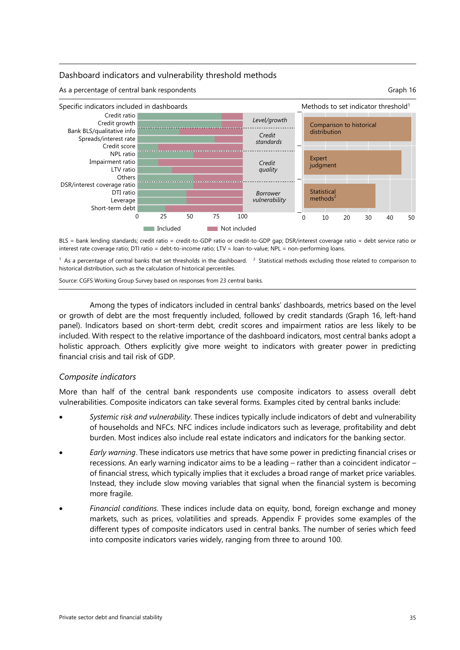#### Dashboard indicators and vulnerability threshold methods

As a percentage of central bank respondents Graph 16



BLS = bank lending standards; credit ratio = credit-to-GDP ratio or credit-to-GDP gap; DSR/interest coverage ratio = debt service ratio or interest rate coverage ratio; DTI ratio = debt-to-income ratio; LTV = loan-to-value; NPL = non-performing loans.

<sup>1</sup> As a percentage of central banks that set thresholds in the dashboard. <sup>2</sup> Statistical methods excluding those related to comparison to historical distribution, such as the calculation of historical percentiles.

Source: CGFS Working Group Survey based on responses from 23 central banks.

Among the types of indicators included in central banks' dashboards, metrics based on the level or growth of debt are the most frequently included, followed by credit standards (Graph 16, left-hand panel). Indicators based on short-term debt, credit scores and impairment ratios are less likely to be included. With respect to the relative importance of the dashboard indicators, most central banks adopt a holistic approach. Others explicitly give more weight to indicators with greater power in predicting financial crisis and tail risk of GDP.

#### *Composite indicators*

More than half of the central bank respondents use composite indicators to assess overall debt vulnerabilities. Composite indicators can take several forms. Examples cited by central banks include:

- *Systemic risk and vulnerability*. These indices typically include indicators of debt and vulnerability of households and NFCs. NFC indices include indicators such as leverage, profitability and debt burden. Most indices also include real estate indicators and indicators for the banking sector.
- *Early warning*. These indicators use metrics that have some power in predicting financial crises or recessions. An early warning indicator aims to be a leading – rather than a coincident indicator – of financial stress, which typically implies that it excludes a broad range of market price variables. Instead, they include slow moving variables that signal when the financial system is becoming more fragile.
- *Financial conditions*. These indices include data on equity, bond, foreign exchange and money markets, such as prices, volatilities and spreads. Appendix F provides some examples of the different types of composite indicators used in central banks. The number of series which feed into composite indicators varies widely, ranging from three to around 100.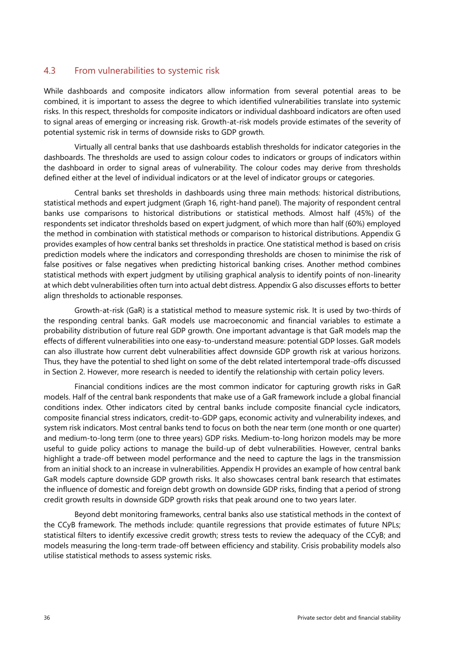### 4.3 From vulnerabilities to systemic risk

While dashboards and composite indicators allow information from several potential areas to be combined, it is important to assess the degree to which identified vulnerabilities translate into systemic risks. In this respect, thresholds for composite indicators or individual dashboard indicators are often used to signal areas of emerging or increasing risk. Growth-at-risk models provide estimates of the severity of potential systemic risk in terms of downside risks to GDP growth.

Virtually all central banks that use dashboards establish thresholds for indicator categories in the dashboards. The thresholds are used to assign colour codes to indicators or groups of indicators within the dashboard in order to signal areas of vulnerability. The colour codes may derive from thresholds defined either at the level of individual indicators or at the level of indicator groups or categories.

Central banks set thresholds in dashboards using three main methods: historical distributions, statistical methods and expert judgment (Graph 16, right-hand panel). The majority of respondent central banks use comparisons to historical distributions or statistical methods. Almost half (45%) of the respondents set indicator thresholds based on expert judgment, of which more than half (60%) employed the method in combination with statistical methods or comparison to historical distributions. Appendix G provides examples of how central banks set thresholds in practice. One statistical method is based on crisis prediction models where the indicators and corresponding thresholds are chosen to minimise the risk of false positives or false negatives when predicting historical banking crises. Another method combines statistical methods with expert judgment by utilising graphical analysis to identify points of non-linearity at which debt vulnerabilities often turn into actual debt distress. Appendix G also discusses efforts to better align thresholds to actionable responses.

Growth-at-risk (GaR) is a statistical method to measure systemic risk. It is used by two-thirds of the responding central banks. GaR models use macroeconomic and financial variables to estimate a probability distribution of future real GDP growth. One important advantage is that GaR models map the effects of different vulnerabilities into one easy-to-understand measure: potential GDP losses. GaR models can also illustrate how current debt vulnerabilities affect downside GDP growth risk at various horizons. Thus, they have the potential to shed light on some of the debt related intertemporal trade-offs discussed in Section 2. However, more research is needed to identify the relationship with certain policy levers.

Financial conditions indices are the most common indicator for capturing growth risks in GaR models. Half of the central bank respondents that make use of a GaR framework include a global financial conditions index. Other indicators cited by central banks include composite financial cycle indicators, composite financial stress indicators, credit-to-GDP gaps, economic activity and vulnerability indexes, and system risk indicators. Most central banks tend to focus on both the near term (one month or one quarter) and medium-to-long term (one to three years) GDP risks. Medium-to-long horizon models may be more useful to guide policy actions to manage the build-up of debt vulnerabilities. However, central banks highlight a trade-off between model performance and the need to capture the lags in the transmission from an initial shock to an increase in vulnerabilities. Appendix H provides an example of how central bank GaR models capture downside GDP growth risks. It also showcases central bank research that estimates the influence of domestic and foreign debt growth on downside GDP risks, finding that a period of strong credit growth results in downside GDP growth risks that peak around one to two years later.

Beyond debt monitoring frameworks, central banks also use statistical methods in the context of the CCyB framework. The methods include: quantile regressions that provide estimates of future NPLs; statistical filters to identify excessive credit growth; stress tests to review the adequacy of the CCyB; and models measuring the long-term trade-off between efficiency and stability. Crisis probability models also utilise statistical methods to assess systemic risks.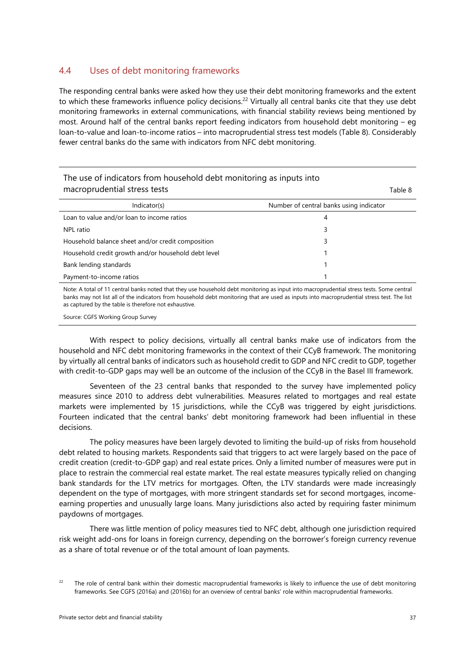# 4.4 Uses of debt monitoring frameworks

The responding central banks were asked how they use their debt monitoring frameworks and the extent to which these frameworks influence policy decisions.<sup>22</sup> Virtually all central banks cite that they use debt monitoring frameworks in external communications, with financial stability reviews being mentioned by most. Around half of the central banks report feeding indicators from household debt monitoring – eg loan-to-value and loan-to-income ratios – into macroprudential stress test models (Table 8). Considerably fewer central banks do the same with indicators from NFC debt monitoring.

| The use of indicators from household debt monitoring as inputs into<br>macroprudential stress tests |                                         |  |  |  |
|-----------------------------------------------------------------------------------------------------|-----------------------------------------|--|--|--|
| Indicator(s)                                                                                        | Number of central banks using indicator |  |  |  |
| Loan to value and/or loan to income ratios                                                          | 4                                       |  |  |  |
| NPL ratio                                                                                           | 3                                       |  |  |  |
| Household balance sheet and/or credit composition                                                   | 3                                       |  |  |  |
| Household credit growth and/or household debt level                                                 |                                         |  |  |  |
| Bank lending standards                                                                              |                                         |  |  |  |
| Payment-to-income ratios                                                                            |                                         |  |  |  |

Note: A total of 11 central banks noted that they use household debt monitoring as input into macroprudential stress tests. Some central banks may not list all of the indicators from household debt monitoring that are used as inputs into macroprudential stress test. The list as captured by the table is therefore not exhaustive.

Source: CGFS Working Group Survey

With respect to policy decisions, virtually all central banks make use of indicators from the household and NFC debt monitoring frameworks in the context of their CCyB framework. The monitoring by virtually all central banks of indicators such as household credit to GDP and NFC credit to GDP, together with credit-to-GDP gaps may well be an outcome of the inclusion of the CCyB in the Basel III framework.

Seventeen of the 23 central banks that responded to the survey have implemented policy measures since 2010 to address debt vulnerabilities. Measures related to mortgages and real estate markets were implemented by 15 jurisdictions, while the CCyB was triggered by eight jurisdictions. Fourteen indicated that the central banks' debt monitoring framework had been influential in these decisions.

The policy measures have been largely devoted to limiting the build-up of risks from household debt related to housing markets. Respondents said that triggers to act were largely based on the pace of credit creation (credit-to-GDP gap) and real estate prices. Only a limited number of measures were put in place to restrain the commercial real estate market. The real estate measures typically relied on changing bank standards for the LTV metrics for mortgages. Often, the LTV standards were made increasingly dependent on the type of mortgages, with more stringent standards set for second mortgages, incomeearning properties and unusually large loans. Many jurisdictions also acted by requiring faster minimum paydowns of mortgages.

There was little mention of policy measures tied to NFC debt, although one jurisdiction required risk weight add-ons for loans in foreign currency, depending on the borrower's foreign currency revenue as a share of total revenue or of the total amount of loan payments.

<span id="page-38-0"></span><sup>&</sup>lt;sup>22</sup> The role of central bank within their domestic macroprudential frameworks is likely to influence the use of debt monitoring frameworks. See CGFS (2016a) and (2016b) for an overview of central banks' role within macroprudential frameworks.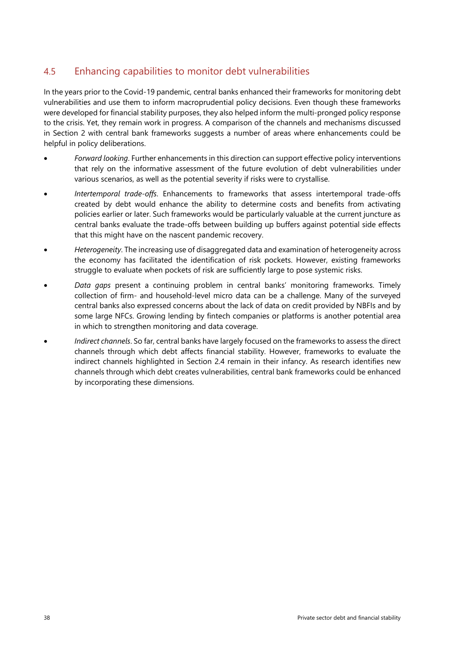# 4.5 Enhancing capabilities to monitor debt vulnerabilities

In the years prior to the Covid-19 pandemic, central banks enhanced their frameworks for monitoring debt vulnerabilities and use them to inform macroprudential policy decisions. Even though these frameworks were developed for financial stability purposes, they also helped inform the multi-pronged policy response to the crisis. Yet, they remain work in progress. A comparison of the channels and mechanisms discussed in Section 2 with central bank frameworks suggests a number of areas where enhancements could be helpful in policy deliberations.

- *Forward looking*. Further enhancements in this direction can support effective policy interventions that rely on the informative assessment of the future evolution of debt vulnerabilities under various scenarios, as well as the potential severity if risks were to crystallise.
- *Intertemporal trade-offs*. Enhancements to frameworks that assess intertemporal trade-offs created by debt would enhance the ability to determine costs and benefits from activating policies earlier or later. Such frameworks would be particularly valuable at the current juncture as central banks evaluate the trade-offs between building up buffers against potential side effects that this might have on the nascent pandemic recovery.
- *Heterogeneity*. The increasing use of disaggregated data and examination of heterogeneity across the economy has facilitated the identification of risk pockets. However, existing frameworks struggle to evaluate when pockets of risk are sufficiently large to pose systemic risks.
- *Data gaps* present a continuing problem in central banks' monitoring frameworks. Timely collection of firm- and household-level micro data can be a challenge. Many of the surveyed central banks also expressed concerns about the lack of data on credit provided by NBFIs and by some large NFCs. Growing lending by fintech companies or platforms is another potential area in which to strengthen monitoring and data coverage.
- *Indirect channels*. So far, central banks have largely focused on the frameworks to assess the direct channels through which debt affects financial stability. However, frameworks to evaluate the indirect channels highlighted in Section 2.4 remain in their infancy. As research identifies new channels through which debt creates vulnerabilities, central bank frameworks could be enhanced by incorporating these dimensions.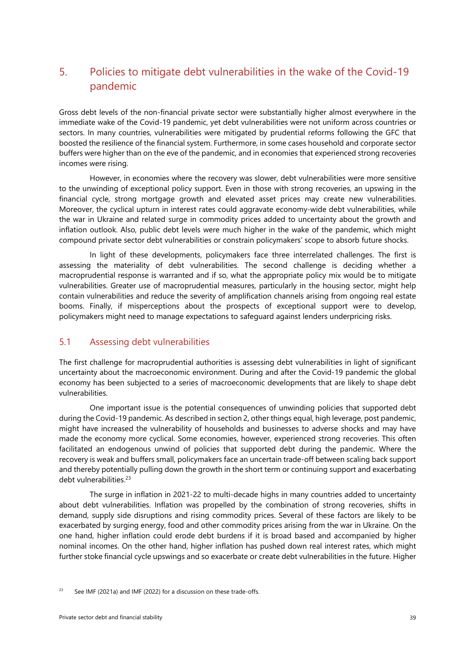# 5. Policies to mitigate debt vulnerabilities in the wake of the Covid-19 pandemic

Gross debt levels of the non-financial private sector were substantially higher almost everywhere in the immediate wake of the Covid-19 pandemic, yet debt vulnerabilities were not uniform across countries or sectors. In many countries, vulnerabilities were mitigated by prudential reforms following the GFC that boosted the resilience of the financial system. Furthermore, in some cases household and corporate sector buffers were higher than on the eve of the pandemic, and in economies that experienced strong recoveries incomes were rising.

However, in economies where the recovery was slower, debt vulnerabilities were more sensitive to the unwinding of exceptional policy support. Even in those with strong recoveries, an upswing in the financial cycle, strong mortgage growth and elevated asset prices may create new vulnerabilities. Moreover, the cyclical upturn in interest rates could aggravate economy-wide debt vulnerabilities, while the war in Ukraine and related surge in commodity prices added to uncertainty about the growth and inflation outlook. Also, public debt levels were much higher in the wake of the pandemic, which might compound private sector debt vulnerabilities or constrain policymakers' scope to absorb future shocks.

In light of these developments, policymakers face three interrelated challenges. The first is assessing the materiality of debt vulnerabilities. The second challenge is deciding whether a macroprudential response is warranted and if so, what the appropriate policy mix would be to mitigate vulnerabilities. Greater use of macroprudential measures, particularly in the housing sector, might help contain vulnerabilities and reduce the severity of amplification channels arising from ongoing real estate booms. Finally, if misperceptions about the prospects of exceptional support were to develop, policymakers might need to manage expectations to safeguard against lenders underpricing risks.

# 5.1 Assessing debt vulnerabilities

The first challenge for macroprudential authorities is assessing debt vulnerabilities in light of significant uncertainty about the macroeconomic environment. During and after the Covid-19 pandemic the global economy has been subjected to a series of macroeconomic developments that are likely to shape debt vulnerabilities.

One important issue is the potential consequences of unwinding policies that supported debt during the Covid-19 pandemic. As described in section 2, other things equal, high leverage, post pandemic, might have increased the vulnerability of households and businesses to adverse shocks and may have made the economy more cyclical. Some economies, however, experienced strong recoveries. This often facilitated an endogenous unwind of policies that supported debt during the pandemic. Where the recovery is weak and buffers small, policymakers face an uncertain trade-off between scaling back support and thereby potentially pulling down the growth in the short term or continuing support and exacerbating debt vulnerabilities.<sup>[23](#page-40-0)</sup>

The surge in inflation in 2021-22 to multi-decade highs in many countries added to uncertainty about debt vulnerabilities. Inflation was propelled by the combination of strong recoveries, shifts in demand, supply side disruptions and rising commodity prices. Several of these factors are likely to be exacerbated by surging energy, food and other commodity prices arising from the war in Ukraine. On the one hand, higher inflation could erode debt burdens if it is broad based and accompanied by higher nominal incomes. On the other hand, higher inflation has pushed down real interest rates, which might further stoke financial cycle upswings and so exacerbate or create debt vulnerabilities in the future. Higher

<span id="page-40-0"></span> $23$  See IMF (2021a) and IMF (2022) for a discussion on these trade-offs.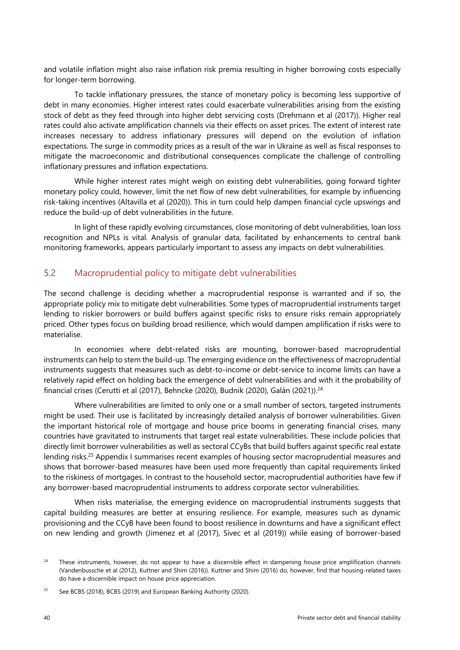and volatile inflation might also raise inflation risk premia resulting in higher borrowing costs especially for longer-term borrowing.

To tackle inflationary pressures, the stance of monetary policy is becoming less supportive of debt in many economies. Higher interest rates could exacerbate vulnerabilities arising from the existing stock of debt as they feed through into higher debt servicing costs (Drehmann et al (2017)). Higher real rates could also activate amplification channels via their effects on asset prices. The extent of interest rate increases necessary to address inflationary pressures will depend on the evolution of inflation expectations. The surge in commodity prices as a result of the war in Ukraine as well as fiscal responses to mitigate the macroeconomic and distributional consequences complicate the challenge of controlling inflationary pressures and inflation expectations.

While higher interest rates might weigh on existing debt vulnerabilities, going forward tighter monetary policy could, however, limit the net flow of new debt vulnerabilities, for example by influencing risk-taking incentives (Altavilla et al (2020)). This in turn could help dampen financial cycle upswings and reduce the build-up of debt vulnerabilities in the future.

In light of these rapidly evolving circumstances, close monitoring of debt vulnerabilities, loan loss recognition and NPLs is vital. Analysis of granular data, facilitated by enhancements to central bank monitoring frameworks, appears particularly important to assess any impacts on debt vulnerabilities.

# 5.2 Macroprudential policy to mitigate debt vulnerabilities

The second challenge is deciding whether a macroprudential response is warranted and if so, the appropriate policy mix to mitigate debt vulnerabilities. Some types of macroprudential instruments target lending to riskier borrowers or build buffers against specific risks to ensure risks remain appropriately priced. Other types focus on building broad resilience, which would dampen amplification if risks were to materialise.

In economies where debt-related risks are mounting, borrower-based macroprudential instruments can help to stem the build-up. The emerging evidence on the effectiveness of macroprudential instruments suggests that measures such as debt-to-income or debt-service to income limits can have a relatively rapid effect on holding back the emergence of debt vulnerabilities and with it the probability of financial crises (Cerutti et al (2017), Behncke (2020), Budnik (2020), Galán (2021)).<sup>24</sup>

Where vulnerabilities are limited to only one or a small number of sectors, targeted instruments might be used. Their use is facilitated by increasingly detailed analysis of borrower vulnerabilities. Given the important historical role of mortgage and house price booms in generating financial crises, many countries have gravitated to instruments that target real estate vulnerabilities. These include policies that directly limit borrower vulnerabilities as well as sectoral CCyBs that build buffers against specific real estate lending risks.[25](#page-41-0) Appendix I summarises recent examples of housing sector macroprudential measures and shows that borrower-based measures have been used more frequently than capital requirements linked to the riskiness of mortgages. In contrast to the household sector, macroprudential authorities have few if any borrower-based macroprudential instruments to address corporate sector vulnerabilities.

When risks materialise, the emerging evidence on macroprudential instruments suggests that capital building measures are better at ensuring resilience. For example, measures such as dynamic provisioning and the CCyB have been found to boost resilience in downturns and have a significant effect on new lending and growth (Jimenez et al (2017), Sivec et al (2019)) while easing of borrower-based

<span id="page-41-1"></span><sup>&</sup>lt;sup>24</sup> These instruments, however, do not appear to have a discernible effect in dampening house price amplification channels (Vandenbussche et al (2012), Kuttner and Shim (2016)). Kuttner and Shim (2016) do, however, find that housing-related taxes do have a discernible impact on house price appreciation.

<span id="page-41-0"></span><sup>&</sup>lt;sup>25</sup> See BCBS (2018), BCBS (2019) and European Banking Authority (2020).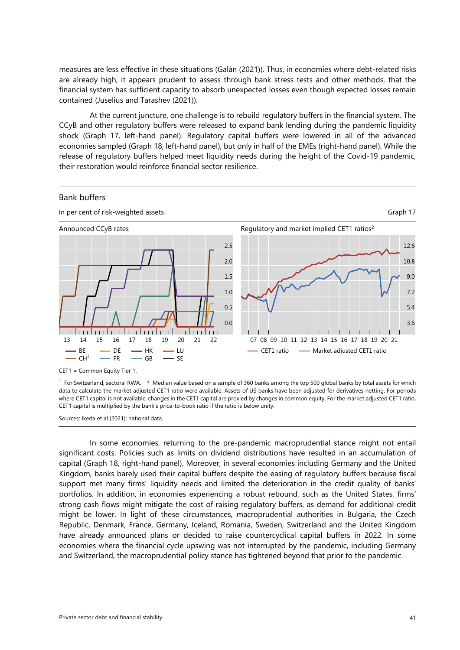measures are less effective in these situations (Galán (2021)). Thus, in economies where debt-related risks are already high, it appears prudent to assess through bank stress tests and other methods, that the financial system has sufficient capacity to absorb unexpected losses even though expected losses remain contained (Juselius and Tarashev (2021)).

At the current juncture, one challenge is to rebuild regulatory buffers in the financial system. The CCyB and other regulatory buffers were released to expand bank lending during the pandemic liquidity shock (Graph 17, left-hand panel). Regulatory capital buffers were lowered in all of the advanced economies sampled (Graph 18, left-hand panel), but only in half of the EMEs (right-hand panel). While the release of regulatory buffers helped meet liquidity needs during the height of the Covid-19 pandemic, their restoration would reinforce financial sector resilience.



CET1 = Common Equity Tier 1.

<sup>1</sup> For Switzerland, sectoral RWA. <sup>2</sup> Median value based on a sample of 360 banks among the top 500 global banks by total assets for which data to calculate the market adjusted CET1 ratio were available. Assets of US banks have been adjusted for derivatives netting. For periods where CET1 capital is not available, changes in the CET1 capital are proxied by changes in common equity. For the market adjusted CET1 ratio, CET1 capital is multiplied by the bank's price-to-book ratio if the ratio is below unity.

Sources: Ikeda et al (2021); national data.

In some economies, returning to the pre-pandemic macroprudential stance might not entail significant costs. Policies such as limits on dividend distributions have resulted in an accumulation of capital (Graph 18, right-hand panel). Moreover, in several economies including Germany and the United Kingdom, banks barely used their capital buffers despite the easing of regulatory buffers because fiscal support met many firms' liquidity needs and limited the deterioration in the credit quality of banks' portfolios. In addition, in economies experiencing a robust rebound, such as the United States, firms' strong cash flows might mitigate the cost of raising regulatory buffers, as demand for additional credit might be lower. In light of these circumstances, macroprudential authorities in Bulgaria, the Czech Republic, Denmark, France, Germany, Iceland, Romania, Sweden, Switzerland and the United Kingdom have already announced plans or decided to raise countercyclical capital buffers in 2022. In some economies where the financial cycle upswing was not interrupted by the pandemic, including Germany and Switzerland, the macroprudential policy stance has tightened beyond that prior to the pandemic.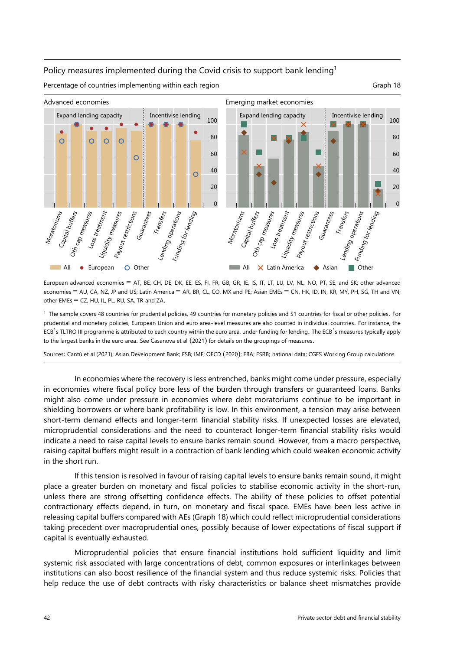# Policy measures implemented during the Covid crisis to support bank lending<sup>1</sup> Percentage of countries implementing within each region Graph 18 Advanced economies Emerging market economies Expand lending capacity | | Incentivise lending Expand lending capacity | | Incentivise lending



European advanced economies = AT, BE, CH, DE, DK, EE, ES, FI, FR, GB, GR, IE, IS, IT, LT, LU, LV, NL, NO, PT, SE, and SK; other advanced economies = AU, CA, NZ, JP and US; Latin America = AR, BR, CL, CO, MX and PE; Asian EMEs = CN, HK, ID, IN, KR, MY, PH, SG, TH and VN; other EMEs  $=$  CZ, HU, IL, PL, RU, SA, TR and ZA.

<sup>1</sup> The sample covers 48 countries for prudential policies, 49 countries for monetary policies and 51 countries for fiscal or other policies. For prudential and monetary policies, European Union and euro area-level measures are also counted in individual countries. For instance, the ECB's TLTRO III programme is attributed to each country within the euro area, under funding for lending. The ECB's measures typically apply to the largest banks in the euro area. See Casanova et al (2021) for details on the groupings of measures.

Sources: Cantú et al (2021); Asian Development Bank; FSB; IMF; OECD (2020); EBA; ESRB; national data; CGFS Working Group calculations.

In economies where the recovery is less entrenched, banks might come under pressure, especially in economies where fiscal policy bore less of the burden through transfers or guaranteed loans. Banks might also come under pressure in economies where debt moratoriums continue to be important in shielding borrowers or where bank profitability is low. In this environment, a tension may arise between short-term demand effects and longer-term financial stability risks. If unexpected losses are elevated, microprudential considerations and the need to counteract longer-term financial stability risks would indicate a need to raise capital levels to ensure banks remain sound. However, from a macro perspective, raising capital buffers might result in a contraction of bank lending which could weaken economic activity in the short run.

If this tension is resolved in favour of raising capital levels to ensure banks remain sound, it might place a greater burden on monetary and fiscal policies to stabilise economic activity in the short-run, unless there are strong offsetting confidence effects. The ability of these policies to offset potential contractionary effects depend, in turn, on monetary and fiscal space. EMEs have been less active in releasing capital buffers compared with AEs (Graph 18) which could reflect microprudential considerations taking precedent over macroprudential ones, possibly because of lower expectations of fiscal support if capital is eventually exhausted.

Microprudential policies that ensure financial institutions hold sufficient liquidity and limit systemic risk associated with large concentrations of debt, common exposures or interlinkages between institutions can also boost resilience of the financial system and thus reduce systemic risks. Policies that help reduce the use of debt contracts with risky characteristics or balance sheet mismatches provide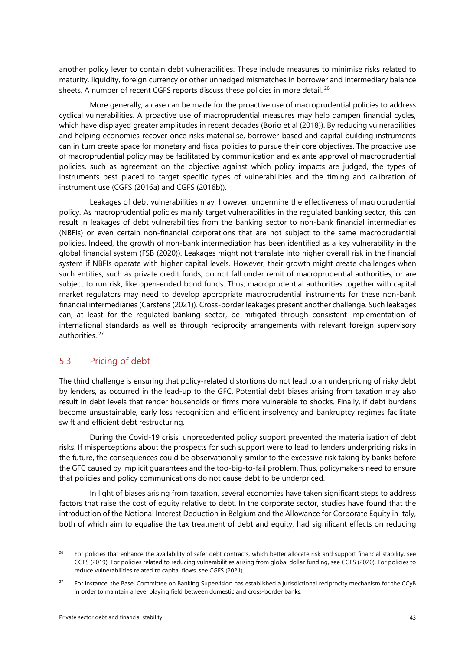another policy lever to contain debt vulnerabilities. These include measures to minimise risks related to maturity, liquidity, foreign currency or other unhedged mismatches in borrower and intermediary balance sheets. A number of recent CGFS reports discuss these policies in more detail. <sup>26</sup>

More generally, a case can be made for the proactive use of macroprudential policies to address cyclical vulnerabilities. A proactive use of macroprudential measures may help dampen financial cycles, which have displayed greater amplitudes in recent decades (Borio et al (2018)). By reducing vulnerabilities and helping economies recover once risks materialise, borrower-based and capital building instruments can in turn create space for monetary and fiscal policies to pursue their core objectives. The proactive use of macroprudential policy may be facilitated by communication and ex ante approval of macroprudential policies, such as agreement on the objective against which policy impacts are judged, the types of instruments best placed to target specific types of vulnerabilities and the timing and calibration of instrument use (CGFS (2016a) and CGFS (2016b)).

Leakages of debt vulnerabilities may, however, undermine the effectiveness of macroprudential policy. As macroprudential policies mainly target vulnerabilities in the regulated banking sector, this can result in leakages of debt vulnerabilities from the banking sector to non-bank financial intermediaries (NBFIs) or even certain non-financial corporations that are not subject to the same macroprudential policies. Indeed, the growth of non-bank intermediation has been identified as a key vulnerability in the global financial system (FSB (2020)). Leakages might not translate into higher overall risk in the financial system if NBFIs operate with higher capital levels. However, their growth might create challenges when such entities, such as private credit funds, do not fall under remit of macroprudential authorities, or are subject to run risk, like open-ended bond funds. Thus, macroprudential authorities together with capital market regulators may need to develop appropriate macroprudential instruments for these non-bank financial intermediaries (Carstens (2021)). Cross-border leakages present another challenge. Such leakages can, at least for the regulated banking sector, be mitigated through consistent implementation of international standards as well as through reciprocity arrangements with relevant foreign supervisory authorities. [27](#page-44-0)

# 5.3 Pricing of debt

The third challenge is ensuring that policy-related distortions do not lead to an underpricing of risky debt by lenders, as occurred in the lead-up to the GFC. Potential debt biases arising from taxation may also result in debt levels that render households or firms more vulnerable to shocks. Finally, if debt burdens become unsustainable, early loss recognition and efficient insolvency and bankruptcy regimes facilitate swift and efficient debt restructuring.

During the Covid-19 crisis, unprecedented policy support prevented the materialisation of debt risks. If misperceptions about the prospects for such support were to lead to lenders underpricing risks in the future, the consequences could be observationally similar to the excessive risk taking by banks before the GFC caused by implicit guarantees and the too-big-to-fail problem. Thus, policymakers need to ensure that policies and policy communications do not cause debt to be underpriced.

In light of biases arising from taxation, several economies have taken significant steps to address factors that raise the cost of equity relative to debt. In the corporate sector, studies have found that the introduction of the Notional Interest Deduction in Belgium and the Allowance for Corporate Equity in Italy, both of which aim to equalise the tax treatment of debt and equity, had significant effects on reducing

<span id="page-44-1"></span><sup>26</sup> For policies that enhance the availability of safer debt contracts, which better allocate risk and support financial stability, see CGFS (2019). For policies related to reducing vulnerabilities arising from global dollar funding, see CGFS (2020). For policies to reduce vulnerabilities related to capital flows, see CGFS (2021).

<span id="page-44-0"></span><sup>&</sup>lt;sup>27</sup> For instance, the Basel Committee on Banking Supervision has established a jurisdictional reciprocity mechanism for the CCyB in order to maintain a level playing field between domestic and cross-border banks.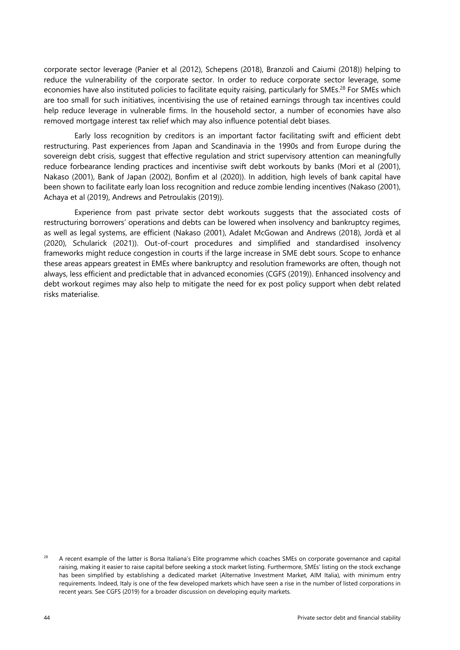corporate sector leverage (Panier et al (2012), Schepens (2018), Branzoli and Caiumi (2018)) helping to reduce the vulnerability of the corporate sector. In order to reduce corporate sector leverage, some economies have also instituted policies to facilitate equity raising, particularly for SMEs.<sup>28</sup> For SMEs which are too small for such initiatives, incentivising the use of retained earnings through tax incentives could help reduce leverage in vulnerable firms. In the household sector, a number of economies have also removed mortgage interest tax relief which may also influence potential debt biases.

Early loss recognition by creditors is an important factor facilitating swift and efficient debt restructuring. Past experiences from Japan and Scandinavia in the 1990s and from Europe during the sovereign debt crisis, suggest that effective regulation and strict supervisory attention can meaningfully reduce forbearance lending practices and incentivise swift debt workouts by banks (Mori et al (2001), Nakaso (2001), Bank of Japan (2002), Bonfim et al (2020)). In addition, high levels of bank capital have been shown to facilitate early loan loss recognition and reduce zombie lending incentives (Nakaso (2001), Achaya et al (2019), Andrews and Petroulakis (2019)).

Experience from past private sector debt workouts suggests that the associated costs of restructuring borrowers' operations and debts can be lowered when insolvency and bankruptcy regimes, as well as legal systems, are efficient (Nakaso (2001), Adalet McGowan and Andrews (2018), Jordà et al (2020), Schularick (2021)). Out-of-court procedures and simplified and standardised insolvency frameworks might reduce congestion in courts if the large increase in SME debt sours. Scope to enhance these areas appears greatest in EMEs where bankruptcy and resolution frameworks are often, though not always, less efficient and predictable that in advanced economies (CGFS (2019)). Enhanced insolvency and debt workout regimes may also help to mitigate the need for ex post policy support when debt related risks materialise.

<span id="page-45-0"></span><sup>&</sup>lt;sup>28</sup> A recent example of the latter is Borsa Italiana's Elite programme which coaches SMEs on corporate governance and capital raising, making it easier to raise capital before seeking a stock market listing. Furthermore, SMEs' listing on the stock exchange has been simplified by establishing a dedicated market (Alternative Investment Market, AIM Italia), with minimum entry requirements. Indeed, Italy is one of the few developed markets which have seen a rise in the number of listed corporations in recent years. See CGFS (2019) for a broader discussion on developing equity markets.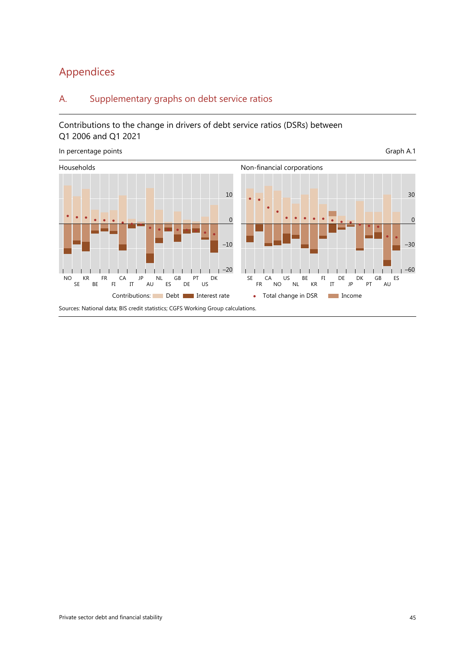# Appendices

# A. Supplementary graphs on debt service ratios

# Contributions to the change in drivers of debt service ratios (DSRs) between Q1 2006 and Q1 2021

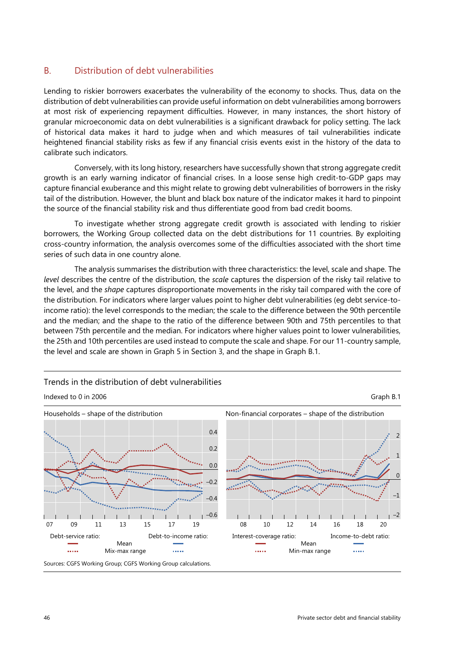# B. Distribution of debt vulnerabilities

Lending to riskier borrowers exacerbates the vulnerability of the economy to shocks. Thus, data on the distribution of debt vulnerabilities can provide useful information on debt vulnerabilities among borrowers at most risk of experiencing repayment difficulties. However, in many instances, the short history of granular microeconomic data on debt vulnerabilities is a significant drawback for policy setting. The lack of historical data makes it hard to judge when and which measures of tail vulnerabilities indicate heightened financial stability risks as few if any financial crisis events exist in the history of the data to calibrate such indicators.

Conversely, with its long history, researchers have successfully shown that strong aggregate credit growth is an early warning indicator of financial crises. In a loose sense high credit-to-GDP gaps may capture financial exuberance and this might relate to growing debt vulnerabilities of borrowers in the risky tail of the distribution. However, the blunt and black box nature of the indicator makes it hard to pinpoint the source of the financial stability risk and thus differentiate good from bad credit booms.

To investigate whether strong aggregate credit growth is associated with lending to riskier borrowers, the Working Group collected data on the debt distributions for 11 countries. By exploiting cross-country information, the analysis overcomes some of the difficulties associated with the short time series of such data in one country alone.

The analysis summarises the distribution with three characteristics: the level, scale and shape. The *level* describes the centre of the distribution, the *scale* captures the dispersion of the risky tail relative to the level, and the *shape* captures disproportionate movements in the risky tail compared with the core of the distribution. For indicators where larger values point to higher debt vulnerabilities (eg debt service-toincome ratio): the level corresponds to the median; the scale to the difference between the 90th percentile and the median; and the shape to the ratio of the difference between 90th and 75th percentiles to that between 75th percentile and the median. For indicators where higher values point to lower vulnerabilities, the 25th and 10th percentiles are used instead to compute the scale and shape. For our 11-country sample, the level and scale are shown in Graph 5 in Section 3, and the shape in Graph B.1.

### Trends in the distribution of debt vulnerabilities



46 Private sector debt and financial stability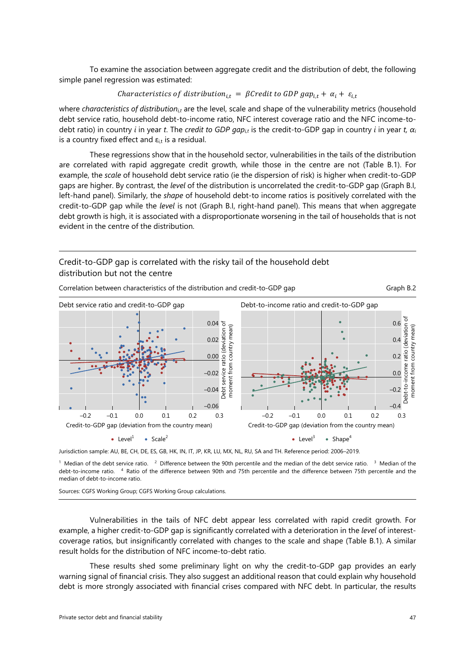To examine the association between aggregate credit and the distribution of debt, the following simple panel regression was estimated:

#### Characteristics of distribution<sub>it</sub> =  $\beta$ Credit to GDP gap<sub>it</sub> +  $\alpha_i$  +  $\varepsilon_{i,t}$

where *characteristics of distributioni,t* are the level, scale and shape of the vulnerability metrics (household debt service ratio, household debt-to-income ratio, NFC interest coverage ratio and the NFC income-todebt ratio) in country *i* in year *t*. The *credit to GDP gapi,t* is the credit-to-GDP gap in country *i* in year *t, α<sup>i</sup>* is a country fixed effect and  $\varepsilon_{i,t}$  is a residual.

These regressions show that in the household sector, vulnerabilities in the tails of the distribution are correlated with rapid aggregate credit growth, while those in the centre are not (Table B.1). For example, the *scale* of household debt service ratio (ie the dispersion of risk) is higher when credit-to-GDP gaps are higher. By contrast, the *level* of the distribution is uncorrelated the credit-to-GDP gap (Graph B.I, left-hand panel). Similarly, the *shape* of household debt-to income ratios is positively correlated with the credit-to-GDP gap while the *level* is not (Graph B.I, right-hand panel). This means that when aggregate debt growth is high, it is associated with a disproportionate worsening in the tail of households that is not evident in the centre of the distribution.

Credit-to-GDP gap is correlated with the risky tail of the household debt distribution but not the centre



Correlation between characteristics of the distribution and credit-to-GDP gap Graph B.2

Jurisdiction sample: AU, BE, CH, DE, ES, GB, HK, IN, IT, JP, KR, LU, MX, NL, RU, SA and TH. Reference period: 2006–2019.

<sup>1</sup> Median of the debt service ratio. <sup>2</sup> Difference between the 90th percentile and the median of the debt service ratio. <sup>3</sup> Median of the debt-to-income ratio. 4 Ratio of the difference between 90th and 75th percentile and the difference between 75th percentile and the median of debt-to-income ratio.

Sources: CGFS Working Group; CGFS Working Group calculations.

Vulnerabilities in the tails of NFC debt appear less correlated with rapid credit growth. For example, a higher credit-to-GDP gap is significantly correlated with a deterioration in the *level* of interestcoverage ratios, but insignificantly correlated with changes to the scale and shape (Table B.1). A similar result holds for the distribution of NFC income-to-debt ratio.

These results shed some preliminary light on why the credit-to-GDP gap provides an early warning signal of financial crisis. They also suggest an additional reason that could explain why household debt is more strongly associated with financial crises compared with NFC debt. In particular, the results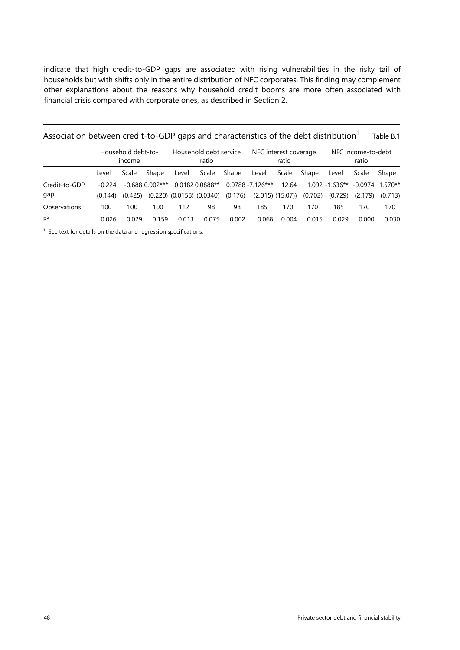indicate that high credit-to-GDP gaps are associated with rising vulnerabilities in the risky tail of households but with shifts only in the entire distribution of NFC corporates. This finding may complement other explanations about the reasons why household credit booms are more often associated with financial crisis compared with corporate ones, as described in Section 2.

| Association between credit-to-GDP gaps and characteristics of the debt distribution <sup>1</sup><br>Table B.1 |  |
|---------------------------------------------------------------------------------------------------------------|--|
|---------------------------------------------------------------------------------------------------------------|--|

|                                                                              | Household debt-to-<br>income |         | Household debt service<br>ratio |       | NFC interest coverage<br>ratio  |         |                     | NFC income-to-debt<br>ratio |         |                   |         |           |
|------------------------------------------------------------------------------|------------------------------|---------|---------------------------------|-------|---------------------------------|---------|---------------------|-----------------------------|---------|-------------------|---------|-----------|
|                                                                              | Level                        | Scale   | Shape                           | Level | Scale                           | Shape   | Level               | Scale                       | Shape   | Level             | Scale   | Shape     |
| Credit-to-GDP                                                                | $-0.224$                     |         | $-0.6880.902***$                |       | 0.0182 0.0888**                 |         | $0.0788 - 7.126***$ | 12.64                       |         | $1.092 - 1.636**$ | -0.0974 | $1.570**$ |
| gap                                                                          | (0.144)                      | (0.425) |                                 |       | $(0.220)$ $(0.0158)$ $(0.0340)$ | (0.176) |                     | $(2.015)$ $(15.07)$         | (0.702) | (0.729)           | (2.179) | (0.713)   |
| Observations                                                                 | 100                          | 100     | 100                             | 112   | 98                              | 98      | 185                 | 170                         | 170     | 185               | 170     | 170       |
| $R^2$                                                                        | 0.026                        | 0.029   | 0.159                           | 0.013 | 0.075                           | 0.002   | 0.068               | 0.004                       | 0.015   | 0.029             | 0.000   | 0.030     |
| <sup>1</sup> See text for details on the data and regression specifications. |                              |         |                                 |       |                                 |         |                     |                             |         |                   |         |           |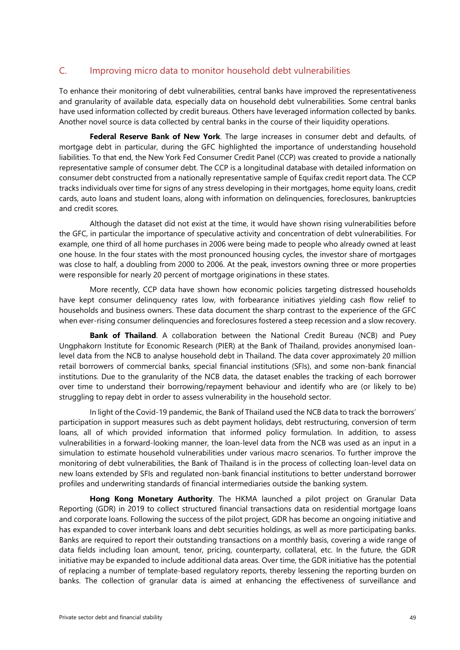# C. Improving micro data to monitor household debt vulnerabilities

To enhance their monitoring of debt vulnerabilities, central banks have improved the representativeness and granularity of available data, especially data on household debt vulnerabilities. Some central banks have used information collected by credit bureaus. Others have leveraged information collected by banks. Another novel source is data collected by central banks in the course of their liquidity operations.

**Federal Reserve Bank of New York**. The large increases in consumer debt and defaults, of mortgage debt in particular, during the GFC highlighted the importance of understanding household liabilities. To that end, the New York Fed Consumer Credit Panel (CCP) was created to provide a nationally representative sample of consumer debt. The CCP is a longitudinal database with detailed information on consumer debt constructed from a nationally representative sample of Equifax credit report data. The CCP tracks individuals over time for signs of any stress developing in their mortgages, home equity loans, credit cards, auto loans and student loans, along with information on delinquencies, foreclosures, bankruptcies and credit scores.

Although the dataset did not exist at the time, it would have shown rising vulnerabilities before the GFC, in particular the importance of speculative activity and concentration of debt vulnerabilities. For example, one third of all home purchases in 2006 were being made to people who already owned at least one house. In the four states with the most pronounced housing cycles, the investor share of mortgages was close to half, a doubling from 2000 to 2006. At the peak, investors owning three or more properties were responsible for nearly 20 percent of mortgage originations in these states.

More recently, CCP data have shown how economic policies targeting distressed households have kept consumer delinquency rates low, with forbearance initiatives yielding cash flow relief to households and business owners. These data document the sharp contrast to the experience of the GFC when ever-rising consumer delinquencies and foreclosures fostered a steep recession and a slow recovery.

**Bank of Thailand**. A collaboration between the National Credit Bureau (NCB) and Puey Ungphakorn Institute for Economic Research (PIER) at the Bank of Thailand, provides anonymised loanlevel data from the NCB to analyse household debt in Thailand. The data cover approximately 20 million retail borrowers of commercial banks, special financial institutions (SFIs), and some non-bank financial institutions. Due to the granularity of the NCB data, the dataset enables the tracking of each borrower over time to understand their borrowing/repayment behaviour and identify who are (or likely to be) struggling to repay debt in order to assess vulnerability in the household sector.

In light of the Covid-19 pandemic, the Bank of Thailand used the NCB data to track the borrowers' participation in support measures such as debt payment holidays, debt restructuring, conversion of term loans, all of which provided information that informed policy formulation. In addition, to assess vulnerabilities in a forward-looking manner, the loan-level data from the NCB was used as an input in a simulation to estimate household vulnerabilities under various macro scenarios. To further improve the monitoring of debt vulnerabilities, the Bank of Thailand is in the process of collecting loan-level data on new loans extended by SFIs and regulated non-bank financial institutions to better understand borrower profiles and underwriting standards of financial intermediaries outside the banking system.

**Hong Kong Monetary Authority**. The HKMA launched a pilot project on Granular Data Reporting (GDR) in 2019 to collect structured financial transactions data on residential mortgage loans and corporate loans. Following the success of the pilot project, GDR has become an ongoing initiative and has expanded to cover interbank loans and debt securities holdings, as well as more participating banks. Banks are required to report their outstanding transactions on a monthly basis, covering a wide range of data fields including loan amount, tenor, pricing, counterparty, collateral, etc. In the future, the GDR initiative may be expanded to include additional data areas. Over time, the GDR initiative has the potential of replacing a number of template-based regulatory reports, thereby lessening the reporting burden on banks. The collection of granular data is aimed at enhancing the effectiveness of surveillance and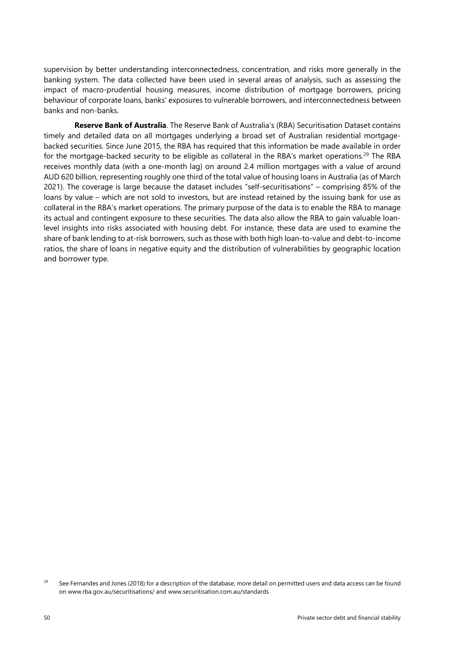supervision by better understanding interconnectedness, concentration, and risks more generally in the banking system. The data collected have been used in several areas of analysis, such as assessing the impact of macro-prudential housing measures, income distribution of mortgage borrowers, pricing behaviour of corporate loans, banks' exposures to vulnerable borrowers, and interconnectedness between banks and non-banks.

**Reserve Bank of Australia**. The Reserve Bank of Australia's (RBA) Securitisation Dataset contains timely and detailed data on all mortgages underlying a broad set of Australian residential mortgagebacked securities. Since June 2015, the RBA has required that this information be made available in order for the mortgage-backed security to be eligible as collateral in the RBA's market operations.<sup>29</sup> The RBA receives monthly data (with a one-month lag) on around 2.4 million mortgages with a value of around AUD 620 billion, representing roughly one third of the total value of housing loans in Australia (as of March 2021). The coverage is large because the dataset includes "self-securitisations" – comprising 85% of the loans by value – which are not sold to investors, but are instead retained by the issuing bank for use as collateral in the RBA's market operations. The primary purpose of the data is to enable the RBA to manage its actual and contingent exposure to these securities. The data also allow the RBA to gain valuable loanlevel insights into risks associated with housing debt. For instance, these data are used to examine the share of bank lending to at-risk borrowers, such as those with both high loan-to-value and debt-to-income ratios, the share of loans in negative equity and the distribution of vulnerabilities by geographic location and borrower type.

<span id="page-51-0"></span><sup>&</sup>lt;sup>29</sup> Se[e Fernandes and Jones \(2018\) f](https://www.rba.gov.au/publications/bulletin/2018/dec/the-reserve-banks-securitisation-dataset.html)or a description of the database; more detail on permitted users and data access can be found on [www.rba.gov.au/securitisations/](http://www.rba.gov.au/securitisations/) an[d www.securitisation.com.au/standards](http://www.securitisation.com.au/standards)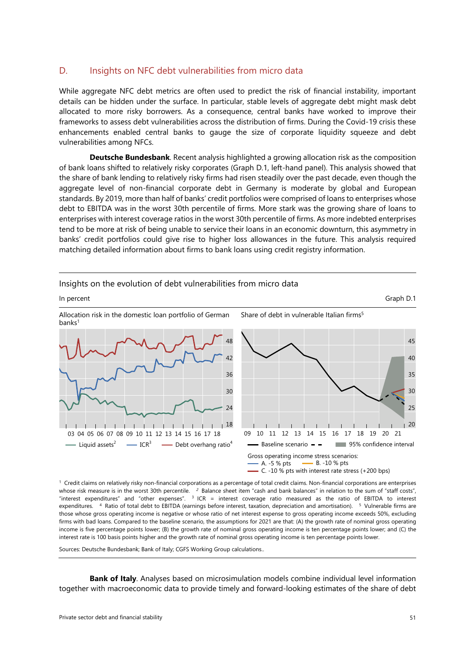# D. Insights on NFC debt vulnerabilities from micro data

While aggregate NFC debt metrics are often used to predict the risk of financial instability, important details can be hidden under the surface. In particular, stable levels of aggregate debt might mask debt allocated to more risky borrowers. As a consequence, central banks have worked to improve their frameworks to assess debt vulnerabilities across the distribution of firms. During the Covid-19 crisis these enhancements enabled central banks to gauge the size of corporate liquidity squeeze and debt vulnerabilities among NFCs.

**Deutsche Bundesbank**. Recent analysis highlighted a growing allocation risk as the composition of bank loans shifted to relatively risky corporates (Graph D.1, left-hand panel). This analysis showed that the share of bank lending to relatively risky firms had risen steadily over the past decade, even though the aggregate level of non-financial corporate debt in Germany is moderate by global and European standards. By 2019, more than half of banks' credit portfolios were comprised of loans to enterprises whose debt to EBITDA was in the worst 30th percentile of firms. More stark was the growing share of loans to enterprises with interest coverage ratios in the worst 30th percentile of firms. As more indebted enterprises tend to be more at risk of being unable to service their loans in an economic downturn, this asymmetry in banks' credit portfolios could give rise to higher loss allowances in the future. This analysis required matching detailed information about firms to bank loans using credit registry information.



Insights on the evolution of debt vulnerabilities from micro data

1 Credit claims on relatively risky non-financial corporations as a percentage of total credit claims. Non-financial corporations are enterprises whose risk measure is in the worst 30th percentile. <sup>2</sup> Balance sheet item "cash and bank balances" in relation to the sum of "staff costs", "interest expenditures" and "other expenses".  $3$  ICR = interest coverage ratio measured as the ratio of EBITDA to interest expenditures. 4 Ratio of total debt to EBITDA (earnings before interest, taxation, depreciation and amortisation). 5 Vulnerable firms are those whose gross operating income is negative or whose ratio of net interest expense to gross operating income exceeds 50%, excluding firms with bad loans. Compared to the baseline scenario, the assumptions for 2021 are that: (A) the growth rate of nominal gross operating income is five percentage points lower; (B) the growth rate of nominal gross operating income is ten percentage points lower; and (C) the interest rate is 100 basis points higher and the growth rate of nominal gross operating income is ten percentage points lower.

Sources: Deutsche Bundesbank; Bank of Italy; CGFS Working Group calculations..

**Bank of Italy**. Analyses based on microsimulation models combine individual level information together with macroeconomic data to provide timely and forward-looking estimates of the share of debt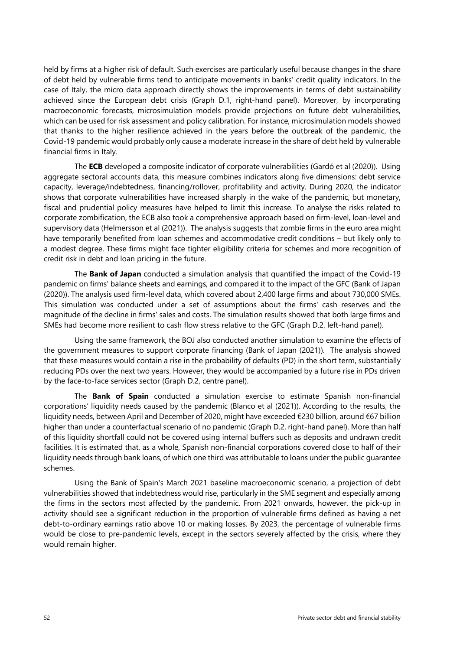held by firms at a higher risk of default. Such exercises are particularly useful because changes in the share of debt held by vulnerable firms tend to anticipate movements in banks' credit quality indicators. In the case of Italy, the micro data approach directly shows the improvements in terms of debt sustainability achieved since the European debt crisis (Graph D.1, right-hand panel). Moreover, by incorporating macroeconomic forecasts, microsimulation models provide projections on future debt vulnerabilities, which can be used for risk assessment and policy calibration. For instance, microsimulation models showed that thanks to the higher resilience achieved in the years before the outbreak of the pandemic, the Covid-19 pandemic would probably only cause a moderate increase in the share of debt held by vulnerable financial firms in Italy.

The **ECB** developed a composite indicator of corporate vulnerabilities (Gardó et al (2020)). Using aggregate sectoral accounts data, this measure combines indicators along five dimensions: debt service capacity, leverage/indebtedness, financing/rollover, profitability and activity. During 2020, the indicator shows that corporate vulnerabilities have increased sharply in the wake of the pandemic, but monetary, fiscal and prudential policy measures have helped to limit this increase. To analyse the risks related to corporate zombification, the ECB also took a comprehensive approach based on firm-level, loan-level and supervisory data (Helmersson et al (2021)). The analysis suggests that zombie firms in the euro area might have temporarily benefited from loan schemes and accommodative credit conditions – but likely only to a modest degree. These firms might face tighter eligibility criteria for schemes and more recognition of credit risk in debt and loan pricing in the future.

The **Bank of Japan** conducted a simulation analysis that quantified the impact of the Covid-19 pandemic on firms' balance sheets and earnings, and compared it to the impact of the GFC (Bank of Japan (2020)). The analysis used firm-level data, which covered about 2,400 large firms and about 730,000 SMEs. This simulation was conducted under a set of assumptions about the firms' cash reserves and the magnitude of the decline in firms' sales and costs. The simulation results showed that both large firms and SMEs had become more resilient to cash flow stress relative to the GFC (Graph D.2, left-hand panel).

Using the same framework, the BOJ also conducted another simulation to examine the effects of the government measures to support corporate financing (Bank of Japan (2021)). The analysis showed that these measures would contain a rise in the probability of defaults (PD) in the short term, substantially reducing PDs over the next two years. However, they would be accompanied by a future rise in PDs driven by the face-to-face services sector (Graph D.2, centre panel).

The **Bank of Spain** conducted a simulation exercise to estimate Spanish non-financial corporations' liquidity needs caused by the pandemic (Blanco et al (2021)). According to the results, the liquidity needs, between April and December of 2020, might have exceeded €230 billion, around €67 billion higher than under a counterfactual scenario of no pandemic (Graph D.2, right-hand panel). More than half of this liquidity shortfall could not be covered using internal buffers such as deposits and undrawn credit facilities. It is estimated that, as a whole, Spanish non-financial corporations covered close to half of their liquidity needs through bank loans, of which one third was attributable to loans under the public guarantee schemes.

Using the Bank of Spain's March 2021 baseline macroeconomic scenario, a projection of debt vulnerabilities showed that indebtedness would rise, particularly in the SME segment and especially among the firms in the sectors most affected by the pandemic. From 2021 onwards, however, the pick-up in activity should see a significant reduction in the proportion of vulnerable firms defined as having a net debt-to-ordinary earnings ratio above 10 or making losses. By 2023, the percentage of vulnerable firms would be close to pre-pandemic levels, except in the sectors severely affected by the crisis, where they would remain higher.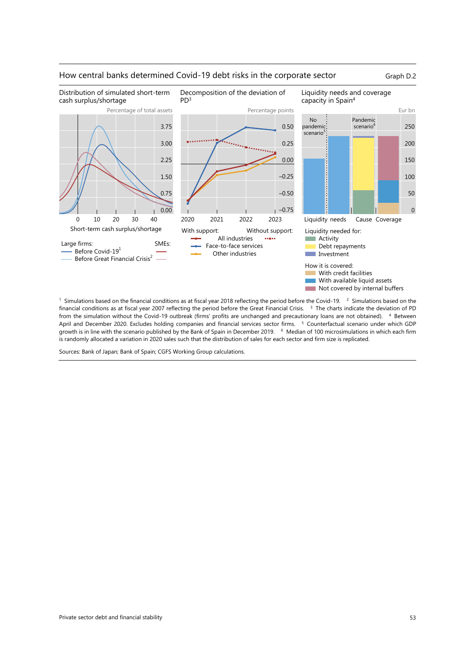

#### How central banks determined Covid-19 debt risks in the corporate sector Graph D.2

<sup>1</sup> Simulations based on the financial conditions as at fiscal year 2018 reflecting the period before the Covid-19. <sup>2</sup> Simulations based on the financial conditions as at fiscal year 2007 reflecting the period before the Great Financial Crisis. <sup>3</sup> The charts indicate the deviation of PD from the simulation without the Covid-19 outbreak (firms' profits are unchanged and precautionary loans are not obtained). <sup>4</sup> Between April and December 2020. Excludes holding companies and financial services sector firms. <sup>5</sup> Counterfactual scenario under which GDP growth is in line with the scenario published by the Bank of Spain in December 2019. <sup>6</sup> Median of 100 microsimulations in which each firm is randomly allocated a variation in 2020 sales such that the distribution of sales for each sector and firm size is replicated.

Sources: Bank of Japan; Bank of Spain; CGFS Working Group calculations.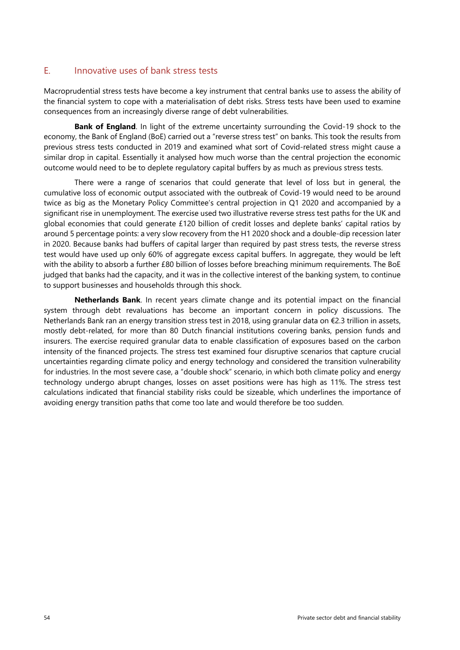### E. Innovative uses of bank stress tests

Macroprudential stress tests have become a key instrument that central banks use to assess the ability of the financial system to cope with a materialisation of debt risks. Stress tests have been used to examine consequences from an increasingly diverse range of debt vulnerabilities.

**Bank of England**. In light of the extreme uncertainty surrounding the Covid-19 shock to the economy, the Bank of England (BoE) carried out a "reverse stress test" on banks. This took the results from previous stress tests conducted in 2019 and examined what sort of Covid-related stress might cause a similar drop in capital. Essentially it analysed how much worse than the central projection the economic outcome would need to be to deplete regulatory capital buffers by as much as previous stress tests.

There were a range of scenarios that could generate that level of loss but in general, the cumulative loss of economic output associated with the outbreak of Covid-19 would need to be around twice as big as the Monetary Policy Committee's central projection in Q1 2020 and accompanied by a significant rise in unemployment. The exercise used two illustrative reverse stress test paths for the UK and global economies that could generate £120 billion of credit losses and deplete banks' capital ratios by around 5 percentage points: a very slow recovery from the H1 2020 shock and a double-dip recession later in 2020. Because banks had buffers of capital larger than required by past stress tests, the reverse stress test would have used up only 60% of aggregate excess capital buffers. In aggregate, they would be left with the ability to absorb a further £80 billion of losses before breaching minimum requirements. The BoE judged that banks had the capacity, and it was in the collective interest of the banking system, to continue to support businesses and households through this shock.

**Netherlands Bank**. In recent years climate change and its potential impact on the financial system through debt revaluations has become an important concern in policy discussions. The Netherlands Bank ran an energy transition stress test in 2018, using granular data on €2.3 trillion in assets, mostly debt-related, for more than 80 Dutch financial institutions covering banks, pension funds and insurers. The exercise required granular data to enable classification of exposures based on the carbon intensity of the financed projects. The stress test examined four disruptive scenarios that capture crucial uncertainties regarding climate policy and energy technology and considered the transition vulnerability for industries. In the most severe case, a "double shock" scenario, in which both climate policy and energy technology undergo abrupt changes, losses on asset positions were has high as 11%. The stress test calculations indicated that financial stability risks could be sizeable, which underlines the importance of avoiding energy transition paths that come too late and would therefore be too sudden.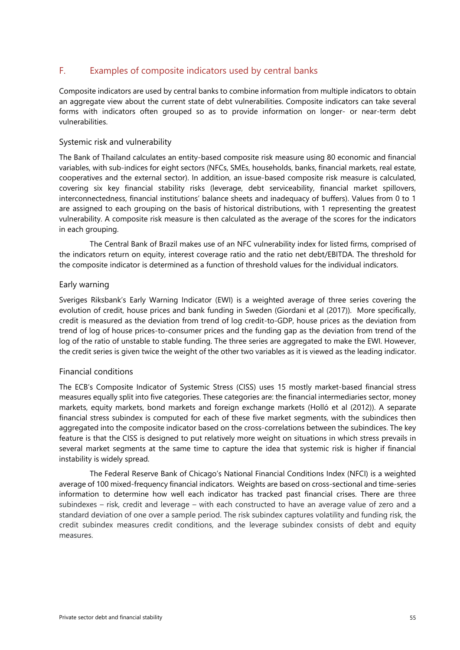# F. Examples of composite indicators used by central banks

Composite indicators are used by central banks to combine information from multiple indicators to obtain an aggregate view about the current state of debt vulnerabilities. Composite indicators can take several forms with indicators often grouped so as to provide information on longer- or near-term debt vulnerabilities.

#### Systemic risk and vulnerability

The Bank of Thailand calculates an entity-based composite risk measure using 80 economic and financial variables, with sub-indices for eight sectors (NFCs, SMEs, households, banks, financial markets, real estate, cooperatives and the external sector). In addition, an issue-based composite risk measure is calculated, covering six key financial stability risks (leverage, debt serviceability, financial market spillovers, interconnectedness, financial institutions' balance sheets and inadequacy of buffers). Values from 0 to 1 are assigned to each grouping on the basis of historical distributions, with 1 representing the greatest vulnerability. A composite risk measure is then calculated as the average of the scores for the indicators in each grouping.

The Central Bank of Brazil makes use of an NFC vulnerability index for listed firms, comprised of the indicators return on equity, interest coverage ratio and the ratio net debt/EBITDA. The threshold for the composite indicator is determined as a function of threshold values for the individual indicators.

#### Early warning

Sveriges Riksbank's Early Warning Indicator (EWI) is a weighted average of three series covering the evolution of credit, house prices and bank funding in Sweden (Giordani et al (2017)). More specifically, credit is measured as the deviation from trend of log credit-to-GDP, house prices as the deviation from trend of log of house prices-to-consumer prices and the funding gap as the deviation from trend of the log of the ratio of unstable to stable funding. The three series are aggregated to make the EWI. However, the credit series is given twice the weight of the other two variables as it is viewed as the leading indicator.

#### Financial conditions

The ECB's Composite Indicator of Systemic Stress (CISS) uses 15 mostly market-based financial stress measures equally split into five categories. These categories are: the financial intermediaries sector, money markets, equity markets, bond markets and foreign exchange markets (Holló et al (2012)). A separate financial stress subindex is computed for each of these five market segments, with the subindices then aggregated into the composite indicator based on the cross-correlations between the subindices. The key feature is that the CISS is designed to put relatively more weight on situations in which stress prevails in several market segments at the same time to capture the idea that systemic risk is higher if financial instability is widely spread.

The Federal Reserve Bank of Chicago's National Financial Conditions Index (NFCI) is a weighted average of 100 mixed-frequency financial indicators. Weights are based on cross-sectional and time-series information to determine how well each indicator has tracked past financial crises. There are three subindexes – risk, credit and leverage – with each constructed to have an average value of zero and a standard deviation of one over a sample period. The risk subindex captures volatility and funding risk, the credit subindex measures credit conditions, and the leverage subindex consists of debt and equity measures.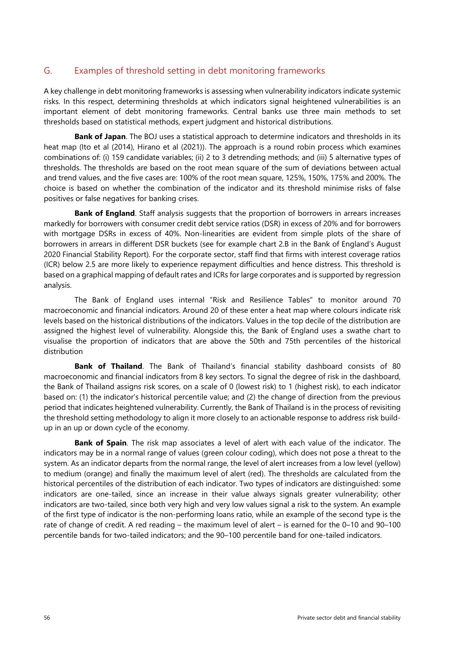# G. Examples of threshold setting in debt monitoring frameworks

A key challenge in debt monitoring frameworks is assessing when vulnerability indicators indicate systemic risks. In this respect, determining thresholds at which indicators signal heightened vulnerabilities is an important element of debt monitoring frameworks. Central banks use three main methods to set thresholds based on statistical methods, expert judgment and historical distributions.

**Bank of Japan**. The BOJ uses a statistical approach to determine indicators and thresholds in its heat map (Ito et al (2014), Hirano et al (2021)). The approach is a round robin process which examines combinations of: (i) 159 candidate variables; (ii) 2 to 3 detrending methods; and (iii) 5 alternative types of thresholds. The thresholds are based on the root mean square of the sum of deviations between actual and trend values, and the five cases are: 100% of the root mean square, 125%, 150%, 175% and 200%. The choice is based on whether the combination of the indicator and its threshold minimise risks of false positives or false negatives for banking crises.

**Bank of England**. Staff analysis suggests that the proportion of borrowers in arrears increases markedly for borrowers with consumer credit debt service ratios (DSR) in excess of 20% and for borrowers with mortgage DSRs in excess of 40%. Non-linearities are evident from simple plots of the share of borrowers in arrears in different DSR buckets (see for example chart 2.B in the Bank of England's August 2020 Financial Stability Report). For the corporate sector, staff find that firms with interest coverage ratios (ICR) below 2.5 are more likely to experience repayment difficulties and hence distress. This threshold is based on a graphical mapping of default rates and ICRs for large corporates and is supported by regression analysis.

The Bank of England uses internal "Risk and Resilience Tables" to monitor around 70 macroeconomic and financial indicators. Around 20 of these enter a heat map where colours indicate risk levels based on the historical distributions of the indicators. Values in the top decile of the distribution are assigned the highest level of vulnerability. Alongside this, the Bank of England uses a swathe chart to visualise the proportion of indicators that are above the 50th and 75th percentiles of the historical distribution

**Bank of Thailand**. The Bank of Thailand's financial stability dashboard consists of 80 macroeconomic and financial indicators from 8 key sectors. To signal the degree of risk in the dashboard, the Bank of Thailand assigns risk scores, on a scale of 0 (lowest risk) to 1 (highest risk), to each indicator based on: (1) the indicator's historical percentile value; and (2) the change of direction from the previous period that indicates heightened vulnerability. Currently, the Bank of Thailand is in the process of revisiting the threshold setting methodology to align it more closely to an actionable response to address risk buildup in an up or down cycle of the economy.

**Bank of Spain**. The risk map associates a level of alert with each value of the indicator. The indicators may be in a normal range of values (green colour coding), which does not pose a threat to the system. As an indicator departs from the normal range, the level of alert increases from a low level (yellow) to medium (orange) and finally the maximum level of alert (red). The thresholds are calculated from the historical percentiles of the distribution of each indicator. Two types of indicators are distinguished: some indicators are one-tailed, since an increase in their value always signals greater vulnerability; other indicators are two-tailed, since both very high and very low values signal a risk to the system. An example of the first type of indicator is the non-performing loans ratio, while an example of the second type is the rate of change of credit. A red reading – the maximum level of alert – is earned for the 0–10 and 90–100 percentile bands for two-tailed indicators; and the 90–100 percentile band for one-tailed indicators.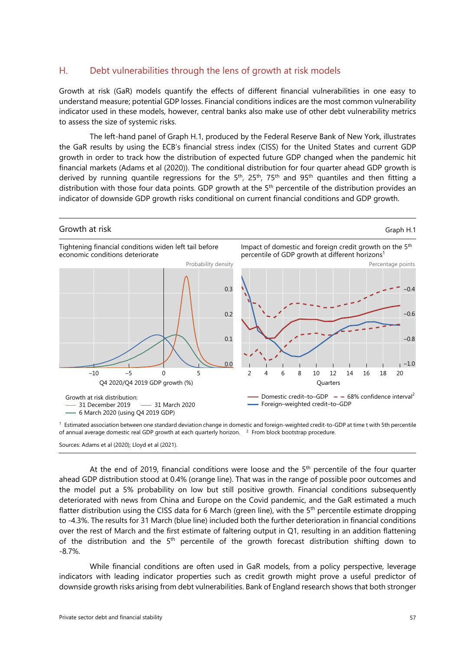# H. Debt vulnerabilities through the lens of growth at risk models

Growth at risk (GaR) models quantify the effects of different financial vulnerabilities in one easy to understand measure; potential GDP losses. Financial conditions indices are the most common vulnerability indicator used in these models, however, central banks also make use of other debt vulnerability metrics to assess the size of systemic risks.

The left-hand panel of Graph H.1, produced by the Federal Reserve Bank of New York, illustrates the GaR results by using the ECB's financial stress index (CISS) for the United States and current GDP growth in order to track how the distribution of expected future GDP changed when the pandemic hit financial markets (Adams et al (2020)). The conditional distribution for four quarter ahead GDP growth is derived by running quantile regressions for the 5<sup>th</sup>, 25<sup>th</sup>, 75<sup>th</sup> and 95<sup>th</sup> quantiles and then fitting a distribution with those four data points. GDP growth at the 5<sup>th</sup> percentile of the distribution provides an indicator of downside GDP growth risks conditional on current financial conditions and GDP growth.



1 Estimated association between one standard deviation change in domestic and foreign-weighted credit-to-GDP at time t with 5th percentile of annual average domestic real GDP growth at each quarterly horizon. <sup>2</sup> From block bootstrap procedure.

Sources: Adams et al (2020); Lloyd et al (2021).

At the end of 2019, financial conditions were loose and the 5<sup>th</sup> percentile of the four quarter ahead GDP distribution stood at 0.4% (orange line). That was in the range of possible poor outcomes and the model put a 5% probability on low but still positive growth. Financial conditions subsequently deteriorated with news from China and Europe on the Covid pandemic, and the GaR estimated a much flatter distribution using the CISS data for 6 March (green line), with the  $5<sup>th</sup>$  percentile estimate dropping to -4.3%. The results for 31 March (blue line) included both the further deterioration in financial conditions over the rest of March and the first estimate of faltering output in Q1, resulting in an addition flattening of the distribution and the 5<sup>th</sup> percentile of the growth forecast distribution shifting down to -8.7%.

While financial conditions are often used in GaR models, from a policy perspective, leverage indicators with leading indicator properties such as credit growth might prove a useful predictor of downside growth risks arising from debt vulnerabilities. Bank of England research shows that both stronger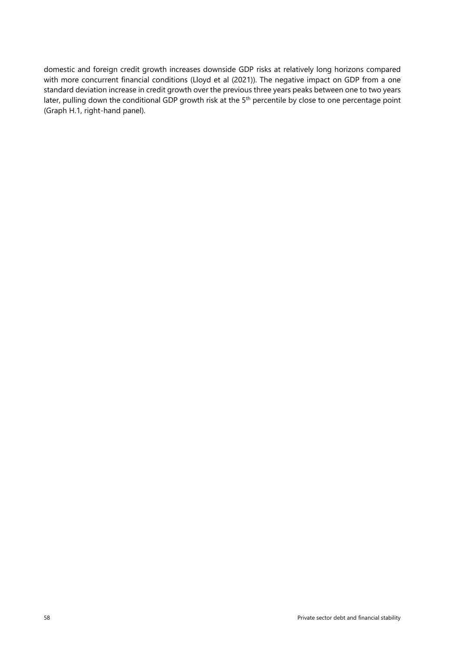domestic and foreign credit growth increases downside GDP risks at relatively long horizons compared with more concurrent financial conditions (Lloyd et al (2021)). The negative impact on GDP from a one standard deviation increase in credit growth over the previous three years peaks between one to two years later, pulling down the conditional GDP growth risk at the 5<sup>th</sup> percentile by close to one percentage point (Graph H.1, right-hand panel).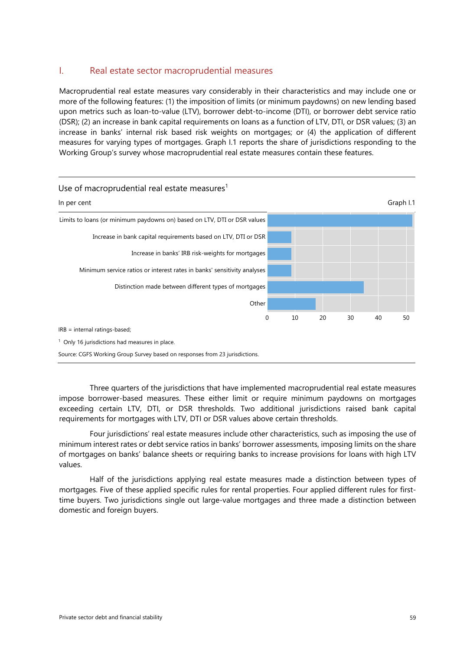### I. Real estate sector macroprudential measures

Macroprudential real estate measures vary considerably in their characteristics and may include one or more of the following features: (1) the imposition of limits (or minimum paydowns) on new lending based upon metrics such as loan-to-value (LTV), borrower debt-to-income (DTI), or borrower debt service ratio (DSR); (2) an increase in bank capital requirements on loans as a function of LTV, DTI, or DSR values; (3) an increase in banks' internal risk based risk weights on mortgages; or (4) the application of different measures for varying types of mortgages. Graph I.1 reports the share of jurisdictions responding to the Working Group's survey whose macroprudential real estate measures contain these features.



Three quarters of the jurisdictions that have implemented macroprudential real estate measures impose borrower-based measures. These either limit or require minimum paydowns on mortgages exceeding certain LTV, DTI, or DSR thresholds. Two additional jurisdictions raised bank capital requirements for mortgages with LTV, DTI or DSR values above certain thresholds.

Four jurisdictions' real estate measures include other characteristics, such as imposing the use of minimum interest rates or debt service ratios in banks' borrower assessments, imposing limits on the share of mortgages on banks' balance sheets or requiring banks to increase provisions for loans with high LTV values.

Half of the jurisdictions applying real estate measures made a distinction between types of mortgages. Five of these applied specific rules for rental properties. Four applied different rules for firsttime buyers. Two jurisdictions single out large-value mortgages and three made a distinction between domestic and foreign buyers.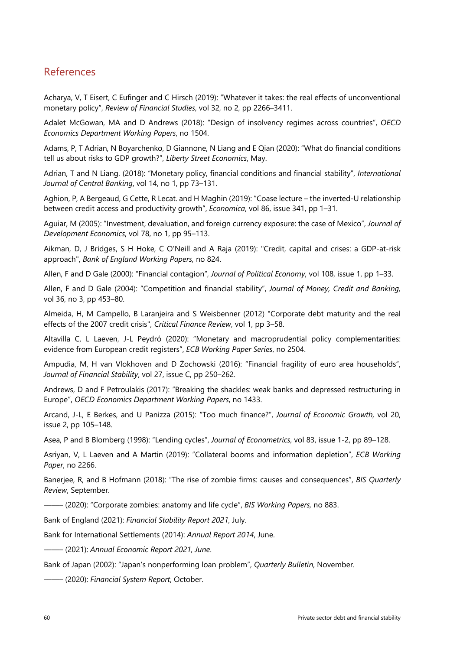# References

Acharya, V, T Eisert, C Eufinger and C Hirsch (2019): "Whatever it takes: the real effects of unconventional monetary policy", *Review of Financial Studies*, vol 32, no 2, pp 2266–3411.

Adalet McGowan, MA and D Andrews (2018): "Design of insolvency regimes across countries", *OECD Economics Department Working Papers*, no 1504.

Adams, P, T Adrian, N Boyarchenko, D Giannone, N Liang and E Qian (2020): "What do financial conditions tell us about risks to GDP growth?", *Liberty Street Economics*, May.

Adrian, T and N Liang. (2018): "Monetary policy, financial conditions and financial stability", *International Journal of Central Banking*, vol 14, no 1, pp 73–131.

Aghion, P, A Bergeaud, G Cette, R Lecat. and H Maghin (2019): "Coase lecture – the inverted-U relationship between credit access and productivity growth", *Economica*, vol 86, issue 341, pp 1–31.

Aguiar, M (2005): "Investment, devaluation, and foreign currency exposure: the case of Mexico", *Journal of Development Economics*, vol 78, no 1, pp 95–113.

Aikman, D, J Bridges, S H Hoke, C O'Neill and A Raja (2019): "Credit, capital and crises: a GDP-at-risk approach", *Bank of England Working Papers,* no 824.

Allen, F and D Gale (2000): "Financial contagion", *Journal of Political Economy*, vol 108, issue 1, pp 1–33.

Allen, F and D Gale (2004): "Competition and financial stability", *Journal of Money, Credit and Banking,*  vol 36, no 3, pp 453–80.

Almeida, H, M Campello, B Laranjeira and S Weisbenner (2012) "Corporate debt maturity and the real effects of the 2007 credit crisis", *Critical Finance Review*, vol 1, pp 3–58.

Altavilla C, L Laeven, J-L Peydró (2020): "Monetary and macroprudential policy complementarities: evidence from European credit registers", *ECB Working Paper Series*, no 2504.

Ampudia, M, H van Vlokhoven and D Żochowski (2016): "Financial fragility of euro area households", *Journal of Financial Stability*, vol 27, issue C, pp 250–262.

Andrews, D and F Petroulakis (2017): "Breaking the shackles: weak banks and depressed restructuring in Europe", *OECD Economics Department Working Papers*, no 1433.

Arcand, J-L, E Berkes, and U Panizza (2015): "Too much finance?", *Journal of Economic Growth,* vol 20, issue 2, pp 105–148.

Asea, P and B Blomberg (1998): "Lending cycles", *Journal of Econometrics*, vol 83, issue 1-2, pp 89–128.

Asriyan, V, L Laeven and A Martin (2019): "Collateral booms and information depletion", *ECB Working Paper*, no 2266.

Banerjee, R, and B Hofmann (2018): "The rise of zombie firms: causes and consequences", *BIS Quarterly Review*, September.

––––– (2020): "Corporate zombies: anatomy and life cycle", *BIS Working Papers,* no 883.

Bank of England (2021): *Financial Stability Report 2021*, July.

Bank for International Settlements (2014): *Annual Report 2014*, June.

––––– (2021): *Annual Economic Report 2021, June*.

Bank of Japan (2002): "Japan's nonperforming loan problem", *Quarterly Bulletin*, November.

––––– (2020): *Financial System Report*, October.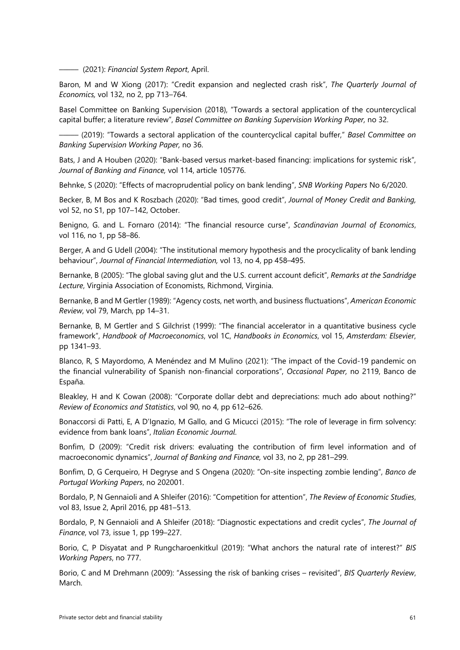––––– (2021): *Financial System Report*, April.

Baron, M and W Xiong (2017): "Credit expansion and neglected crash risk", *The Quarterly Journal of Economics,* vol 132, no 2, pp 713–764.

Basel Committee on Banking Supervision (2018), "Towards a sectoral application of the countercyclical capital buffer; a literature review", *Basel Committee on Banking Supervision Working Paper,* no 32.

––––– (2019): "Towards a sectoral application of the countercyclical capital buffer," *Basel Committee on Banking Supervision Working Paper,* no 36.

Bats, J and A Houben (2020): "Bank-based versus market-based financing: implications for systemic risk", *Journal of Banking and Finance,* vol 114, article 105776.

Behnke, S (2020): "Effects of macroprudential policy on bank lending", *SNB Working Papers* No 6/2020.

Becker, B, M Bos and K Roszbach (2020): "Bad times, good credit", *Journal of Money Credit and Banking,* vol 52, no S1, pp 107–142, October.

Benigno, G. and L. Fornaro (2014): "The financial resource curse", *Scandinavian Journal of Economics*, vol 116, no 1, pp 58–86.

Berger, A and G Udell (2004): "The institutional memory hypothesis and the procyclicality of bank lending behaviour", *Journal of Financial Intermediation,* vol 13, no 4, pp 458–495.

Bernanke, B (2005): "The global saving glut and the U.S. current account deficit", *Remarks at the Sandridge Lecture*, Virginia Association of Economists, Richmond, Virginia.

Bernanke, B and M Gertler (1989): "Agency costs, net worth, and business fluctuations", *American Economic Review*, vol 79, March, pp 14–31.

Bernanke, B, M Gertler and S Gilchrist (1999): "The financial accelerator in a quantitative business cycle framework", *Handbook of Macroeconomics*, vol 1C, *Handbooks in Economics*, vol 15, *Amsterdam: Elsevier*, pp 1341–93.

Blanco, R, S Mayordomo, A Menéndez and M Mulino (2021): "The impact of the Covid-19 pandemic on the financial vulnerability of Spanish non-financial corporations", *Occasional Paper,* no 2119, Banco de España.

Bleakley, H and K Cowan (2008): "Corporate dollar debt and depreciations: much ado about nothing?" *Review of Economics and Statistics*, vol 90, no 4, pp 612–626.

Bonaccorsi di Patti, E, A D'Ignazio, M Gallo, and G Micucci (2015): "The role of leverage in firm solvency: evidence from bank loans", *Italian Economic Journal*.

Bonfim, D (2009): "Credit risk drivers: evaluating the contribution of firm level information and of macroeconomic dynamics", *Journal of Banking and Finance,* vol 33, no 2, pp 281–299.

Bonfim, D, G Cerqueiro, H Degryse and S Ongena (2020): "On-site inspecting zombie lending", *Banco de Portugal Working Papers*, no 202001.

Bordalo, P, N Gennaioli and A Shleifer (2016): "Competition for attention", *The Review of Economic Studies*, vol 83, Issue 2, April 2016, pp 481–513.

Bordalo, P, N Gennaioli and A Shleifer (2018): "Diagnostic expectations and credit cycles", *The Journal of Finance*, vol 73, issue 1, pp 199–227.

Borio, C, P Disyatat and P Rungcharoenkitkul (2019): "What anchors the natural rate of interest?" *BIS Working Papers*, no 777.

Borio, C and M Drehmann (2009): "Assessing the risk of banking crises – revisited", *BIS Quarterly Review*, March.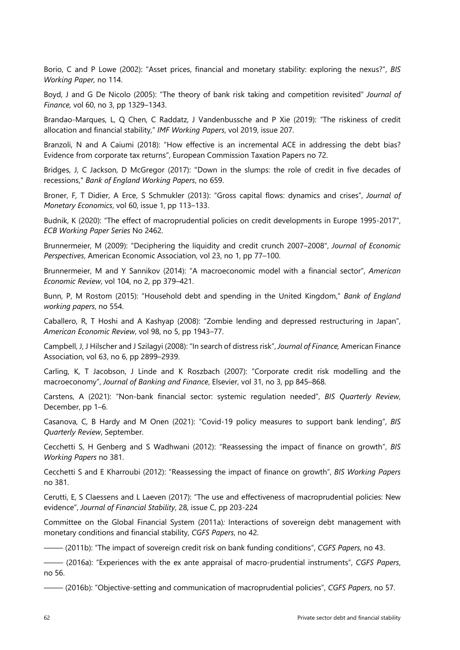Borio, C and P Lowe (2002): "Asset prices, financial and monetary stability: exploring the nexus?", *BIS Working Paper,* no 114.

Boyd, J and G De Nicolo (2005): "The theory of bank risk taking and competition revisited" *Journal of Finance,* vol 60, no 3, pp 1329–1343.

Brandao-Marques, L, Q Chen, C Raddatz, J Vandenbussche and P Xie (2019): "The riskiness of credit allocation and financial stability," *IMF Working Papers*, vol 2019, issue 207.

Branzoli, N and A Caiumi (2018): "How effective is an incremental ACE in addressing the debt bias? Evidence from corporate tax returns", European Commission Taxation Papers no 72.

Bridges, J, C Jackson, D McGregor (2017): "Down in the slumps: the role of credit in five decades of recessions," *Bank of England Working Papers*, no 659.

Broner, F, T Didier, A Erce, S Schmukler (2013): "Gross capital flows: dynamics and crises", *Journal of Monetary Economics*, vol 60, issue 1, pp 113–133.

Budnik, K (2020): "The effect of macroprudential policies on credit developments in Europe 1995-2017", *ECB Working Paper Series* No 2462.

Brunnermeier, M (2009): "Deciphering the liquidity and credit crunch 2007–2008", *Journal of Economic Perspectives*, American Economic Association, vol 23, no 1, pp 77–100.

Brunnermeier, M and Y Sannikov (2014): "A macroeconomic model with a financial sector", *American Economic Review*, vol 104, no 2, pp 379–421.

Bunn, P, M Rostom (2015): "Household debt and spending in the United Kingdom," *Bank of England working papers*, no 554.

Caballero, R, T Hoshi and A Kashyap (2008): "Zombie lending and depressed restructuring in Japan", *American Economic Review*, vol 98, no 5, pp 1943–77.

Campbell, J, J Hilscher and J Szilagyi (2008): "In search of distress risk", *Journal of Finance,* American Finance Association, vol 63, no 6, pp 2899–2939.

Carling, K, T Jacobson, J Linde and K Roszbach (2007): "Corporate credit risk modelling and the macroeconomy", *Journal of Banking and Finance*, Elsevier, vol 31, no 3, pp 845–868.

Carstens, A (2021): "Non-bank financial sector: systemic regulation needed", *BIS Quarterly Review*, December, pp 1–6.

Casanova, C, B Hardy and M Onen (2021): "Covid-19 policy measures to support bank lending", *BIS Quarterly Review*, September.

Cecchetti S, H Genberg and S Wadhwani (2012): "Reassessing the impact of finance on growth", *BIS Working Papers* no 381.

Cecchetti S and E Kharroubi (2012): "Reassessing the impact of finance on growth", *BIS Working Papers*  no 381.

Cerutti, E, S Claessens and L Laeven (2017): "The use and effectiveness of macroprudential policies: New evidence", *Journal of Financial Stability*, 28, issue C, pp 203-224

Committee on the Global Financial System (2011a)*:* Interactions of sovereign debt management with monetary conditions and financial stability, *CGFS Papers*, no 42.

––––– (2011b): "The impact of sovereign credit risk on bank funding conditions", *CGFS Papers*, no 43.

––––– (2016a): "Experiences with the ex ante appraisal of macro-prudential instruments", *CGFS Papers*, no 56.

––––– (2016b): "Objective-setting and communication of macroprudential policies", *CGFS Papers*, no 57.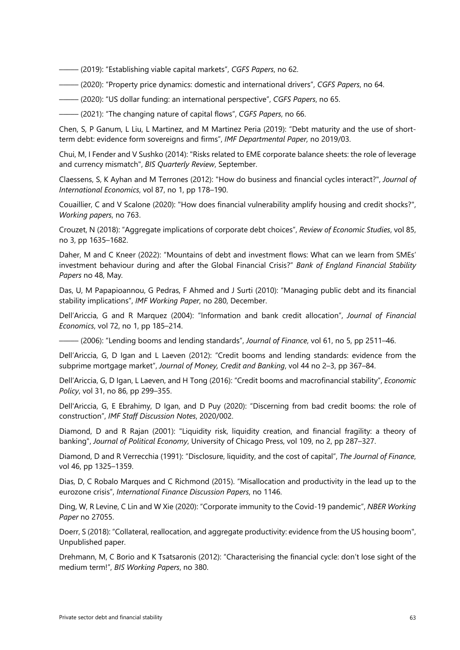––––– (2019): "Establishing viable capital markets", *CGFS Papers*, no 62.

––––– (2020): "Property price dynamics: domestic and international drivers", *CGFS Papers*, no 64.

––––– (2020): "US dollar funding: an international perspective", *CGFS Papers*, no 65.

––––– (2021): "The changing nature of capital flows", *CGFS Papers*, no 66.

Chen, S, P Ganum, L Liu, L Martinez, and M Martinez Peria (2019): "Debt maturity and the use of shortterm debt: evidence form sovereigns and firms", *IMF Departmental Paper,* no 2019/03.

Chui, M, I Fender and V Sushko (2014): "Risks related to EME corporate balance sheets: the role of leverage and currency mismatch", *BIS Quarterly Review*, September.

Claessens, S, K Ayhan and M Terrones (2012): "How do business and financial cycles interact?", *Journal of International Economics*, vol 87, no 1, pp 178–190.

Couaillier, C and V Scalone (2020): "How does financial vulnerability amplify housing and credit shocks?", *Working papers*, no 763.

Crouzet, N (2018): "Aggregate implications of corporate debt choices", *Review of Economic Studies*, vol 85, no 3, pp 1635–1682.

Daher, M and C Kneer (2022): "Mountains of debt and investment flows: What can we learn from SMEs' investment behaviour during and after the Global Financial Crisis?" *Bank of England Financial Stability Papers* no 48, May*.*

Das, U, M Papapioannou, G Pedras, F Ahmed and J Surti (2010): "Managing public debt and its financial stability implications", *IMF Working Paper*, no 280, December.

Dell'Ariccia, G and R Marquez (2004): "Information and bank credit allocation", *Journal of Financial Economics*, vol 72, no 1, pp 185–214.

––––– (2006): "Lending booms and lending standards", *Journal of Finance*, vol 61, no 5, pp 2511–46.

Dell'Ariccia, G, D Igan and L Laeven (2012): "Credit booms and lending standards: evidence from the subprime mortgage market", *Journal of Money, Credit and Banking*, vol 44 no 2–3, pp 367–84.

Dell'Ariccia, G, D Igan, L Laeven, and H Tong (2016): "Credit booms and macrofinancial stability", *Economic Policy*, vol 31, no 86, pp 299–355.

Dell'Ariccia, G, E Ebrahimy, D Igan, and D Puy (2020): "Discerning from bad credit booms: the role of construction", *IMF Staff Discussion Notes*, 2020/002.

Diamond, D and R Rajan (2001): "Liquidity risk, liquidity creation, and financial fragility: a theory of banking", *Journal of Political Economy*, University of Chicago Press, vol 109, no 2, pp 287–327.

Diamond, D and R Verrecchia (1991): "Disclosure, liquidity, and the cost of capital", *The Journal of Finance*, vol 46, pp 1325–1359.

Dias, D, C Robalo Marques and C Richmond (2015). "Misallocation and productivity in the lead up to the eurozone crisis", *International Finance Discussion Papers*, no 1146.

Ding, W, R Levine, C Lin and W Xie (2020): "Corporate immunity to the Covid-19 pandemic", *NBER Working Paper* no 27055.

Doerr, S (2018): "Collateral, reallocation, and aggregate productivity: evidence from the US housing boom", Unpublished paper.

Drehmann, M, C Borio and K Tsatsaronis (2012): "Characterising the financial cycle: don't lose sight of the medium term!", *BIS Working Papers*, no 380.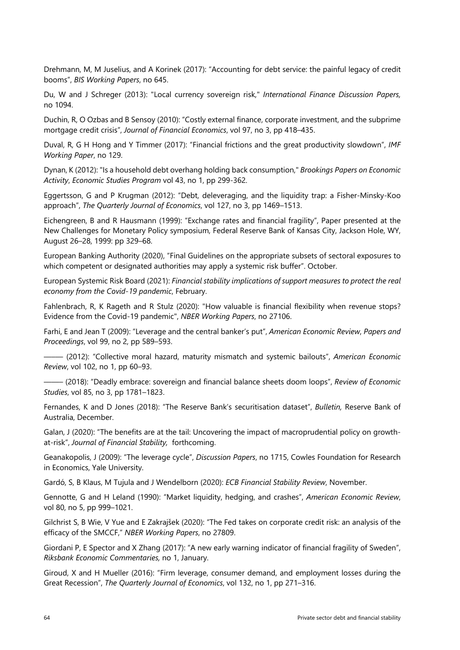Drehmann, M, M Juselius, and A Korinek (2017): "Accounting for debt service: the painful legacy of credit booms", *BIS Working Papers*, no 645.

Du, W and J Schreger (2013): "Local currency sovereign risk," *International Finance Discussion Papers,* no 1094.

Duchin, R, O Ozbas and B Sensoy (2010): "Costly external finance, corporate investment, and the subprime mortgage credit crisis", *Journal of Financial Economics*, vol 97, no 3, pp 418–435.

Duval, R, G H Hong and Y Timmer (2017): "Financial frictions and the great productivity slowdown", *IMF Working Paper*, no 129.

Dynan, K (2012): "Is a household debt overhang holding back consumption," *Brookings Papers on Economic Activity*, *Economic Studies Program* vol 43, no 1, pp 299-362.

Eggertsson, G and P Krugman (2012): "Debt, deleveraging, and the liquidity trap: a Fisher-Minsky-Koo approach", *The Quarterly Journal of Economics*, vol 127, no 3, pp 1469–1513.

Eichengreen, B and R Hausmann (1999): "Exchange rates and financial fragility", Paper presented at the New Challenges for Monetary Policy symposium, Federal Reserve Bank of Kansas City, Jackson Hole, WY, August 26–28, 1999: pp 329–68.

European Banking Authority (2020), "Final Guidelines on the appropriate subsets of sectoral exposures to which competent or designated authorities may apply a systemic risk buffer". October.

European Systemic Risk Board (2021): *Financial stability implications of support measures to protect the real economy from the Covid-19 pandemic*, February.

Fahlenbrach, R, K Rageth and R Stulz (2020): "How valuable is financial flexibility when revenue stops? Evidence from the Covid-19 pandemic", *NBER Working Papers*, no 27106.

Farhi, E and Jean T (2009): "Leverage and the central banker's put", *American Economic Review*, *Papers and Proceedings*, vol 99, no 2, pp 589–593.

––––– (2012): "Collective moral hazard, maturity mismatch and systemic bailouts", *American Economic Review*, vol 102, no 1, pp 60–93.

––––– (2018): "Deadly embrace: sovereign and financial balance sheets doom loops", *Review of Economic Studies*, vol 85, no 3, pp 1781–1823.

Fernandes, K and D Jones (2018): "The Reserve Bank's securitisation dataset", *Bulletin,* Reserve Bank of Australia, December.

Galan, J (2020): "The benefits are at the tail: Uncovering the impact of macroprudential policy on growthat-risk", *Journal of Financial Stability,* forthcoming.

Geanakopolis, J (2009): "The leverage cycle", *Discussion Papers*, no 1715, Cowles Foundation for Research in Economics, Yale University.

Gardó, S, B Klaus, M Tujula and J Wendelborn (2020): *ECB Financial Stability Review*, November.

Gennotte, G and H Leland (1990): "Market liquidity, hedging, and crashes", *American Economic Review*, vol 80, no 5, pp 999–1021.

Gilchrist S, B Wie, V Yue and E Zakrajšek (2020): "The Fed takes on corporate credit risk: an analysis of the efficacy of the SMCCF," *NBER Working Papers*, no 27809.

Giordani P, E Spector and X Zhang (2017): "A new early warning indicator of financial fragility of Sweden", *Riksbank Economic Commentaries,* no 1, January.

Giroud, X and H Mueller (2016): "Firm leverage, consumer demand, and employment losses during the Great Recession", *The Quarterly Journal of Economics*, vol 132, no 1, pp 271–316.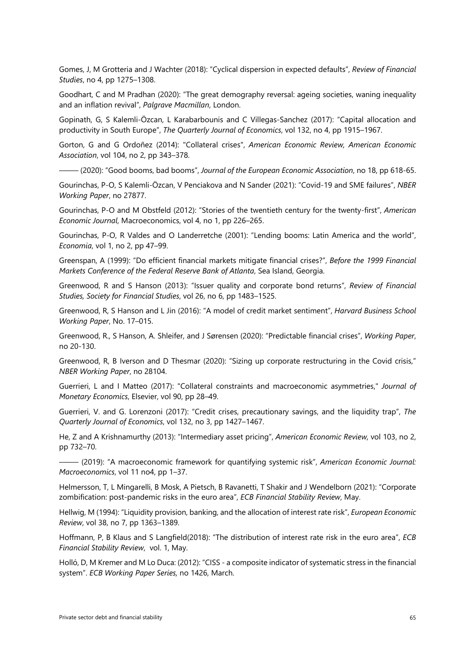Gomes, J, M Grotteria and J Wachter (2018): "Cyclical dispersion in expected defaults", *Review of Financial Studies*, no 4, pp 1275–1308.

Goodhart, C and M Pradhan (2020): "The great demography reversal: ageing societies, waning inequality and an inflation revival", *Palgrave Macmillan*, London.

Gopinath, G, S Kalemli-Özcan, L Karabarbounis and C Villegas-Sanchez (2017): "Capital allocation and productivity in South Europe", *The Quarterly Journal of Economics*, vol 132, no 4, pp 1915–1967.

Gorton, G and G Ordoñez (2014): "Collateral crises", *American Economic Review, American Economic Association*, vol 104, no 2, pp 343–378.

––––– (2020): "Good booms, bad booms", *Journal of the European Economic Association*, no 18, pp 618-65.

Gourinchas, P-O, S Kalemli-Özcan, V Penciakova and N Sander (2021): "Covid-19 and SME failures", *NBER Working Paper*, no 27877.

Gourinchas, P-O and M Obstfeld (2012): "Stories of the twentieth century for the twenty-first", *American Economic Journal*, Macroeconomics, vol 4, no 1, pp 226–265.

Gourinchas, P-O, R Valdes and O Landerretche (2001): "Lending booms: Latin America and the world", *Economia*, vol 1, no 2, pp 47–99.

Greenspan, A (1999): "Do efficient financial markets mitigate financial crises?", *Before the 1999 Financial Markets Conference of the Federal Reserve Bank of Atlanta*, Sea Island, Georgia.

Greenwood, R and S Hanson (2013): "Issuer quality and corporate bond returns", *Review of Financial Studies, Society for Financial Studies*, vol 26, no 6, pp 1483–1525.

Greenwood, R, S Hanson and L Jin (2016): "A model of credit market sentiment", *Harvard Business School Working Paper*, No. 17–015.

Greenwood, R., S Hanson, A. Shleifer, and J Sørensen (2020): "Predictable financial crises", *Working Paper*, no 20-130.

Greenwood, R, B Iverson and D Thesmar (2020): "Sizing up corporate restructuring in the Covid crisis," *NBER Working Paper*, no 28104.

Guerrieri, L and I Matteo (2017): "Collateral constraints and macroeconomic asymmetries," *Journal of Monetary Economics*, Elsevier, vol 90, pp 28–49.

Guerrieri, V. and G. Lorenzoni (2017): "Credit crises, precautionary savings, and the liquidity trap", *The Quarterly Journal of Economics*, vol 132, no 3, pp 1427–1467.

He, Z and A Krishnamurthy (2013): "Intermediary asset pricing", *American Economic Review,* vol 103, no 2, pp 732–70.

––––– (2019): "A macroeconomic framework for quantifying systemic risk", *American Economic Journal: Macroeconomics*, vol 11 no4, pp 1–37.

Helmersson, T, L Mingarelli, B Mosk, A Pietsch, B Ravanetti, T Shakir and J Wendelborn (2021): "Corporate zombification: post-pandemic risks in the euro area", *ECB Financial Stability Review*, May.

Hellwig, M (1994): "Liquidity provision, banking, and the allocation of interest rate risk", *European Economic Review*, vol 38, no 7, pp 1363–1389.

Hoffmann, P, B Klaus and S Langfield(2018): "The distribution of interest rate risk in the euro area", *ECB Financial Stability Review*, vol. 1, May.

Holló, D, M Kremer and M Lo Duca: (2012): "CISS - a composite indicator of systematic stress in the financial system". *ECB Working Paper Series,* no 1426, March.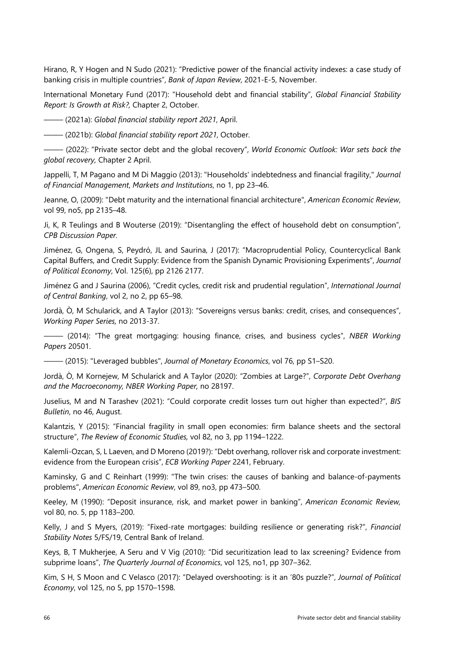Hirano, R, Y Hogen and N Sudo (2021): "Predictive power of the financial activity indexes: a case study of banking crisis in multiple countries", *Bank of Japan Review*, 2021-E-5, November.

International Monetary Fund (2017): "Household debt and financial stability", *Global Financial Stability Report: Is Growth at Risk?,* Chapter 2, October.

––––– (2021a): *Global financial stability report 2021*, April.

––––– (2021b): *Global financial stability report 2021*, October.

––––– (2022): "Private sector debt and the global recovery", *World Economic Outlook: War sets back the global recovery,* Chapter 2 April.

Jappelli, T, M Pagano and M Di Maggio (2013): "Households' indebtedness and financial fragility," *Journal of Financial Management*, *Markets and Institutions*, no 1, pp 23–46.

Jeanne, O, (2009): "Debt maturity and the international financial architecture", *American Economic Review*, vol 99, no5, pp 2135–48.

Ji, K, R Teulings and B Wouterse (2019): "Disentangling the effect of household debt on consumption", *CPB Discussion Paper.* 

Jiménez, G, Ongena, S, Peydró, JL and Saurina, J (2017): "Macroprudential Policy, Countercyclical Bank Capital Buffers, and Credit Supply: Evidence from the Spanish Dynamic Provisioning Experiments", *Journal of Political Economy*, Vol. 125(6), pp 2126 2177.

Jiménez G and J Saurina (2006), "Credit cycles, credit risk and prudential regulation", *International Journal of Central Banking*, vol 2, no 2, pp 65–98.

Jordà, Ò, M Schularick, and A Taylor (2013): "Sovereigns versus banks: credit, crises, and consequences", *Working Paper Series,* no 2013-37.

––––– (2014): "The great mortgaging: housing finance, crises, and business cycles", *NBER Working Papers* 20501.

––––– (2015): "Leveraged bubbles", *Journal of Monetary Economics*, vol 76, pp S1–S20.

Jordà, Ò, M Kornejew, M Schularick and A Taylor (2020): "Zombies at Large?", *Corporate Debt Overhang and the Macroeconomy, NBER Working Paper,* no 28197.

Juselius, M and N Tarashev (2021): "Could corporate credit losses turn out higher than expected?", *BIS Bulletin*, no 46, August.

Kalantzis, Y (2015): "Financial fragility in small open economies: firm balance sheets and the sectoral structure", *The Review of Economic Studies,* vol 82, no 3, pp 1194–1222.

Kalemli-Ozcan, S, L Laeven, and D Moreno (2019?): "Debt overhang, rollover risk and corporate investment: evidence from the European crisis", *ECB Working Paper* 2241, February.

Kaminsky, G and C Reinhart (1999): "The twin crises: the causes of banking and balance-of-payments problems", *American Economic Review*, vol 89, no3, pp 473–500.

Keeley, M (1990): "Deposit insurance, risk, and market power in banking", *American Economic Review,* vol 80, no. 5, pp 1183–200.

Kelly, J and S Myers, (2019): "Fixed-rate mortgages: building resilience or generating risk?", *Financial Stability Notes* 5/FS/19, Central Bank of Ireland.

Keys, B, T Mukherjee, A Seru and V Vig (2010): "Did securitization lead to lax screening? Evidence from subprime loans", *The Quarterly Journal of Economics*, vol 125, no1, pp 307–362.

Kim, S H, S Moon and C Velasco (2017): "Delayed overshooting: is it an '80s puzzle?", *Journal of Political Economy*, vol 125, no 5, pp 1570–1598.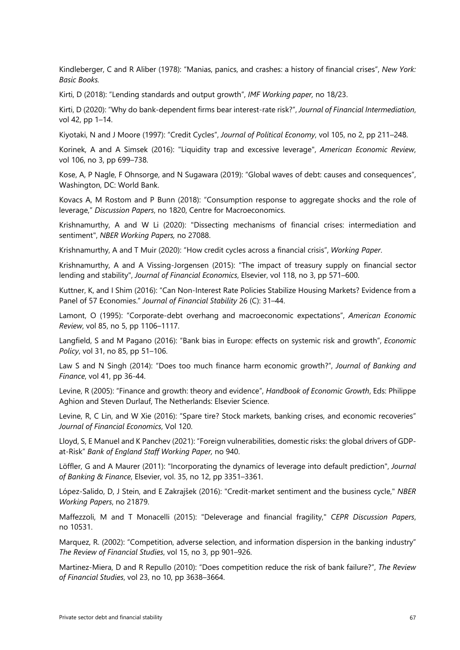Kindleberger, C and R Aliber (1978): "Manias, panics, and crashes: a history of financial crises", *New York: Basic Books.*

Kirti, D (2018): "Lending standards and output growth", *IMF Working paper,* no 18/23.

Kirti, D (2020): "Why do bank-dependent firms bear interest-rate risk?", *Journal of Financial Intermediation*, vol 42, pp 1–14.

Kiyotaki, N and J Moore (1997): "Credit Cycles", *Journal of Political Economy*, vol 105, no 2, pp 211–248.

Korinek, A and A Simsek (2016): "Liquidity trap and excessive leverage", *American Economic Review*, vol 106, no 3, pp 699–738.

Kose, A, P Nagle, F Ohnsorge, and N Sugawara (2019): "Global waves of debt: causes and consequences", Washington, DC: World Bank.

Kovacs A, M Rostom and P Bunn (2018): "Consumption response to aggregate shocks and the role of leverage," *Discussion Papers*, no 1820, Centre for Macroeconomics.

Krishnamurthy, A and W Li (2020): "Dissecting mechanisms of financial crises: intermediation and sentiment", *NBER Working Papers,* no 27088.

Krishnamurthy, A and T Muir (2020): "How credit cycles across a financial crisis", *Working Paper*.

Krishnamurthy, A and A Vissing-Jorgensen (2015): "The impact of treasury supply on financial sector lending and stability", *Journal of Financial Economics*, Elsevier, vol 118, no 3, pp 571–600.

Kuttner, K, and I Shim (2016): "Can Non-Interest Rate Policies Stabilize Housing Markets? Evidence from a Panel of 57 Economies." *Journal of Financial Stability* 26 (C): 31–44.

Lamont, O (1995): "Corporate-debt overhang and macroeconomic expectations", *American Economic Review*, vol 85, no 5, pp 1106–1117.

Langfield, S and M Pagano (2016): "Bank bias in Europe: effects on systemic risk and growth", *Economic Policy*, vol 31, no 85, pp 51–106.

Law S and N Singh (2014): "Does too much finance harm economic growth?", *Journal of Banking and Finance*, vol 41, pp 36-44.

Levine, R (2005): "Finance and growth: theory and evidence", *Handbook of Economic Growth*, Eds: Philippe Aghion and Steven Durlauf, The Netherlands: Elsevier Science.

Levine, R, C Lin, and W Xie (2016): "Spare tire? Stock markets, banking crises, and economic recoveries" *Journal of Financial Economics*, Vol 120.

Lloyd, S, E Manuel and K Panchev (2021): "Foreign vulnerabilities, domestic risks: the global drivers of GDPat-Risk" *Bank of England Staff Working Paper,* no 940.

Löffler, G and A Maurer (2011): "Incorporating the dynamics of leverage into default prediction", *Journal of Banking & Finance*, Elsevier, vol. 35, no 12, pp 3351–3361.

López-Salido, D, J Stein, and E Zakrajšek (2016): "Credit-market sentiment and the business cycle," *NBER Working Papers*, no 21879.

Maffezzoli, M and T Monacelli (2015): "Deleverage and financial fragility," *CEPR Discussion Papers*, no 10531.

Marquez, R. (2002): "Competition, adverse selection, and information dispersion in the banking industry" *The Review of Financial Studies*, vol 15, no 3, pp 901–926.

Martinez-Miera, D and R Repullo (2010): "Does competition reduce the risk of bank failure?", *The Review of Financial Studies*, vol 23, no 10, pp 3638–3664.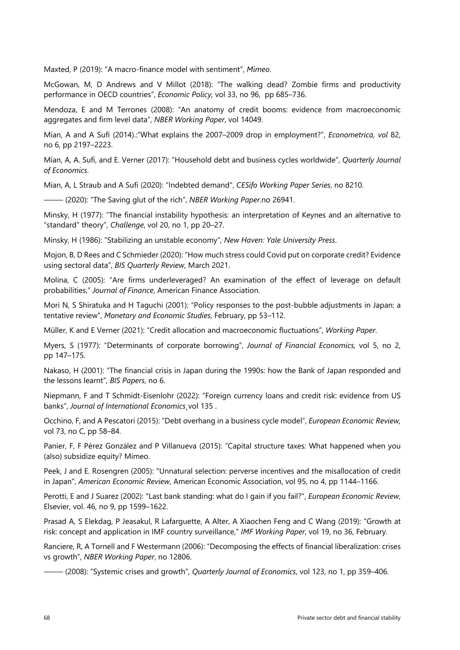Maxted, P (2019): "A macro-finance model with sentiment", *Mimeo*.

McGowan, M, D Andrews and V Millot (2018): "The walking dead? Zombie firms and productivity performance in OECD countries", *Economic Policy,* vol 33, no 96, pp 685–736.

Mendoza, E and M Terrones (2008): "An anatomy of credit booms: evidence from macroeconomic aggregates and firm level data", *NBER Working Paper*, vol 14049.

Mian, A and A Sufi (2014).:"What explains the 2007–2009 drop in employment?", *Econometrica, vol* 82, no 6, pp 2197–2223.

Mian, A, A. Sufi, and E. Verner (2017): "Household debt and business cycles worldwide", *Quarterly Journal of Economics*.

Mian, A, L Straub and A Sufi (2020): "Indebted demand", *CESifo Working Paper Series*, no 8210.

––––– (2020): "The Saving glut of the rich", *NBER Working Paper*.no 26941.

Minsky, H (1977): "The financial instability hypothesis: an interpretation of Keynes and an alternative to "standard" theory", *Challenge*, vol 20, no 1, pp 20–27.

Minsky, H (1986): "Stabilizing an unstable economy", *New Haven: Yale University Press*.

Mojon, B, D Rees and C Schmieder (2020): "How much stress could Covid put on corporate credit? Evidence using sectoral data", *BIS Quarterly Review*, March 2021.

Molina, C (2005): "Are firms underleveraged? An examination of the effect of leverage on default probabilities," *Journal of Finance*, American Finance Association.

Mori N, S Shiratuka and H Taguchi (2001): "Policy responses to the post-bubble adjustments in Japan: a tentative review", *Monetary and Economic Studies*, February, pp 53–112.

Müller, K and E Verner (2021): "Credit allocation and macroeconomic fluctuations", *Working Paper*.

Myers, S (1977): "Determinants of corporate borrowing", *Journal of Financial Economics,* vol 5, no 2, pp 147–175.

Nakaso, H (2001): "The financial crisis in Japan during the 1990s: how the Bank of Japan responded and the lessons learnt", *BIS Papers*, no 6.

Niepmann, F and T Schmidt-Eisenlohr (2022): "Foreign currency loans and credit risk: evidence from US banks", *Journal of International Economics¸*vol 135 .

Occhino, F, and A Pescatori (2015): "Debt overhang in a business cycle model", *European Economic Review,* vol 73, no C, pp 58–84.

Panier, F, F Pérez González and P Villanueva (2015): "Capital structure taxes: What happened when you (also) subsidize equity? Mimeo.

Peek, J and E. Rosengren (2005): "Unnatural selection: perverse incentives and the misallocation of credit in Japan", *American Economic Review*, American Economic Association, vol 95, no 4, pp 1144–1166.

Perotti, E and J Suarez (2002): "Last bank standing: what do I gain if you fail?", *European Economic Review*, Elsevier, vol. 46, no 9, pp 1599–1622.

Prasad A, S Elekdag, P Jeasakul, R Lafarguette, A Alter, A Xiaochen Feng and C Wang (2019): "Growth at risk: concept and application in IMF country surveillance," *IMF Working Paper*, vol 19, no 36, February.

Ranciere, R, A Tornell and F Westermann (2006): "Decomposing the effects of financial liberalization: crises vs growth", *NBER Working Paper*, no 12806.

––––– (2008): "Systemic crises and growth", *Quarterly Journal of Economics*, vol 123, no 1, pp 359–406.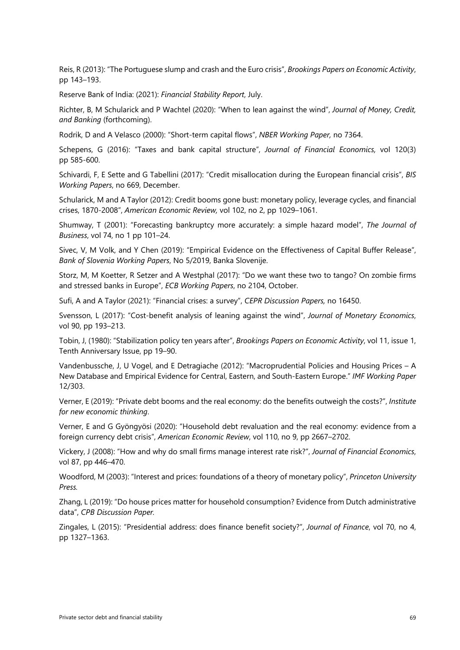Reis, R (2013): "The Portuguese slump and crash and the Euro crisis", *Brookings Papers on Economic Activity*, pp 143–193.

Reserve Bank of India: (2021): *Financial Stability Report*, July.

Richter, B, M Schularick and P Wachtel (2020): "When to lean against the wind", *Journal of Money, Credit, and Banking* (forthcoming).

Rodrik, D and A Velasco (2000): "Short-term capital flows", *NBER Working Paper,* no 7364.

Schepens, G (2016): "Taxes and bank capital structure", *Journal of Financial Economics,* vol 120(3) pp 585-600.

Schivardi, F, E Sette and G Tabellini (2017): "Credit misallocation during the European financial crisis", *BIS Working Papers*, no 669, December.

Schularick, M and A Taylor (2012): Credit booms gone bust: monetary policy, leverage cycles, and financial crises, 1870-2008", *American Economic Review,* vol 102, no 2, pp 1029–1061.

Shumway, T (2001): "Forecasting bankruptcy more accurately: a simple hazard model", *The Journal of Business*, vol 74, no 1 pp 101–24.

Sivec, V, M Volk, and Y Chen (2019): "Empirical Evidence on the Effectiveness of Capital Buffer Release", *Bank of Slovenia Working Papers*, No 5/2019, Banka Slovenije.

Storz, M, M Koetter, R Setzer and A Westphal (2017): "Do we want these two to tango? On zombie firms and stressed banks in Europe", *ECB Working Papers*, no 2104, October.

Sufi, A and A Taylor (2021): "Financial crises: a survey", *CEPR Discussion Papers,* no 16450.

Svensson, L (2017): "Cost-benefit analysis of leaning against the wind", *Journal of Monetary Economics*, vol 90, pp 193–213.

Tobin, J, (1980): "Stabilization policy ten years after", *Brookings Papers on Economic Activity*, vol 11, issue 1, Tenth Anniversary Issue, pp 19–90.

Vandenbussche, J, U Vogel, and E Detragiache (2012): "Macroprudential Policies and Housing Prices – A New Database and Empirical Evidence for Central, Eastern, and South-Eastern Europe." *IMF Working Paper* 12/303.

Verner, E (2019): "Private debt booms and the real economy: do the benefits outweigh the costs?", *Institute for new economic thinking*.

Verner, E and G Gyöngyösi (2020): "Household debt revaluation and the real economy: evidence from a foreign currency debt crisis", *American Economic Review*, vol 110, no 9, pp 2667–2702.

Vickery, J (2008): "How and why do small firms manage interest rate risk?", *Journal of Financial Economics*, vol 87, pp 446–470.

Woodford, M (2003): "Interest and prices: foundations of a theory of monetary policy", *Princeton University Press.*

Zhang, L (2019): "Do house prices matter for household consumption? Evidence from Dutch administrative data", *CPB Discussion Paper.*

Zingales, L (2015): "Presidential address: does finance benefit society?", *Journal of Finance*, vol 70, no 4, pp 1327–1363.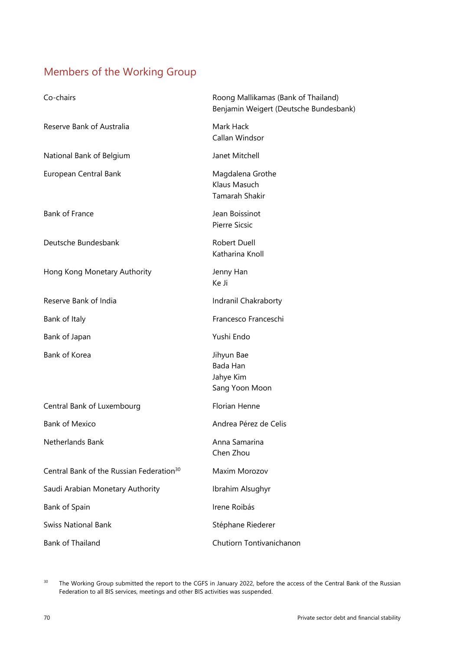# Members of the Working Group

| Co-chairs                                            | Roong Mallikamas (Bank of Thailand)<br>Benjamin Weigert (Deutsche Bundesbank) |
|------------------------------------------------------|-------------------------------------------------------------------------------|
| Reserve Bank of Australia                            | Mark Hack<br>Callan Windsor                                                   |
| National Bank of Belgium                             | Janet Mitchell                                                                |
| European Central Bank                                | Magdalena Grothe<br>Klaus Masuch<br><b>Tamarah Shakir</b>                     |
| <b>Bank of France</b>                                | Jean Boissinot<br><b>Pierre Sicsic</b>                                        |
| Deutsche Bundesbank                                  | <b>Robert Duell</b><br>Katharina Knoll                                        |
| Hong Kong Monetary Authority                         | Jenny Han<br>Ke Ji                                                            |
| Reserve Bank of India                                | Indranil Chakraborty                                                          |
| Bank of Italy                                        | Francesco Franceschi                                                          |
| Bank of Japan                                        | Yushi Endo                                                                    |
| Bank of Korea                                        | Jihyun Bae<br>Bada Han<br>Jahye Kim<br>Sang Yoon Moon                         |
| Central Bank of Luxembourg                           | Florian Henne                                                                 |
| <b>Bank of Mexico</b>                                | Andrea Pérez de Celis                                                         |
| Netherlands Bank                                     | Anna Samarina<br>Chen Zhou                                                    |
| Central Bank of the Russian Federation <sup>30</sup> | Maxim Morozov                                                                 |
| Saudi Arabian Monetary Authority                     | Ibrahim Alsughyr                                                              |
| Bank of Spain                                        | Irene Roibás                                                                  |
| <b>Swiss National Bank</b>                           | Stéphane Riederer                                                             |
| Bank of Thailand                                     | Chutiorn Tontivanichanon                                                      |

<span id="page-71-0"></span><sup>30</sup> The Working Group submitted the report to the CGFS in January 2022, before the access of the Central Bank of the Russian Federation to all BIS services, meetings and other BIS activities was suspended.